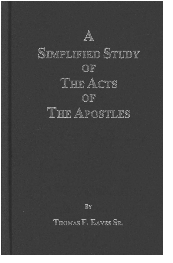

# **SIMPLIFIED STUDY** OF THE ACTS OF THE APOSTLES

By

THOMAS F. EAVES SR.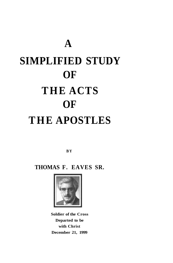# **A SIMPLIFIED STUDY OF T HE ACTS OF T HE APOSTLES**

**BY** 

**THOMAS F. EAVES SR.** 



**Soldier of the Cross Departed to be with Christ December 21, 1999**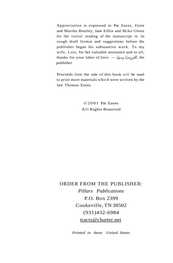Appreciation is expressed to Pat Eaves, Ernie and Martha Bentley, Jane Edlin and Mike Glenn for the initial reading of the manuscript in its rough draft format and suggestions before the publisher began his substantive work. To my wife, Lois, for her valuable assistance and to all, thanks for your labor of love. — Gary Grippell, the *publisher* 

Proceeds from the sale of this book will be used to print more materials which were written by the late Thomas Eaves.

> ©200 1 Pat Eaves All Rights Reserved

ORDER FROM THE PUBLISHER: *Pillars Publications*  P.O. Box 2399 Cookeville, TN 38502 (931)432-6984 [tracts@charter.net](mailto:tracts@charter.net) 

*Printed in these United States*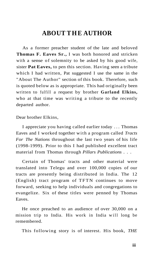# **ABOUT THE AUTHOR**

As a former preacher student of the late and beloved **Thomas F. Eaves Sr.,** I was both honored and stricken with a sense of solemnity to be asked by his good wife, sister **Pat Eaves,** to pen this section. Having seen a tribute which I had written, Pat suggested I use the same in the "About The Author" section of this book. Therefore, such is quoted below as is appropriate. This had originally been written to fulfill a request by brother **Garland Elkins,**  who at that time was writing a tribute to the recently departed author.

Dear brother Elkins,

I appreciate you having called earlier today .. . Thomas Eaves and I worked together with a program called *Tracts For The Nations* throughout the last two years of his life (1998-1999). Prior to this I had published excellent tract material from Thomas through *Pillars Publications . . .* 

Certain of Thomas' tracts and other material were translated into Telegu and over 100,000 copies of our tracts are presently being distributed in India. The 12 (English) tract program of TFTN continues to move forward, seeking to help individuals and congregations to evangelize. Six of these titles were penned by Thomas Eaves.

He once preached to an audience of over 30,000 on a mission trip to India. His work in India will long be remembered.

This following story is of interest. His book, *THE*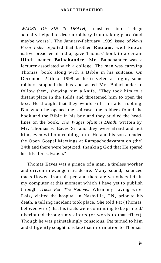*WAGES OF SIN IS DEATH,* translated into Telegu actually helped to deter a robbery from taking place (and maybe worse). The January-February 1999 issue of *News From India* reported that brother **Ratnam.** well known native preacher of India, gave Thomas' book to a certain Hindu named **Balachander.** Mr. Balachander was a lecturer associated with a college. The man was carrying Thomas' book along with a Bible in his suitcase. On December 24th of 1998 as he traveled at night, some robbers stopped the bus and asked Mr. Balachander to follow them, showing him a knife. "They took him to a distant place in the fields and threatened him to open the box. He thought that they would kill him after robbing. But when he opened the suitcase, the robbers found the book and the Bible in his box and they studied the headlines on the book, *The Wages of Sin is Death,* written by Mr. Thomas F. Eaves Sr. and they were afraid and left him, even without robbing him. He and his son attended the Open Gospel Meetings at Rampachodavaram on (the) 24th and there were baptized, thanking God that He spared his life for salvation."

Thomas Eaves was a prince of a man, a tireless worker and driven in evangelistic desire. Many sound, balanced tracts flowed from his pen and there are yet others left in my computer at this moment which I have yet to publish through *Tracts For The Nations.* When my loving wife, **Lois,** visited the hospital in Nashville, TN, prior to his death, a telling incident took place. She told Pat (Thomas' beloved wife) that his tracts were continuing to be printed/ distributed through my efforts (or words to that effect). Though he was painstakingly conscious, Pat turned to him and diligently sought to relate that information to Thomas.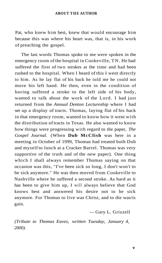Pat, who knew him best, knew that would encourage him because this was where his heart was, that is, in his work of preaching the gospel.

The last words Thomas spoke to me were spoken in the emergency room of the hospital in Cookeville, TN. He had suffered the first of two strokes at the time and had been rushed to the hospital. When I heard of this I went directly to him. As he lay flat of his back he told me he could not move his left hand. He then, even in the condition of having suffered a stroke to the left side of his body, wanted to talk about the work of the Lord. I had just returned from the *Annual Denton Lectureship* where I had set up a display of tracts. Thomas, laying flat of his back in that emergency room, wanted to know how it went with the distribution of tracts in Texas. He also wanted to know how things were progressing with regard to the paper, *The Gospel Journal.* (When **Dub McClish** was here in a meeting in October of 1999, Thomas had treated both Dub and myself to lunch at a Cracker Barrel. Thomas was very supportive of the truth and of the new paper). One thing which I shall always remember Thomas saying on that occasion was this, "I've been sick so long, I don't won't to be sick anymore." He was then moved from Cookeville to Nashville where he suffered a second stroke. As hard as it has been to give him up, I will always believe that God knows best and answered his desire not to be sick anymore. For Thomas to live was Christ, and to die was/is gain.

— Gary L. Grizzell

*(Tribute to Thomas Eaves, written Tuesday, January 4, 2000).*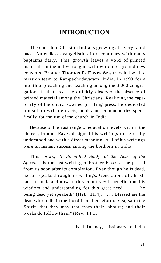# **INTRODUCTION**

The church of Christ in India is growing at a very rapid pace. An endless evangelistic effort continues with many baptisms daily. This growth leaves a void of printed materials in the native tongue with which to ground new converts. Brother **Thomas F. Eaves Sr.,** traveled with a mission team to Rampachodavaram, India, in 1998 for a month of preaching and teaching among the 3,000 congregations in that area. He quickly observed the absence of printed material among the Christians. Realizing the capability of the church-owned printing press, he dedicated himself to writing tracts, books and commentaries specifically for the use of the church in India.

Because of the vast range of education levels within the church, brother Eaves designed his writings to be easily understood and with a direct meaning. All of his writings were an instant success among the brethren in India.

This book, *A Simplified Study of the Acts of the Apostles,* is the last writing of brother Eaves as he passed from us soon after its completion. Even though he is dead, he still speaks through his writings. Generations of Christians in India and now in this country will benefit from his wisdom and understanding for this great need. ".. . he being dead yet speaketh" (Heb. 11:4). ".. . Blessed are the dead which die in the Lord from henceforth: Yea, saith the Spirit, that they may rest from their labours; and their works do follow them" (Rev. 14:13).

— Bill Dudney, missionary to India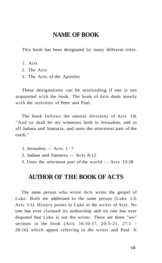## **NAME OF BOOK**

This book has been designated by many different titles.

- 1. Acts
- 2. The Acts
- 3. The Acts of the Apostles

These designations can be misleading if one is not acquainted with the book. The book of Acts deals mostly with the activities of Peter and Paul.

The book follows the natural divisions of Acts 1:8, "And ye shall be my witnesses both in Jerusalem, and in all Judaea and Samaria, and unto the uttermost part of the earth."

- 1. Jerusalem Acts 1 7
- 2. Judaea and Samaria Acts 8-12
- 3. Unto the uttermost part of the world Acts 13-28

# **AUTHOR OF THE BOOK OF ACTS**

The same person who wrote Acts wrote the gospel of Luke. Both are addressed to the same person (Luke 1:3; Acts 1:1). History points to Luke as the writer of Acts. No one has ever claimed its authorship and no one has ever disputed that Luke is not the writer. There are three "we" sections in the book (Acts 16:10-17, 20:5-21, 27:1 - 28:16) which appear referring to the writer and Paul. It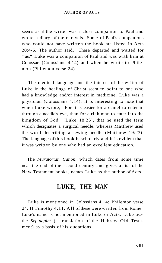seems as if the writer was a close companion to Paul and wrote a diary of their travels. Some of Paul's companions who could not have written the book are listed in Acts 20:4-6. The author said, "These departed and waited for **"us."** Luke was a companion of Paul and was with him at Colossae (Colossians 4:14) and when he wrote to Philemon (Philemon verse 24).

The medical language and the interest of the writer of Luke in the healings of Christ seem to point to one who had a knowledge and/or interest in medicine. Luke was a physician (Colossians 4:14). It is interesting to note that when Luke wrote, "For it is easier for a camel to enter in through a needle's eye, than for a rich man to enter into the kingdom of God" (Luke 18:25), that he used the term which designates a surgical needle, whereas Matthew used the word describing a sewing needle (Matthew 19:23). The language of this book is scholarly and it is evident that it was written by one who had an excellent education.

The *Muratorian Canon,* which dates from some time near the end of the second century and gives a list of the New Testament books, names Luke as the author of Acts.

## **LUKE, THE MAN**

Luke is mentioned in Colossians 4:14; Philemon verse 24; II Timothy 4:11. All of these were written from Rome. Luke's name is not mentioned in Luke or Acts. Luke uses the *Septuagint* (a translation of the Hebrew Old Testament) as a basis of his quotations.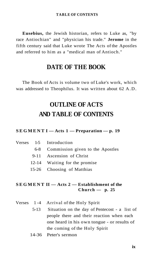**Eusebius,** the Jewish historian, refers to Luke as, "by race Antiochian" and "physician his trade." **Jerome** in the fifth century said that Luke wrote The Acts of the Apostles and referred to him as a "medical man of Antioch."

# **DATE OF THE BOOK**

The Book of Acts is volume two of Luke's work, which was addressed to Theophilus. It was written about 62 A.D.

# **OUTLINE OF ACTS AND TABLE OF CONTENTS**

#### **SEGMEN T I — Acts 1 — Preparation — p. 19**

|  | Verses 1-5 Introduction              |
|--|--------------------------------------|
|  | 6-8 Commission given to the Apostles |
|  | 9-11 Ascension of Christ             |
|  | 12-14 Waiting for the promise        |
|  | 15-26 Choosing of Matthias           |
|  |                                      |

#### **SEGMEN T II — Acts 2 — Establishment of the Church — p. 25**

|      | Verses 1-4 Arrival of the Holy Spirit         |  |  |
|------|-----------------------------------------------|--|--|
| 5-13 | Situation on the day of Pentecost - a list of |  |  |
|      | people there and their reaction when each     |  |  |
|      | one heard in his own tongue - or results of   |  |  |
|      | the coming of the Holy Spirit                 |  |  |
|      |                                               |  |  |

14-36 Peter's sermon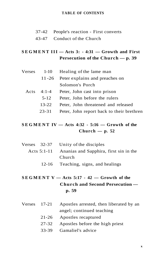- 37-42 People's reaction First converts
- 43-47 Conduct of the Church

## $SEGMENT III - Acts 3: -4:31 - Growth and First$ **Persecution of the Church — p. 39**

| $Verses$ 1-10 | Healing of the lame man                   |
|---------------|-------------------------------------------|
| 11-26         | Peter explains and preaches on            |
|               | Solomon's Porch                           |
| Acts $4:1-4$  | Peter, John cast into prison              |
| $5 - 12$      | Peter, John before the rulers             |
| 13-22         | Peter, John threatened and released       |
| 23-31         | Peter, John report back to their brethren |

## **SEGMEN T IV — Acts 4:32 - 5:16 — Growth of the Church — p. 52**

|  | Verses 32-37 Unity of the disciples                |
|--|----------------------------------------------------|
|  | Acts 5:1-11 Ananias and Sapphira, first sin in the |
|  | Church                                             |
|  | 12-16 Teaching, signs, and healings                |

## **SEGMEN T V — Acts 5:17 - 42 — Growth of the Church and Second Persecution p. 59**

- Verses 17-21 Apostles arrested, then liberated by an angel; continued teaching
	- 21-26 Apostles recaptured
	- 27-32 Apostles before the high priest
	- 33-39 Gamaliel's advice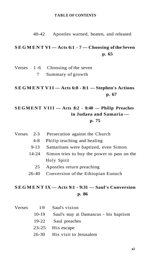40-42 Apostles warned, beaten, and released

## **SEGMEN T VI — Acts 6:1 - 7 — Choosing of the Seven p. 65**

|  | Verses $1-6$ Choosing of the seven |
|--|------------------------------------|
|  | Summary of growth                  |

## **SEGMEN T VII — Acts 6:8 - 8:1 — Stephen's Actions p. 67**

## **SEGMEN T VIII — Acts 8:2 - 8:40 — Philip Preaches in Judaea and Samaria p. 75**

| $Verses$ 2-3 |  | Persecution against the Church |  |  |
|--------------|--|--------------------------------|--|--|
|--------------|--|--------------------------------|--|--|

- 4-8 Philip teaching and healing
- 9-13 Samaritans were baptized, even Simon
- 14-24 Simon tries to buy the power to pass on the Holy Spirit
	- 25 Apostles return preaching
- 26-40 Conversion of the Ethiopian Eunuch

### **SEGMEN T IX — Acts 9:1 - 9:31 — Saul's Conversion p. 86**

| Verses |         | 1-9 Saul's vision                     |
|--------|---------|---------------------------------------|
|        | $10-19$ | Saul's stay at Damascus - his baptism |
|        | 19-22   | Saul preaches                         |
|        |         | 23-25 His escape                      |
|        |         | 26-30 His visit to Jerusalem          |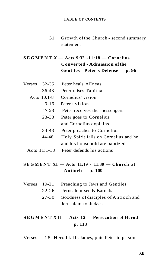31 Growth of the Church - second summary statement

## **SEGMEN T X — Acts 9:32 -11:18 — Cornelius Converted - Admission of the Gentiles - Peter's Defense — p. 96**

| <b>Verses</b> | 32-35          | Peter heals AEneas                    |
|---------------|----------------|---------------------------------------|
|               | $36-43$        | Peter raises Tabitha                  |
|               | Acts $10:1-8$  | Cornelius' vision                     |
|               | $9 - 16$       | Peter's vision                        |
|               | $17 - 23$      | Peter receives the messengers         |
|               | $23 - 33$      | Peter goes to Cornelius               |
|               |                | and Cornelius explains                |
|               | 34-43          | Peter preaches to Cornelius           |
|               | 44-48          | Holy Spirit falls on Cornelius and he |
|               |                | and his household are baptized        |
|               | Acts $11:1-18$ | Peter defends his actions             |
|               |                |                                       |

## **SEGMEN T XI — Acts 11:19 - 11:30 — Church at Antioch — p. 109**

|  | Verses 19-21 Preaching to Jews and Gentiles |
|--|---------------------------------------------|
|  | 22-26 Jerusalem sends Barnabas              |
|  | 27-30 Goodness of disciples of Antioch and  |
|  | Jerusalem to Judaea                         |

# **SEGMEN T XII — Acts 12 — Persecution of Herod p. 113**

Verses 1-5 Herod kills James, puts Peter in prison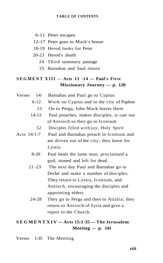- 6-11 Peter escapes
- 12-17 Peter goes to Mark's house
- 18-19 Herod looks for Peter
- 20-23 Herod's death
	- 24 Third summary passage
	- 25 Barnabas and Saul return

## $SEGMENT$   $XIII$   $-$  Acts  $13 -14$   $-$  Paul's First **Missionary Journey — p. 120**

Verses 1-6 Barnabas and Paul go to Cyprus 6-12 Work on Cyprus and in the city of Paphos 13 On to Perga, John Mark leaves them 14-51 Paul preaches, makes disciples, is cast out of Antioch so they go to Iconium 52 Disciples filled with joy, Holy Spirit Acts 14:1-7 Paul and Barnabas preach in Iconium and are driven out of the city; they leave for Lystra 8-20 Paul heals the lame man, proclaimed a god, stoned and left for dead 21 -23 The next day Paul and Barnabas go to Derbe and make a number of disciples. They return to Lystra, Iconium, and Antioch, encouraging the disciples and

> 24-28 They go to Perga and then to Attalia; they return to Antioch of Syria and give a report to the Church.

## **SEGMEN T XI V — Acts 15:1-35 — The Jerusalem Meeting — p. 141**

appointing elders

Verses 1-35 The Meeting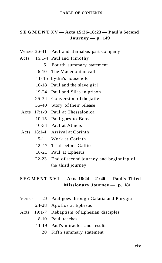#### **SEGMEN T XV — Acts 15:36-18:23 — Paul's Second Journey — p. 149**

- Verses 36-41 Paul and Barnabas part company
- Acts 16:1-4 Paul and Timothy
	- 5 Fourth summary statement
	- 6-10 The Macedonian call
	- 11- 15 Lydia's household
	- 16-18 Paul and the slave girl
	- 19-24 Paul and Silas in prison
	- 25-34 Conversion of the jailer
	- 35-40 Story of their release
	- Acts 17:1-9 Paul at Thessalonica
		- 10-15 Paul goes to Berea
		- 16-34 Paul at Athens
- Acts 18:1-4 Arrival at Corinth
	- 5-11 Work at Corinth
	- 12- 17 Trial before Gallio
	- 18-21 Paul at Ephesus
	- 22-23 End of second journey and beginning of the third journey

## **SEGMEN T XV I — Acts 18:24 - 21:40 — Paul's Third Missionary Journey — p. 181**

- Verses 23 Paul goes through Galatia and Phrygia
	- 24-28 Apollos at Ephesus
- Acts 19:1-7 Rebaptism of Ephesian disciples
	- 8-10 Paul teaches
	- 11-19 Paul's miracles and results
		- 20 Fifth summary statement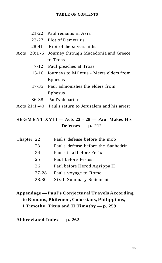- 21-22 Paul remains in Asia
- 23-27 Plot of Demetrius
- 28-41 Riot of the silversmiths
- Acts 20:1 -6 Journey through Macedonia and Greece to Troas
	- 7-12 Paul preaches at Troas
	- 13-16 Journeys to Miletus Meets elders from Ephesus
	- 17-35 Paul admonishes the elders from Ephesus
	- 36-38 Paul's departure
- Acts 21:1 -40 Paul's return to Jerusalem and his arrest

## **SEGMEN T XVII — Acts 22 - 28** — **Paul Makes His Defenses — p. 212**

| Chapter 22 |       | Paul's defense before the mob       |
|------------|-------|-------------------------------------|
|            | 23    | Paul's defense before the Sanhedrin |
|            | 24    | Paul's trial before Felix           |
|            | 25    | Paul before Festus                  |
|            | 26    | Paul before Herod Agrippa II        |
|            | 27-28 | Paul's voyage to Rome               |
|            | 28:30 | <b>Sixth Summary Statement</b>      |

## **Appendage — Paul's Conjectural Travels According to Romans, Philemon, Colossians, Philippians, I Timothy, Titus and II Timothy — p. 259**

#### **Abbreviated Index — p. 262**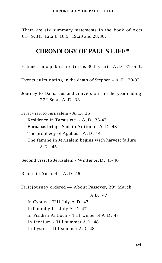#### **CHRONOLOGY OF PAUL'S LIF E**

There are six summary statements in the book of Acts: 6:7; 9:31; 12:24; 16:5; 19:20 and 28:30.

## **CHRONOLOGY OF PAUL'S LIFE\***

Entrance into public life (in his 30th year) - A.D. 31 or 32

Events culminating in the death of Stephen - A.D. 30-33

Journey to Damascus and conversion - in the year ending 22<sup>nd</sup> Sept., A.D. 33

First visit to Jerusalem - A.D. 35 Residence in Tarsus etc. - A.D. 35-43 Barnabas brings Saul to Antioch - A.D. 43 The prophecy of Agabus - A.D. 44 The famine in Jerusalem begins with harvest failure A.D. 45

Second visit to Jerusalem - Winter A.D. 45-46

Return to Antioch - A.D. 46

First journey ordered — About Passover, 29<sup>th</sup> March

A.D. 47

In Cyprus - Till July A.D. 47 In Pamphylia - July A.D. 47 In Pisidian Antioch - Till winter of A.D. 47 In Iconium - Till summer A.D. 48 In Lystra - Till summer A.D. 48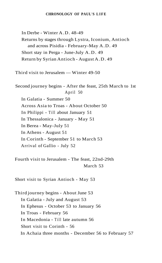#### **CHRONOLOGY OF PAUL'S LIF E**

In Derbe - Winter A.D. 48-49 Returns by stages through Lystra, Iconium, Antioch and across Pisidia - February-May A.D. 49 Short stay in Perga - June-July A.D. 49 Return by Syrian Antioch - August A.D. 49

Third visit to Jerusalem — Winter 49-50

Second journey begins - After the feast, 25th March to 1st April 50 In Galatia - Summer 50 Across Asia to Troas - About October 50 In Philippi - Till about January 51 In Thessalonica - January - May 51 In Berea - May-July 51 In Athens - August 51 In Corinth - September 51 to March 53 Arrival of Gallio - July 52

Fourth visit to Jerusalem - The feast, 22nd-29th March 53

Short visit to Syrian Antioch - May 53

Third journey begins - About June 53 In Galatia - July and August 53 In Ephesus - October 53 to January 56 In Troas - February 56 In Macedonia - Till late autumn 56 Short visit to Corinth - 56 In Achaia three months - December 56 to February 57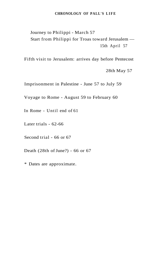#### **CHRONOLOGY OF PALL'S LIF E**

Journey to Philippi - March 57 Start from Philippi for Troas toward Jerusalem — 15th April 57

Fifth visit to Jerusalem: arrives day before Pentecost

28th May 57

Imprisonment in Palestine - June 57 to July 59

Voyage to Rome - August 59 to February 60

In Rome - Until end of 61

Later trials - 62-66

Second trial - 66 or 67

Death (28th of June?) - 66 or 67

\* Dates are approximate.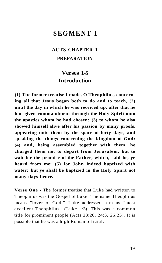# **SEGMEN T I**

# **ACTS CHAPTER 1 PREPARATION**

# **Verses 1-5 Introduction**

**(1) The former treatise I made, O Theophilus, concerning all that Jesus began both to do and to teach, (2) until the day in which he was received up, after that he had given commandment through the Holy Spirit unto the apostles whom he had chosen: (3) to whom he also showed himself alive after his passion by many proofs, appearing unto them by the space of forty days, and speaking the things concerning the kingdom of God: (4) and, being assembled together with them, he charged them not to depart from Jerusalem, but to wait for the promise of the Father, which, said he, ye heard from me: (5) for John indeed baptized with water; but ye shall be baptized in the Holy Spirit not many days hence.** 

**Verse One** - The former treatise that Luke had written to Theophilus was the Gospel of Luke. The name Theophilus means "lover of God." Luke addressed him as "most excellent Theophilus" (Luke 1:3). This was a common title for prominent people (Acts 23:26, 24:3, 26:25). It is possible that he was a high Roman official.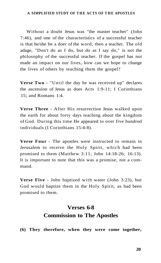#### **A SIMPLIFIED STUDY OF TH E ACTS OF TH E APOSTLES**

Without a doubt Jesus was "the master teacher" (John 7:46), and one of the characteristics of a successful teacher is that he/she be a doer of the word, then a teacher. The old adage, "Don't do as I do, but do as I say do," is not the philosophy of the successful teacher. If the gospel has not made an impact on our lives, how can we hope to change the lives of others by teaching them the gospel?

**Verse Two** - "Until the day he was received up" declares the ascension of Jesus as does Acts 1:9-11; I Corinthians 15; and Romans 1:4.

**Verse Three** - After His resurrection Jesus walked upon the earth for about forty days teaching about the kingdom of God. During this time He appeared to over five hundred individuals (I Corinthians 15:4-8).

**Verse Four** - The apostles were instructed to remain in Jerusalem to receive the Holy Spirit, which had been promised to them (Matthew 3:11; John 14:18-26; 16:13). It is important to note that this was a promise, not a command.

**Verse Five** - John baptized with water (John 3:23), but God would baptize them in the Holy Spirit, as had been promised to them.

# **Verses 6-8 Commission to The Apostles**

**(6) They therefore, when they were come together,**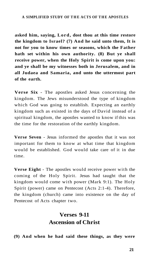#### **A SIMPLIFIED STUDY OF THE ACTS OF THE APOSTLES**

**asked him, saying, Lord, dost thou at this time restore the kingdom to Israel? (7) And he said unto them, It is not for you to know times or seasons, which the Father hath set within his own authority. (8) But ye shall receive power, when the Holy Spirit is come upon you: and ye shall be my witnesses both in Jerusalem, and in all Judaea and Samaria, and unto the uttermost part of the earth.** 

**Verse Six** - The apostles asked Jesus concerning the kingdom. The Jews misunderstood the type of kingdom which God was going to establish. Expecting an earthly kingdom such as existed in the days of David instead of a spiritual kingdom, the apostles wanted to know if this was the time for the restoration of the earthly kingdom.

**Verse Seven** - Jesus informed the apostles that it was not important for them to know at what time that kingdom would be established. God would take care of it in due time.

**Verse Eight** - The apostles would receive power with the coming of the Holy Spirit. Jesus had taught that the kingdom would come with power (Mark 9:1). The Holy Spirit (power) came on Pentecost (Acts 2:1-4). Therefore, the kingdom (church) came into existence on the day of Pentecost of Acts chapter two.

# **Verses 9-11 Ascension of Christ**

**(9) And when he had said these things, as they were**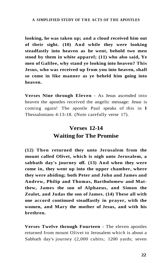**looking, he was taken up; and a cloud received him out of their sight. (10) And while they were looking steadfastly into heaven as he went, behold two men stood by them in white apparel; (11) who also said, Ye men of Galilee, why stand ye looking into heaven? This Jesus, who was received up from you into heaven, shall so come in like manner as ye beheld him going into heaven.** 

**Verses Nine through Eleven** - As Jesus ascended into heaven the apostles received the angelic message: Jesus is coming again! The apostle Paul speaks of this in **I**  Thessalonians 4:13-18. (Note carefully verse 17).

# **Verses 12-14 Waiting for The Promise**

**(12) Then returned they unto Jerusalem from the mount called Olivet, which is nigh unto Jerusalem, a sabbath day's journey off. (13) And when they were come in, they went up into the upper chamber, where they were abiding; both Peter and John and James and Andrew, Philip and Thomas, Bartholomew and Matthew, James the son of Alphaeus, and Simon the Zealot, and Judas the son of James. (14) These all with one accord continued steadfastly in prayer, with the women, and Mary the mother of Jesus, and with his brethren.** 

**Verses Twelve through Fourteen** - The eleven apostles returned from mount Olivet to Jerusalem which is about a Sabbath day's journey (2,000 cubits; 1200 yards; seven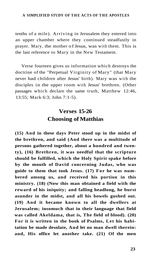#### A SIMPLIFIED STUDY OF THE ACTS OF THE APOSTLES

tenths of a mile). Arriving in Jerusalem they entered into an upper chamber where they continued steadfastly in prayer. Mary, the mother of Jesus, was with them. This is the last reference to Mary in the New Testament.

Verse fourteen gives us information which destroys the doctrine of the "Perpetual Virginity of Mary" (that Mary never had children after Jesus' birth). Mary was with the disciples in the upper room with Jesus' brethren. (Other passages which declare the same truth, Matthew 12:46, 13:55; Mark 6:3; John 7:1-5).

# **Verses 15-26 Choosing of Matthias**

**(15) And in these days Peter stood up in the midst of the brethren, and said (And there was a multitude of persons gathered together, about a hundred and twenty), (16) Brethren, it was needful that the scripture should be fulfilled, which the Holy Spirit spake before by the mouth of David concerning Judas, who was guide to them that took Jesus. (17) For he was numbered among us, and received his portion in this ministry. (18) (Now this man obtained a field with the reward of his iniquity; and falling headlong, he burst asunder in the midst, and all his bowels gushed out. (19) And it became known to all the dwellers at Jerusalem; insomuch that in their language that field was called Akeldama, that is, The field of blood). (20) For it is written in the book of Psalms, Let his habitation be made desolate, And let no man dwell therein: and, His office let another take. (21) Of the men**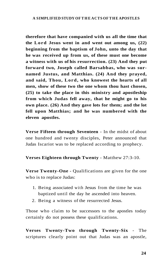**therefore that have companied with us all the time that the Lord Jesus went in and went out among us, (22) beginning from the baptism of John, unto the day that he was received up from us, of these must one become a witness with us of his resurrection. (23) And they put forward two, Joseph called Barsabbas, who was surnamed Justus, and Matthias. (24) And they prayed, and said, Thou, Lord, who knowest the hearts of all men, show of these two the one whom thou hast chosen, (25) to take the place in this ministry and apostleship from which Judas fell away, that he might go to his own place. (26) And they gave lots for them; and the lot fell upon Matthias; and he was numbered with the eleven apostles.** 

**Verse Fifteen through Seventeen** - In the midst of about one hundred and twenty disciples, Peter announced that Judas Iscariot was to be replaced according to prophecy.

**Verses Eighteen through Twenty** - Matthew 27:3-10.

**Verse Twenty-One** - Qualifications are given for the one who is to replace Judas:

- 1. Being associated with Jesus from the time he was baptized until the day he ascended into heaven.
- 2. Being a witness of the resurrected Jesus.

Those who claim to be successors to the apostles today certainly do not possess these qualifications.

**Verses Twenty-Two through Twenty-Six** - The scriptures clearly point out that Judas was an apostle,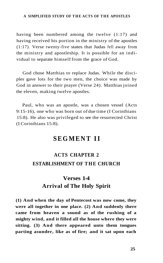#### **A SIMPLIFIED STUDY OF TH E ACTS OF TH E APOSTLES**

having been numbered among the twelve (1:17) and having received his portion in the ministry of the apostles (1:17). Verse twenty-five states that Judas fell away from the ministry and apostleship. It is possible for an individual to separate himself from the grace of God.

God chose Matthias to replace Judas. While the disciples gave lots for the two men, the choice was made by God in answer to their prayer (Verse 24). Matthias joined the eleven, making twelve apostles.

Paul, who was an apostle, was a chosen vessel (Acts 9:15-16), one who was born out of due time (I Corinthians 15:8). He also was privileged to see the resurrected Christ (I Corinthians 15:8).

# **SEGMENT II**

# **ACTS CHAPTER 2 ESTABLISHMENT OF THE CHURCH**

# **Verses 1-4 Arrival of The Holy Spirit**

**(1) And when the day of Pentecost was now come, they were all together in one place. (2) And suddenly there came from heaven a sound as of the rushing of a mighty wind, and it filled all the house where they were sitting. (3) And there appeared unto them tongues parting asunder, like as of fire; and it sat upon each**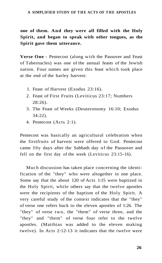#### A SIMPLIFIED STUDY OF THE ACTS OF THE APOSTLES

**one of them. And they were all filled with the Holy Spirit, and began to speak with other tongues, as the Spirit gave them utterance.** 

**Verse One** - Pentecost (along with the Passover and Feast of Tabernacles) was one of the annual feasts of the Jewish nation. Four names are given this feast which took place at the end of the barley harvest:

- 1. Feast of Harvest (Exodus 23:16).
- 2. Feast of First Fruits (Leviticus 23:17; Numbers 28:26).
- 3. The Feast of Weeks (Deuteronomy 16:10; Exodus 34:22).
- 4. Pentecost (Acts 2:1).

Pentecost was basically an agricultural celebration when the firstfruits of harvest were offered to God. Pentecost came fifty days after the Sabbath day of the Passover and fell on the first day of the week (Leviticus 23:15-16).

Much discussion has taken place concerning the identification of the "they" who were altogether in one place. Some say that the about 120 of Acts 1:15 were baptized in the Holy Spirit, while others say that the twelve apostles were the recipients of the baptism of the Holy Spirit. A very careful study of the context indicates that the "they" of verse one refers back to the eleven apostles of 1:26. The "they" of verse two, the "them" of verse three, and the "they" and "them" of verse four refer to the twelve apostles. (Matthias was added to the eleven making twelve). In Acts 2:12-13 it indicates that the twelve were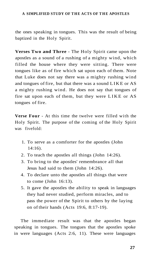#### A SIMPLIFIED STUDY OF THE ACTS OF THE APOSTLES

the ones speaking in tongues. This was the result of being baptized in the Holy Spirit.

**Verses Two and Three** - The Holy Spirit came upon the apostles as a sound of a rushing of a mighty wind, which filled the house where they were sitting. There were tongues like as of fire which sat upon each of them. Note that Luke does not say there was a mighty rushing wind and tongues of fire, but that there was a sound LIKE or AS a mighty rushing wind. He does not say that tongues of fire sat upon each of them, but they were LIKE or AS tongues of fire.

**Verse Four** - At this time the twelve were filled with the Holy Spirit. The purpose of the coming of the Holy Spirit was fivefold:

- 1. To serve as a comforter for the apostles (John 14:16).
- 2. To teach the apostles all things (John 14:26).
- 3. To bring to the apostles' remembrance all that Jesus had said to them (John 14:26).
- 4. To declare unto the apostles all things that were to come (John 16:13).
- 5. It gave the apostles the ability to speak in languages they had never studied, perform miracles, and to pass the power of the Spirit to others by the laying on of their hands (Acts 19:6, 8:17-19).

The immediate result was that the apostles began speaking in tongues. The tongues that the apostles spoke in were languages (Acts 2:6, 11). These were languages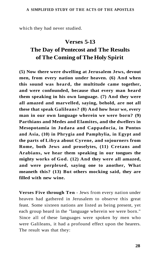which they had never studied.

# **Verses 5-13 The Day of Pentecost and The Results of The Coming of The Holy Spirit**

**(5) Now there were dwelling at Jerusalem Jews, devout men, from every nation under heaven. (6) And when this sound was heard, the multitude came together, and were confounded, because that every man heard them speaking in his own language. (7) And they were all amazed and marvelled, saying, behold, are not all these that speak Galileans? (8) And how hear we, every man in our own language wherein we were born? (9) Parthians and Medes and Elamites, and the dwellers in Mesopotamia in Judaea and Cappadocia, in Pontus and Asia, (10) in Phrygia and Pamphylia, in Egypt and the parts of Libya about Cyrene, and sojourners from Rome, both Jews and proselytes, (11) Cretans and Arabians, we hear them speaking in our tongues the mighty works of God. (12) And they were all amazed, and were perplexed, saying one to another, What meaneth this? (13) But others mocking said, they are filled with new wine.** 

**Verses Five through Ten** - Jews from every nation under heaven had gathered in Jerusalem to observe this great feast. Some sixteen nations are listed as being present, yet each group heard in the "language wherein we were born." Since all of these languages were spoken by men who were Galileans, it had a profound effect upon the hearers. The result was that they: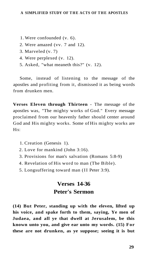- 1. Were confounded (v. 6).
- 2. Were amazed (vv. 7 and 12).
- 3. Marveled (v. 7)
- 4. Were perplexed (v. 12).
- 5. Asked, "what meaneth this?" (v. 12).

Some, instead of listening to the message of the apostles and profiting from it, dismissed it as being words from drunken men.

**Verses Eleven through Thirteen** - The message of the apostles was, "The mighty works of God." Every message proclaimed from our heavenly father should center around God and His mighty works. Some of His mighty works are His:

- 1. Creation (Genesis 1).
- 2. Love for mankind (John 3:16).
- 3. Provisions for man's salvation (Romans 5:8-9)
- 4. Revelation of His word to man (The Bible).
- 5. Longsuffering toward man (II Peter 3:9).

# **Verses 14-36 Peter's Sermon**

**(14) But Peter, standing up with the eleven, lifted up his voice, and spake forth to them, saying, Ye men of Judaea, and all ye that dwell at Jerusalem, be this known unto you, and give ear unto my words. (15) For these are not drunken, as ye suppose; seeing it is but**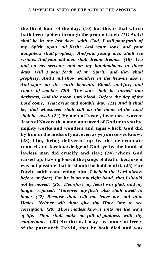**the third hour of the day; (16) but this is that which hath been spoken through the prophet Joel:** *(11) And it shall be in the last days, saith God, I will pour forth of my Spirit upon all flesh: And your sons and your daughters shall prophesy, And your young men shall see visions, And your old men shall dream dreams: (18) Yea and on my servants and on my handmaidens in those days Will I pour forth of my Spirit; and they shall prophesy. And I mil show wonders in the heaven above, And signs on the earth beneath; Blood, and fire, and vapor of smoke: (20) The sun shall be turned into darkness, And the moon into blood, Before the day of the Lord come, That great and notable day: (21) And it shall be, that whosoever shall call on the name of the Lord shall be saved.* **(22) Ye men of Israel, hear these words: Jesus of Nazareth, a man approved of God unto you by mighty works and wonders and signs which God did by him in the midst of you, even as ye yourselves know; (23) him, being delivered up by the determinate counsel and foreknowledge of God, ye by the hand of lawless men did crucify and slay; (24) whom God raised up, having loosed the pangs of death: because it was not possible that he should be holden of it. (25) For David saith concerning him,** *I beheld the Lord always before my face; For he is on my right hand, that I should not be moved: (26) Therefore my heart was glad, and my tongue rejoiced; Moreover my flesh also shall dwell in hope: (27) Because thou wilt not leave my soul unto Hades, Neither wilt thou give thy Holy One to see corruption. (28) Thou madest known unto me the ways of life; Thou shalt make me full of gladness with thy countenance.* **(29) Brethren, I may say unto you freely of the patriarch David, that he both died and was**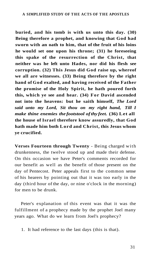**buried, and his tomb is with us unto this day. (30) Being therefore a prophet, and knowing that God had sworn with an oath to him, that of the fruit of his loins he would set one upon his throne; (31) he foreseeing this spake of the resurrection of the Christ, that neither was he left unto Hades, nor did his flesh see corruption. (32) This Jesus did God raise up, whereof we all are witnesses. (33) Being therefore by the right hand of God exalted, and having received of the Father the promise of the Holy Spirit, he hath poured forth this, which ye see and hear. (34) For David ascended not into the heavens: but he saith himself,** *The Lord said unto my Lord, Sit thou on my right hand, Till I make thine enemies the footstool of thy feet.* **(36) Let all the house of Israel therefore know assuredly, that God hath made him both Lord and Christ, this Jesus whom ye crucified.** 

**Verses Fourteen through Twenty** - Being charged with drunkenness, the twelve stood up and made their defense. On this occasion we have Peter's comments recorded for our benefit as well as the benefit of those present on the day of Pentecost. Peter appeals first to the common sense of his hearers by pointing out that it was too early in the day (third hour of the day, or nine o'clock in the morning) for men to be drunk.

Peter's explanation of this event was that it was the fulfillment of a prophecy made by the prophet Joel many years ago. What do we learn from Joel's prophecy?

<sup>1.</sup> It had reference to the last days (this is that).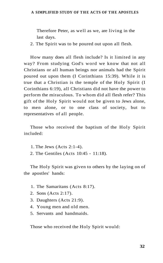#### A SIMPLIFIED STUDY OF THE ACTS OF THE APOSTLES

Therefore Peter, as well as we, are living in the last days.

2. The Spirit was to be poured out upon all flesh.

How many does all flesh include? Is it limited in any way? From studying God's word we know that not all Christians or all human beings nor animals had the Spirit poured out upon them (I Corinthians 15:39). While it is true that a Christian is the temple of the Holy Spirit (I Corinthians 6:19), all Christians did not have the power to perform the miraculous. To whom did all flesh refer? This gift of the Holy Spirit would not be given to Jews alone, to men alone, or to one class of society, but to representatives of all people.

Those who received the baptism of the Holy Spirit included:

1. The Jews (Acts 2:1-4).

2. The Gentiles (Acts 10:45 - 11:18).

The Holy Spirit was given to others by the laying on of the apostles' hands:

- 1. The Samaritans (Acts 8:17).
- 2. Sons (Acts 2:17).
- 3. Daughters (Acts 21:9).
- 4. Young men and old men.
- 5. Servants and handmaids.

Those who received the Holy Spirit would: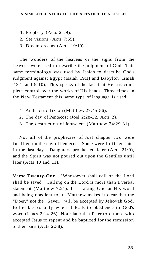- 1. Prophesy (Acts 21:9).
- 2. See visions (Acts 7:55).
- 3. Dream dreams (Acts 10:10)

The wonders of the heavens or the signs from the heavens were used to describe the judgment of God. This same terminology was used by Isaiah to describe God's judgment against Egypt (Isaiah 19:1) and Babylon (Isaiah 13:1 and 9-10). This speaks of the fact that He has complete control over the works of His hands. Three times in the New Testament this same type of language is used:

- 1. At the crucifixion (Matthew 27:45-56).
- 2. The day of Pentecost (Joel 2:28-32, Acts 2).
- 3. The destruction of Jerusalem (Matthew 24:29-31).

Not all of the prophecies of Joel chapter two were fulfilled on the day of Pentecost. Some were fulfilled later in the last days. Daughters prophesied later (Acts 21:9), and the Spirit was not poured out upon the Gentiles until later (Acts 10 and 11).

**Verse Twenty-One** - "Whosoever shall call on the Lord shall be saved." Calling on the Lord is more than a verbal statement (Matthew 7:21). It is taking God at His word and being obedient to it. Matthew makes it clear that the "Doer," not the "Sayer," will be accepted by Jehovah God. Belief blesses only when it leads to obedience to God's word (James 2:14-26). Note later that Peter told those who accepted Jesus to repent and be baptized for the remission of their sins (Acts 2:38).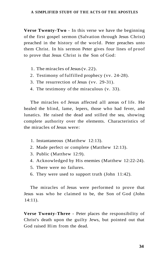**Verse Twenty-Two** - In this verse we have the beginning of the first gospel sermon (Salvation through Jesus Christ) preached in the history of the world. Peter preaches unto them Christ. In his sermon Peter gives four lines of proof to prove that Jesus Christ is the Son of God:

- 1. The miracles of Jesus (v. 22).
- 2. Testimony of fulfilled prophecy (vv. 24-28).
- 3. The resurrection of Jesus (vv. 29-31).
- 4. The testimony of the miraculous (v. 33).

The miracles of Jesus affected all areas of life. He healed the blind, lame, lepers, those who had fever, and lunatics. He raised the dead and stilled the sea, showing complete authority over the elements. Characteristics of the miracles of Jesus were:

- 1. Instantaneous (Matthew 12:13).
- 2. Made perfect or complete (Matthew 12:13).
- 3. Public (Matthew 12:9).
- 4. Acknowledged by His enemies (Matthew 12:22-24).
- 5. There were no failures.
- 6. They were used to support truth (John 11:42).

The miracles of Jesus were performed to prove that Jesus was who he claimed to be, the Son of God (John 14:11).

**Verse Twenty-Three** - Peter places the responsibility of Christ's death upon the guilty Jews, but pointed out that God raised Him from the dead.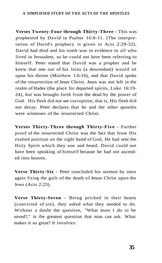#### A SIMPLIFIED STUDY OF THE ACTS OF THE APOSTLES

**Verses Twenty-Four through Thirty-Three** - This was prophesied by David in Psalms 16:8-11. (The interpretation of David's prophecy is given in Acts 2:29-32). David had died and his tomb was in evidence to all who lived in Jerusalem, so he could not have been referring to himself. Peter stated that David was a prophet and he knew that one out of his loins (a descendant) would sit upon his throne (Matthew 1:6-16), and that David spoke of the resurrection of Jesus Christ. Jesus was not left in the realm of Hades (the place for departed spirits, Luke 16:19- 24), but was brought forth from the dead by the power of God. His flesh did not see corruption, that is, His flesh did not decay. Peter declares that he and the other apostles were witnesses of the resurrected Christ.

**Verses Thirty-Three through Thirty-Five** - Further proof of the resurrected Christ was the fact that from His exalted position on the right hand of God, He had sent the Holy Spirit which they saw and heard. David could not have been speaking of himself because he had not ascended into heaven.

**Verse Thirty-Six** - Peter concluded his sermon by once again fixing the guilt of the death of Jesus Christ upon the Jews (Acts 2:23).

**Verse Thirty-Seven** - Being pricked in their hearts (convicted of sin), they asked what they needed to do. Without a doubt the question, "What must I do to be saved?," is the greatest question that man can ask. What makes it so great? It involves:

**35**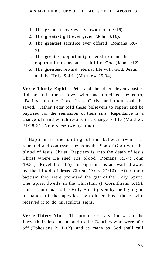- 1. The **greatest** love ever shown (John 3:16).
- 2. The **greatest** gift ever given (John 3:16).
- 3. The **greatest** sacrifice ever offered (Romans 5:8- 9).
- 4. The **greatest** opportunity offered to man, the opportunity to become a child of God (John 1:12).
- 5. The **greatest** reward, eternal life with God, Jesus and the Holy Spirit (Matthew 25:34).

**Verse Thirty-Eight** - Peter and the other eleven apostles did not tell these Jews who had crucified Jesus to, "Believe on the Lord Jesus Christ and thou shalt be saved," rather Peter told these believers to repent and be baptized for the remission of their sins. Repentance is a change of mind which results in a change of life (Matthew 21:28-31, Note verse twenty-nine).

Baptism is the uniting of the believer (who has repented and confessed Jesus as the Son of God) with the blood of Jesus Christ. Baptism is into the death of Jesus Christ where He shed His blood (Romans 6:3-4; John 19:34; Revelation 1:5). In baptism sins are washed away by the blood of Jesus Christ (Acts 22:16). After their baptism they were promised the gift of the Holy Spirit. The Spirit dwells in the Christian (I Corinthians 6:19). This is not equal to the Holy Spirit given by the laying on of hands of the apostles, which enabled those who received it to do miraculous signs.

**Verse Thirty-Nine** - The promise of salvation was to the Jews, their descendants and to the Gentiles who were afar off (Ephesians 2:11-13), and as many as God shall call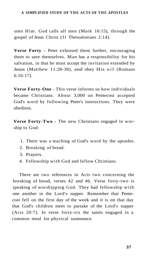unto Him. God calls all men (Mark 16:15), through the gospel of Jesus Christ (II Thessalonians 2:14).

**Verse Forty** - Peter exhorted them further, encouraging them to save themselves. Man has a responsibility for his salvation, in that he must accept the invitation extended by Jesus (Matthew 11:28-30), and obey His will (Romans 6:16-17).

**Verse Forty-One** - This verse informs us how individuals became Christians. About 3,000 on Pentecost accepted God's word by following Peter's instructions. They were obedient.

**Verse Forty-Two** - The new Christians engaged in worship to God:

- 1. There was a teaching of God's word by the apostles.
- 2. Breaking of bread.
- 3. Prayers.
- 4. Fellowship with God and fellow Christians.

There are two references in Acts two concerning the breaking of bread, verses 42 and 46. Verse forty-two is speaking of worshipping God. They had fellowship with one another in the Lord's supper. Remember that Pentecost fell on the first day of the week and it is on that day that God's children meet to partake of the Lord's supper (Acts 20:7). In verse forty-six the saints engaged in a common meal for physical sustenance.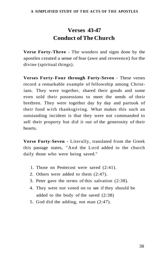# **Verses 43-47 Conduct of The Church**

**Verse Forty-Three** - The wonders and signs done by the apostles created a sense of fear (awe and reverence) for the divine (spiritual things).

**Verses Forty-Four through Forty-Seven** - These verses record a remarkable example of fellowship among Christians. They were together, shared their goods and some even sold their possessions to meet the needs of their brethren. They were together day by day and partook of their food with thanksgiving. What makes this such an outstanding incident is that they were not commanded to sell their property but did it out of the generosity of their hearts.

**Verse Forty-Seven** - Literally, translated from the Greek this passage states, "And the Lord added to the church daily those who were being saved."

- 1. Those on Pentecost were saved (2:41).
- 2. Others were added to them (2:47).
- 3. Peter gave the terms of this salvation (2:38).
- 4. They were not voted on to see if they should be added to the body of the saved (2:38)
- 5. God did the adding, not man (2:47).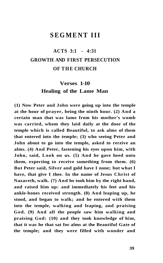### **SEGMENT III**

# **ACTS 3:1 - 4:31 GROWTH AND FIRST PERSECUTION OF THE CHURCH**

# **Verses 1-10 Healing of the Lame Man**

**(1) Now Peter and John were going up into the temple at the hour of prayer, being the ninth hour. (2) And a certain man that was lame from his mother's womb was carried, whom they laid daily at the door of the temple which is called Beautiful, to ask alms of them that entered into the temple; (3) who seeing Peter and John about to go into the temple, asked to receive an alms. (4) And Peter, fastening his eyes upon him, with John, said, Look on us. (5) And he gave heed unto them, expecting to receive something from them. (6) But Peter said, Silver and gold have I none; but what I have, that give I thee. In the name of Jesus Christ of Nazareth, walk. (7) And he took him by the right hand, and raised him up: and immediately his feet and his ankle-bones received strength. (8) And leaping up, he stood, and began to walk; and he entered with them into the temple, walking and leaping, and praising God. (9) And all the people saw him walking and praising God: (10) and they took knowledge of him, that it was he that sat for alms at the Beautiful Gate of the temple; and they were filled with wonder and**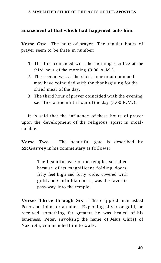### **amazement at that which had happened unto him.**

**Verse One** -The hour of prayer. The regular hours of prayer seem to be three in number:

- **1**. The first coincided with the morning sacrifice at the third hour of the morning (9:00 A.M.).
- 2. The second was at the sixth hour or at noon and may have coincided with the thanksgiving for the chief meal of the day.
- 3. The third hour of prayer coincided with the evening sacrifice at the ninth hour of the day  $(3:00 \text{ P.M.})$ .

It is said that the influence of these hours of prayer upon the development of the religious spirit is incalculable.

**Verse Two** - The beautiful gate is described by **McGarvey** in his commentary as follows:

> The beautiful gate of the temple, so-called because of its magnificent folding doors, fifty feet high and forty wide, covered with gold and Corinthian brass, was the favorite pass-way into the temple.

**Verses Three through Six** - The crippled man asked Peter and John for an alms. Expecting silver or gold, he received something far greater; he was healed of his lameness. Peter, invoking the name of Jesus Christ of Nazareth, commanded him to walk.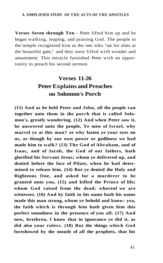**Verses Seven through Ten** - Peter lifted him up and he began walking, leaping, and praising God. The people in the temple recognized him as the one who "sat for alms at the beautiful gate," and they were filled with wonder and amazement. This miracle furnished Peter with an opportunity to preach his second sermon.

## **Verses 11-26 Peter Explains and Preaches on Solomon's Porch**

**(11) And as he held Peter and John, all the people ran together unto them in the porch that is called Solomon's, greatly wondering. (12) And when Peter saw it, he answered unto the people, Ye men of Israel, why marvel ye at this man? or why fasten ye your eyes on us, as though by our own power or godliness we had made him to walk? (13) The God of Abraham, and of Isaac, and of Jacob, the God of our fathers, hath glorified his Servant Jesus; whom ye delivered up, and denied before the face of Pilate, when he had determined to release him. (14) But ye denied the Holy and Righteous One, and asked for a murderer to be granted unto you, (15) and killed the Prince of life; whom God raised from the dead; whereof we are witnesses. (16) And by faith in his name hath his name made this man strong, whom ye behold and know: yea, the faith which is through him hath given him this perfect soundness in the presence of you all. (17) And now, brethren, I know that in ignorance ye did it, as did also your rulers. (18) But the things which God foreshowed by the mouth of all the prophets, that his**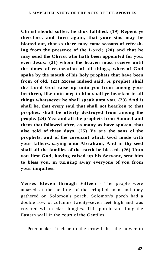**Christ should suffer, he thus fulfilled. (19) Repent ye therefore, and turn again, that your sins may be blotted out, that so there may come seasons of refreshing from the presence of the Lord; (20) and that he may send the Christ who hath been appointed for you, even Jesus: (21) whom the heaven must receive until the times of restoration of all things, whereof God spake by the mouth of his holy prophets that have been from of old. (22) Moses indeed said, A prophet shall the Lord God raise up unto you from among your brethren, like unto me; to him shall ye hearken in all things whatsoever he shall speak unto you. (23) And it shall be, that every soul that shall not hearken to that prophet, shall be utterly destroyed from among the people. (24) Yea and all the prophets from Samuel and them that followed after, as many as have spoken, that also told of these days. (25) Ye are the sons of the prophets, and of the covenant which God made with your fathers, saying unto Abraham, And in thy seed shall all the families of the earth be blessed. (26) Unto you first God, having raised up his Servant, sent him to bless you, in turning away everyone of you from your iniquities.** 

**Verses Eleven through Fifteen** - The people were amazed at the healing of the crippled man and they gathered on Solomon's porch. Solomon's porch had a double row of columns twenty-seven feet high and was covered with cedar shingles. This porch ran along the Eastern wall in the court of the Gentiles.

Peter makes it clear to the crowd that the power to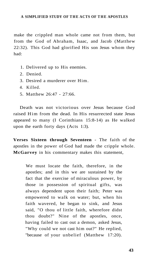make the crippled man whole came not from them, but from the God of Abraham, Isaac, and Jacob (Matthew 22:32). This God had glorified His son Jesus whom they had:

- 1. Delivered up to His enemies.
- 2. Denied.
- 3. Desired a murderer over Him.
- 4. Killed.
- 5. Matthew 26:47 27:66.

Death was not victorious over Jesus because God raised Him from the dead. In His resurrected state Jesus appeared to many (I Corinthians 15:8-14) as He walked upon the earth forty days (Acts 1:3).

**Verses Sixteen through Seventeen** - The faith of the apostles in the power of God had made the cripple whole. **McGarvey** in his commentary makes this statement,

We must locate the faith, therefore, in the apostles; and in this we are sustained by the fact that the exercise of miraculous power, by those in possession of spiritual gifts, was always dependent upon their faith; Peter was empowered to walk on water; but, when his faith wavered, he began to sink, and Jesus said, "O thou of little faith, wherefore didst thou doubt?" Nine of the apostles, once, having failed to cast out a demon, asked Jesus, "Why could we not cast him out?" He replied, "because of your unbelief (Matthew 17:20).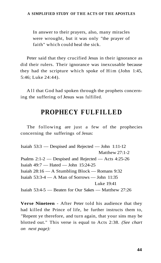In answer to their prayers, also, many miracles were wrought, but it was only "the prayer of faith" which could heal the sick.

Peter said that they crucified Jesus in their ignorance as did their rulers. Their ignorance was inexcusable because they had the scripture which spoke of Him (John 1:45, 5:46; Luke 24:44).

A ll that God had spoken through the prophets concerning the suffering of Jesus was fulfilled.

## **PROPHECY FULFILLED**

The following are just a few of the prophecies concerning the sufferings of Jesus:

Isaiah 53:3 — Despised and Rejected — John 1:11-12 Matthew 27:1-2 Psalms 2:1-2 — Despised and Rejected — Acts 4:25-26 Isaiah 49:7 — Hated — John 15:24-25 Isaiah 28:16 — A Stumbling Block — Romans 9:32 Isaiah 53:3-4 — A Man of Sorrows — John 11:35 Luke 19:41 Isaiah 53:4-5 — Beaten for Our Sakes — Matthew 27:26

**Verse Nineteen** - After Peter told his audience that they had killed the Prince of life, he further instructs them to, "Repent ye therefore, and turn again, that your sins may be blotted out." This verse is equal to Acts 2:38. *(See chart on next page):*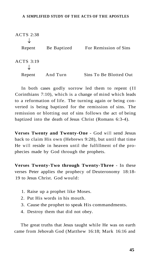| <b>ACTS 2:38</b> |             |                        |
|------------------|-------------|------------------------|
| Repent           | Be Baptized | For Remission of Sins  |
| <b>ACTS 3:19</b> |             |                        |
| Repent           | And Turn    | Sins To Be Blotted Out |

In both cases godly sorrow led them to repent (II Corinthians 7:10), which is a change of mind which leads to a reformation of life. The turning again or being converted is being baptized for the remission of sins. The remission or blotting out of sins follows the act of being baptized into the death of Jesus Christ (Romans 6:3-4).

**Verses Twenty and Twenty-One** - God will send Jesus back to claim His own (Hebrews 9:28), but until that time He will reside in heaven until the fulfillment of the prophecies made by God through the prophets.

**Verses Twenty-Two through Twenty-Three** - In these verses Peter applies the prophecy of Deuteronomy 18:18- 19 to Jesus Christ. God would:

- 1. Raise up a prophet like Moses.
- 2. Put His words in his mouth.
- 3. Cause the prophet to speak His commandments.
- 4. Destroy them that did not obey.

The great truths that Jesus taught while He was on earth came from Jehovah God (Matthew 16:18; Mark 16:16 and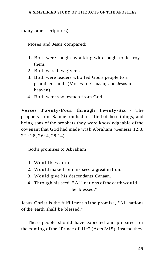many other scriptures).

Moses and Jesus compared:

- 1. Both were sought by a king who sought to destroy them.
- 2. Both were law givers.
- 3. Both were leaders who led God's people to a promised land. (Moses to Canaan; and Jesus to heaven).
- 4. Both were spokesmen from God.

**Verses Twenty-Four through Twenty-Six** - The prophets from Samuel on had testified of these things, and being sons of the prophets they were knowledgeable of the covenant that God had made with Abraham (Genesis 12:3,  $22:18, 26:4, 28:14$ .

God's promises to Abraham:

- 1. Would bless him.
- 2. Would make from his seed a great nation.
- 3. Would give his descendants Canaan.
- 4. Through his seed, "All nations of the earth would be blessed."

Jesus Christ is the fulfillment of the promise, "All nations of the earth shall be blessed."

These people should have expected and prepared for the coming of the "Prince of life" (Acts 3:15), instead they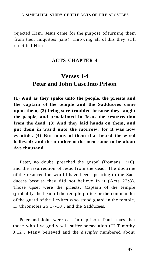rejected Him. Jesus came for the purpose of turning them from their iniquities (sins). Knowing all of this they still crucified Him.

### **ACTS CHAPTER 4**

# **Verses 1-4 Peter and John Cast Into Prison**

**(1) And as they spake unto the people, the priests and the captain of the temple and the Sadducees came upon them, (2) being sore troubled because they taught the people, and proclaimed in Jesus the resurrection from the dead. (3) And they laid hands on them, and put them in ward unto the morrow: for it was now eventide. (4) But many of them that heard the word believed; and the number of the men came to be about Ave thousand.** 

Peter, no doubt, preached the gospel (Romans 1:16), and the resurrection of Jesus from the dead. The doctrine of the resurrection would have been upsetting to the Sadducees because they did not believe in it (Acts 23:8). Those upset were the priests, Captain of the temple (probably the head of the temple police or the commander of the guard of the Levites who stood guard in the temple, II Chronicles 26:17-18), and the Sadducees.

Peter and John were cast into prison. Paul states that those who live godly will suffer persecution (II Timothy 3:12). Many believed and the *disciples* numbered about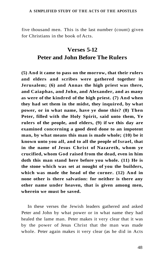five thousand men. This is the last number (count) given for Christians in the book of Acts.

## **Verses 5-12 Peter and John Before The Rulers**

**(5) And it came to pass on the morrow, that their rulers and elders and scribes were gathered together in Jerusalem; (6) and Annas the high priest was there, and Caiaphas, and John, and Alexander, and as many as were of the kindred of the high priest. (7) And when they had set them in the midst, they inquired, by what power, or in what name, have ye done this? (8) Then Peter, filled with the Holy Spirit, said unto them, Ye rulers of the people, and elders, (9) if we this day are examined concerning a good deed done to an impotent man, by what means this man is made whole; (10) be it known unto you all, and to all the people of Israel, that in the name of Jesus Christ of Nazareth, whom ye crucified, whom God raised from the dead, even in him doth this man stand here before you whole. (11) He is the stone which was set at nought of you the builders, which was made the head of the corner. (12) And in none other is there salvation: for neither is there any other name under heaven, that is given among men, wherein we must be saved.** 

In these verses the Jewish leaders gathered and asked Peter and John by what power or in what name they had healed the lame man. Peter makes it very clear that it was by the power of Jesus Christ that the man was made whole. Peter again makes it very clear (as he did in Acts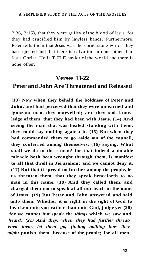2:36, 3:15), that they were guilty of the blood of Jesus, for they had crucified him by lawless hands. Furthermore, Peter tells them that Jesus was the cornerstone which they had rejected and that there is salvation in none other than Jesus Christ. He is **TH E** savior of the world and there is none other.

### **Verses 13-22**

### **Peter and John Are Threatened and Released**

**(13) Now when they beheld the boldness of Peter and John, and had perceived that they were unlearned and ignorant men, they marvelled; and they took knowledge of them, that they had been with Jesus. (14) And seeing the man that was healed standing with them, they could say nothing against it. (15) But when they had commanded them to go aside out of the council, they conferred among themselves, (16) saying, What shall we do to these men? for that indeed a notable miracle hath been wrought through them, is manifest to all that dwell in Jerusalem; and we cannot deny it. (17) But that it spread no further among the people, let us threaten them, that they speak henceforth to no man in this name. (18) And they called them, and charged them not to speak at all nor teach in the name of Jesus. (19) But Peter and John answered and said unto them, Whether it is right in the sight of God to hearken unto you rather than unto God, judge ye: (20) for we cannot but speak the** *things* **which we saw and**  *heard. (21) And they, when they had further threatened them, let them go, finding nothing how they might* **punish them, because of the people; for all men**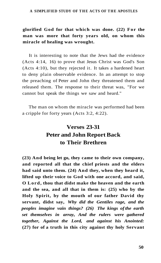**glorified God for that which was done. (22) For the man was more that forty years old, on whom this miracle of healing was wrought.** 

It is interesting to note that the Jews had the evidence (Acts 4:14, 16) to prove that Jesus Christ was God's Son (Acts 4:10), but they rejected it. It takes a hardened heart to deny plain observable evidence. In an attempt to stop the preaching of Peter and John they threatened them and released them. The response to their threat was, "For we cannot but speak the things we saw and heard."

The man on whom the miracle was performed had been a cripple for forty years (Acts 3:2, 4:22).

# **Verses 23-31 Peter and John Report Back to Their Brethren**

**(23) And being let go, they came to their own company, and reported all that the chief priests and the elders had said unto them. (24) And they, when they heard it, lifted up their voice to God with one accord, and said, O Lord, thou that didst make the heaven and the earth and the sea, and all that in them is: (25) who by the Holy Spirit, by the mouth of our father David thy servant, didst say,** *Why did the Gentiles rage, and the peoples imagine vain things? (26) The kings of the earth set themselves in array, And the rulers were gathered together, Against the Lord, and against his Anointed:*  **(27) for of a truth in this city against thy holy Servant**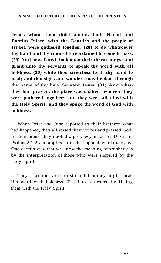**Jesus, whom thou didst anoint, both Herod and Pontius Pilate, with the Gentiles and the people of Israel, were gathered together, (28) to do whatsoever thy hand and thy counsel foreordained to come to pass. (29) And now, Lord, look upon their threatenings: and grant unto thy servants to speak thy word with all boldness, (30) while thou stretchest forth thy hand to heal; and that signs and wonders may be done through the name of thy holy Servant Jesus. (31) And when they had prayed, the place was shaken wherein they were gathered together; and they were all tilled with the Holy Spirit, and they spake the word of God with boldness.** 

When Peter and John reported to their brethren what had happened, they all raised their voices and praised God. In their praise they quoted a prophecy made by David in Psalms 2:1-2 and applied it to the happenings of their day. One certain way that we know the meaning of prophecy is by the interpretation of those who were inspired by the Holy Spirit.

They asked the Lord for strength that they might speak His word with boldness. The Lord answered by filling them with the Holy Spirit.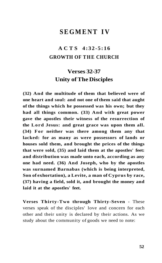### **SEGMENT IV**

## **ACT S 4:32-5:1 6 GROWTH OF THE CHURCH**

## **Verses 32-37 Unity of The Disciples**

**(32) And the multitude of them that believed were of one heart and soul: and not one of them said that aught of the things which he possessed was his own; but they had all things common. (33) And with great power gave the apostles their witness of the resurrection of the Lord Jesus: and great grace was upon them all. (34) For neither was there among them any that lacked: for as many as were possessors of lands or houses sold them, and brought the prices of the things that were sold, (35) and laid them at the apostles' feet: and distribution was made unto each, according as any one had need. (36) And Joseph, who by the apostles was surnamed Barnabas (which is being interpreted, Son of exhortation), a Levite, a man of Cyprus by race, (37) having a field, sold it, and brought the money and laid it at the apostles' feet.** 

**Verses Thirty-Two through Thirty-Seven** - These verses speak of the disciples' love and concern for each other and their unity is declared by their actions. As we study about the community of goods we need to note: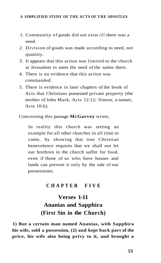- 1. Community of goods did not exist till there was a need.
- 2. Division of goods was made according to need, not quantity.
- 3. It appears that this action was limited to the church at Jerusalem to meet the need of the saints there.
- 4. There is no evidence that this action was commanded.
- 5. There is evidence in later chapters of the book of Acts that Christians possessed private property (the mother of John Mark, Acts 12:12; Simon, a tanner, Acts 10:6).

Concerning this passage **McGarvey** wrote,

In reality this church was setting an example for all other churches in all time to come, by showing that true Christian benevolence requires that we shall not let our brethren in the church suffer for food, even if those of us who have houses and lands can prevent it only by the sale of our possessions.

### **CHAPTE R FIV E**

# **Verses 1-11 Ananias and Sapphira (First Sin in the Church)**

**1) But a certain man named Ananias, with Sapphira his wife, sold a possession, (2) and kept back part of the price, his wife also being privy to it, and brought a**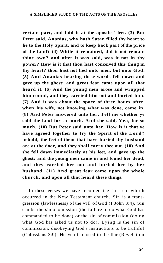**certain part, and laid it at the apostles' feet. (3) But Peter said, Ananias, why hath Satan filled thy heart to lie to the Holy Spirit, and to keep back part of the price of the land? (4) While it remained, did it not remain thine own? and after it was sold, was it not in thy power? How is it that thou hast conceived this thing in thy heart? thou hast not lied unto men, but unto God. (5) And Ananias hearing these words fell down and gave up the ghost: and great fear came upon all that heard it. (6) And the young men arose and wrapped him round, and they carried him out and buried him. (7) And it was about the space of three hours after, when his wife, not knowing what was done, came in. (8) And Peter answered unto her, Tell me whether ye sold the land for so much. And she said, Yea, for so much. (10) But Peter said unto her, How is it that ye have agreed together to try the Spirit of the Lord? behold, the feet of them that have buried thy husband are at the door, and they shall carry thee out. (10) And she fell down immediately at his feet, and gave up the ghost: and the young men came in and found her dead, and they carried her out and buried her by her husband. (11) And great fear came upon the whole church, and upon all that heard these things.** 

In these verses we have recorded the first sin which occurred in the New Testament church. Sin is a transgression (lawlessness) of the will of God (I John 3:4). Sin can be the sin of omission (the failure to do what God has commanded to be done) or the sin of commission (doing what God has asked us not to do). Lying is the sin of commission, disobeying God's instructions to be truthful (Colossians 3:9). Heaven is closed to the liar (Revelation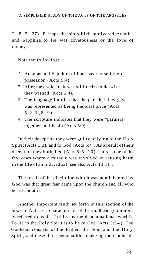21:8, 21:27). Perhaps the sin which motivated Ananias and Sapphira to lie was covetousness or the love of money.

Note the following:

- 1. Ananias and Sapphira did not have to sell their possession (Acts 5:4).
- 2. After they sold it, it was still theirs to do with as they wished (Acts 5:4).
- 3. The language implies that the part that they gave was represented as being the total price (Acts  $5:2,3$ ,  $8,9$ .
- 4. The scripture indicates that they were "partners" together in this sin (Acts 5:9).

In their deception they were guilty of lying to the Holy Spirit (Acts 5:3), and to God (Acts 5:4). As a result of their deception they both died (Acts 5:5, 10). This is one of the few cases where a miracle was involved in causing harm in the life of an individual (see also Acts 13:11).

The result of the discipline which was administered by God was that great fear came upon the church and all who heard about it.

Another important truth set forth in this section of the book of Acts is a characteristic of the Godhead (commonly referred to as the Trinity by the denominational world). To lie to the Holy Spirit is to lie to God (Acts 5:3-4). The Godhead consists of the Father, the Son, and the Holy Spirit, and these three personalities make up the Godhead.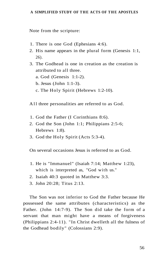Note from the scripture:

- 1. There is one God (Ephesians 4:6).
- 2. His name appears in the plural form (Genesis 1:1, 26).
- 3. The Godhead is one in creation as the creation is attributed to all three.
	- a. God (Genesis 1:1-2).
	- b. Jesus (John 1:1-3).
	- c. The Holy Spirit (Hebrews 1:2-10).

A ll three personalities are referred to as God.

- 1. God the Father (I Corinthians 8:6).
- 2. God the Son (John 1:1; Philippians 2:5-6; Hebrews 1:8).
- 3. God the Holy Spirit (Acts 5:3-4).

On several occasions Jesus is referred to as God.

- 1. He is "Immanuel" (Isaiah 7:14; Matthew 1:23), which is interpreted as, "God with us."
- 2. Isaiah 40:3 quoted in Matthew 3:3.
- 3. John 20:28; Titus 2:13.

The Son was not inferior to God the Father because He possessed the same attributes (characteristics) as the Father. (John 14:7-9). The Son did take the form of a servant that man might have a means of forgiveness (Philippians 2:4-11). "In Christ dwelleth all the fulness of the Godhead bodily" (Colossians 2:9).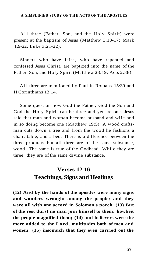A ll three (Father, Son, and the Holy Spirit) were present at the baptism of Jesus (Matthew 3:13-17; Mark 1:9-22; Luke 3:21-22).

Sinners who have faith, who have repented and confessed Jesus Christ, are baptized into the name of the Father, Son, and Holy Spirit (Matthew 28:19; Acts 2:38).

A ll three are mentioned by Paul in Romans 15:30 and II Corinthians 13:14.

Some question how God the Father, God the Son and God the Holy Spirit can be three and yet are one. Jesus said that man and woman become husband and wife and in so doing become one (Matthew 19:5). A wood craftsman cuts down a tree and from the wood he fashions a chair, table, and a bed. There is a difference between the three products but all three are of the same substance, wood. The same is true of the Godhead. While they are three, they are of the same divine substance.

### **Verses 12-16 Teachings, Signs and Healings**

**(12) And by the hands of the apostles were many signs and wonders wrought among the people; and they were all with one accord in Solomon's porch. (13) But of the rest durst no man join himself to them: howbeit the people magnified them; (14) and believers were the more added to the Lord, multitudes both of men and women: (15) insomuch that they even carried out the**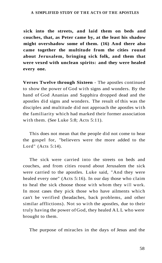**sick into the streets, and laid them on beds and couches, that, as Peter came by, at the least his shadow might overshadow some of them. (16) And there also came together the multitude from the cities round about Jerusalem, bringing sick folk, and them that were vexed with unclean spirits: and they were healed every one.** 

**Verses Twelve through Sixteen** - The apostles continued to show the power of God with signs and wonders. By the hand of God Ananias and Sapphira dropped dead and the apostles did signs and wonders. The result of this was the disciples and multitude did not approach the apostles with the familiarity which had marked their former association with them. (See Luke 5:8; Acts 5:11).

This does not mean that the people did not come to hear the gospel for, "believers were the more added to the Lord" (Acts 5:14).

The sick were carried into the streets on beds and couches, and from cities round about Jerusalem the sick were carried to the apostles. Luke said, "And they were healed every one" (Acts 5:16). In our day those who claim to heal the sick choose those with whom they will work. In most cases they pick those who have ailments which can't be verified (headaches, back problems, and other similar afflictions). Not so with the apostles, due to their truly having the power of God, they healed ALL who were brought to them.

The purpose of miracles in the days of Jesus and the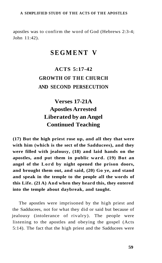apostles was to confirm the word of God (Hebrews 2:3-4; John 11:42).

## **SEGMENT V**

# **ACTS 5:17-42 GROWTH OF THE CHURCH AND SECOND PERSECUTION**

# **Verses 17-21A Apostles Arrested Liberated by an Angel Continued Teaching**

**(17) But the high priest rose up, and all they that were with him (which is the sect of the Sadducees), and they were filled with jealousy, (18) and laid hands on the apostles, and put them in public ward. (19) But an angel of the Lord by night opened the prison doors, and brought them out, and said, (20) Go ye, and stand and speak in the temple to the people all the words of this Life. (21 A) And when they heard this, they entered into the temple about daybreak, and taught.** 

The apostles were imprisoned by the high priest and the Sadducees, not for what they did or said but because of jealousy (intolerance of rivalry). The people were listening to the apostles and obeying the gospel (Acts 5:14). The fact that the high priest and the Sadducees were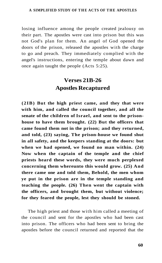losing influence among the people created jealousy on their part. The apostles were cast into prison but this was not God's plan for them. An angel of God opened the doors of the prison, released the apostles with the charge to go and preach. They immediately complied with the angel's instructions, entering the temple about dawn and once again taught the people (Acts 5:25).

### **Verses 21B-26 Apostles Recaptured**

**(2IB) But the high priest came, and they that were with him, and called the council together, and all the senate of the children of Israel, and sent to the prisonhouse to have them brought. (22) But the officers that came found them not in the prison; and they returned, and told, (23) saying, The prison-house we found shut in all safety, and the keepers standing at the doors: but when we had opened, we found no man within. (24) Now when the captain of the temple and the chief priests heard these words, they were much perplexed concerning them whereunto this would grow. (25) And there came one and told them, Behold, the men whom ye put in the prison are in the temple standing and teaching the people. (26) Then went the captain with the officers, and brought them, but without violence; for they feared the people, lest they should be stoned.** 

The high priest and those with him called a meeting of the council and sent for the apostles who had been cast into prison. The officers who had been sent to bring the apostles before the council returned and reported that the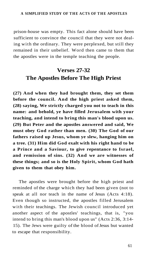prison-house was empty. This fact alone should have been sufficient to convince the council that they were not dealing with the ordinary. They were perplexed, but still they remained in their unbelief. Word then came to them that the apostles were in the temple teaching the people.

### **Verses 27-32 The Apostles Before The High Priest**

**(27) And when they had brought them, they set them before the council. And the high priest asked them, (28) saying, We strictly charged you not to teach in this name: and behold, ye have filled Jerusalem with your teaching, and intend to bring this man's blood upon us. (29) But Peter and the apostles answered and said, We must obey God rather than men. (30) The God of our fathers raised up Jesus, whom ye slew, hanging him on a tree. (31) Him did God exalt with his right hand to be a Prince and a Saviour, to give repentance to Israel, and remission of sins. (32) And we are witnesses of these things; and so is the Holy Spirit, whom God hath given to them that obey him.** 

The apostles were brought before the high priest and reminded of the charge which they had been given (not to speak at all nor teach in the name of Jesus (Acts 4:18). Even though so instructed, the apostles filled Jerusalem with their teachings. The Jewish council introduced yet another aspect of the apostles' teachings, that is, "you intend to bring this man's blood upon us" (Acts 2:36, 3:14- 15). The Jews were guilty of the blood of Jesus but wanted to escape that responsibility.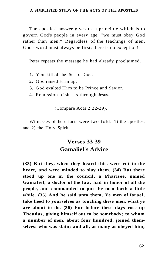The apostles' answer gives us a principle which is to govern God's people in every age, "we must obey God rather than men." Regardless of the teachings of men, God's word must always be first; there is no exception!

Peter repeats the message he had already proclaimed.

- **1**. You killed the Son of God.
- 2. God raised Him up.
- 3. God exalted Him to be Prince and Savior.
- 4. Remission of sins is through Jesus.

(Compare Acts 2:22-29).

Witnesses of these facts were two-fold: 1) the apostles, and 2) the Holy Spirit.

### **Verses 33-39 Gamaliel's Advice**

**(33) But they, when they heard this, were cut to the heart, and were minded to slay them. (34) But there stood up one in the council, a Pharisee, named Gamaliel, a doctor of the law, had in honor of all the people, and commanded to put the men forth a little while. (35) And he said unto them, Ye men of Israel, take heed to yourselves as touching these men, what ye are about to do. (36) For before these days rose up Theudas, giving himself out to be somebody; to whom a number of men, about four hundred, joined themselves: who was slain; and all, as many as obeyed him,**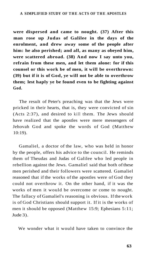**were dispersed and came to nought. (37) After this man rose up Judas of Galilee in the days of the enrolment, and drew away some of the people after him: he also perished; and all, as many as obeyed him, were scattered abroad. (38) And now I say unto you, refrain from these men, and let them alone: for if this counsel or this work be of men, it will be overthrown: (39) but if it is of God, ye will not be able to overthrow them; lest haply ye be found even to be fighting against God.** 

The result of Peter's preaching was that the Jews were pricked in their hearts, that is, they were convicted of sin (Acts 2:37), and desired to kill them. The Jews should have realized that the apostles were mere messengers of Jehovah God and spoke the words of God (Matthew 10:19).

Gamaliel, a doctor of the law, who was held in honor by the people, offers his advice to the council. He reminds them of Theudas and Judas of Galilee who led people in rebellion against the Jews. Gamaliel said that both of these men perished and their followers were scattered. Gamaliel reasoned that if the works of the apostles were of God they could not overthrow it. On the other hand, if it was the works of men it would be overcome or come to nought. The fallacy of Gamaliel's reasoning is obvious. If the work is of God Christians should support it. If it is the works of men it should be opposed (Matthew 15:9; Ephesians 5:11; Jude 3).

We wonder what it would have taken to convince the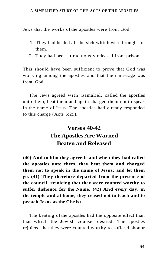Jews that the works of the apostles were from God.

- **1**. They had healed all the sick which were brought to them.
- 2. They had been miraculously released from prison.

This should have been sufficient to prove that God was working among the apostles and that their message was from God.

The Jews agreed with Gamaliel, called the apostles unto them, beat them and again charged them not to speak in the name of Jesus. The apostles had already responded to this charge (Acts 5:29).

# **Verses 40-42 The Apostles Are Warned Beaten and Released**

**(40) And to him they agreed: and when they had called the apostles unto them, they beat them and charged them not to speak in the name of Jesus, and let them go. (41) They therefore departed from the presence of the council, rejoicing that they were counted worthy to suffer dishonor for the Name. (42) And every day, in the temple and at home, they ceased not to teach and to preach Jesus as the Christ.** 

The beating of the apostles had the opposite effect than that which the Jewish counsel desired. The apostles rejoiced that they were counted worthy to suffer dishonor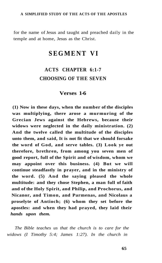for the name of Jesus and taught and preached daily in the temple and at home, Jesus as the Christ.

### **SEGMENT VI**

### **ACTS CHAPTER 6:1-7 CHOOSING OF THE SEVEN**

### **Verses 1-6**

**(1) Now in these days, when the number of the disciples was multiplying, there arose a murmuring of the Grecian Jews against the Hebrews, because their widows were neglected in the daily ministration. (2) And the twelve called the multitude of the disciples unto them, and said, It is not fit that we should forsake the word of God, and serve tables. (3) Look ye out therefore, brethren, from among you seven men of good report, full of the Spirit and of wisdom, whom we may appoint over this business. (4) But we will continue steadfastly in prayer, and in the ministry of the word. (5) And the saying pleased the whole multitude: and they chose Stephen, a man full of faith and of the Holy Spirit, and Philip, and Prochorus, and Nicanor, and Timon, and Parmenas, and Nicolaus a proselyte of Antioch; (6) whom they set before the apostles: and when they had prayed, they laid their**  *hands upon them.* 

*The Bible teaches us that the church is to care for the widows (I Timothy 5:4; James 1:27). In the church in*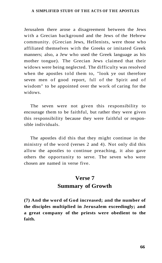Jerusalem there arose a disagreement between the Jews with a Grecian background and the Jews of the Hebrew community. (Grecian Jews, Hellenists, were those who affiliated themselves with the Greeks or imitated Greek manners; also, a Jew who used the Greek language as his mother tongue). The Grecian Jews claimed that their widows were being neglected. The difficulty was resolved when the apostles told them to, "look ye out therefore seven men of good report, full of the Spirit and of wisdom" to be appointed over the work of caring for the widows.

The seven were not given this responsibility to encourage them to be faithful, but rather they were given this responsibility because they were faithful or responsible individuals.

The apostles did this that they might continue in the ministry of the word (verses 2 and 4). Not only did this allow the apostles to continue preaching, it also gave others the opportunity to serve. The seven who were chosen are named in verse five.

### **Verse 7 Summary of Growth**

**(7) And the word of God increased; and the number of the disciples multiplied in Jerusalem exceedingly; and a great company of the priests were obedient to the faith.**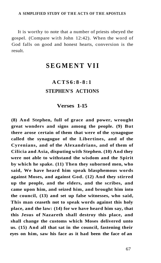It is worthy to note that a number of priests obeyed the gospel. (Compare with John 12:42). When the word of God falls on good and honest hearts, conversion is the result.

# **SEGMENT VII**

## **ACTS6:8-8: 1 STEPHEN'S ACTIONS**

### **Verses 1-15**

**(8) And Stephen, full of grace and power, wrought great wonders and signs among the people. (9) But there arose certain of them that were of the synagogue called the synagogue of the Libertines, and of the Cyrenians, and of the Alexandrians, and of them of Cilicia and Asia, disputing with Stephen. (10) And they were not able to withstand the wisdom and the Spirit by which he spake. (11) Then they suborned men, who said, We have heard him speak blasphemous words against Moses, and against God. (12) And they stirred up the people, and the elders, and the scribes, and came upon him, and seized him, and brought him into the council, (13) and set up false witnesses, who said, This man ceaseth not to speak words against this holy place, and the law: (14) for we have heard him say, that this Jesus of Nazareth shall destroy this place, and shall change the customs which Moses delivered unto us. (15) And all that sat in the council, fastening their eyes on him, saw his face as it had been the face of an**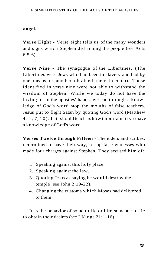### **angel.**

**Verse Eight** - Verse eight tells us of the many wonders and signs which Stephen did among the people (see Acts 6:5-6).

**Verse Nine** - The synagogue of the Libertines. (The Libertines were Jews who had been in slavery and had by one means or another obtained their freedom). Those identified in verse nine were not able to withstand the wisdom of Stephen. While we today do not have the laying on of the apostles' hands, we can through a knowledge of God's word stop the mouths of false teachers. Jesus put to flight Satan by quoting God's word (Matthew 4:4 , 7, 10). This should teach us how important it is to have a knowledge of God's word.

**Verses Twelve through Fifteen** - The elders and scribes, determined to have their way, set up false witnesses who made four charges against Stephen. They accused him of:

- 1. Speaking against this holy place.
- 2. Speaking against the law.
- 3. Quoting Jesus as saying he would destroy the temple (see John 2:19-22).
- 4. Changing the customs which Moses had delivered to them.

It is the behavior of some to lie or hire someone to lie to obtain their desires (see I Kings 21:1-16).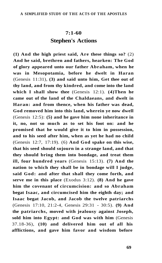### **7:1-60 Stephen's Actions**

**(1) And the high priest said, Are these things so?** (2) **And he said, brethren and fathers, hearken: The God of glory appeared unto our father Abraham, when he was in Mesopotamia, before he dwelt in Haran**  (Genesis 11:31), **(3) and said unto him, Get thee out of thy land, and from thy kindred, and come into the land which I shall show thee** (Genesis 12:1). **(4)Then he came out of the land of the Chaldaeans, and dwelt in Haran: and from thence, when his father was dead, God removed him into this land, wherein ye now dwell**  (Genesis 12:5): **(5) and he gave him none inheritance in it, no, not so much as to set his foot on: and he promised that he would give it to him in possession, and to his seed after him, when as yet he had no child**  (Genesis 12:7, 17:19). (6) **And God spake on this wise, that his seed should sojourn in a strange land, and that they should bring them into bondage, and treat them ill, four hundred years** (Genesis 15:13). **(7) And the nation to which they shall be in bondage will I judge, said God: and after that shall they come forth, and serve me in this place** (Exodus 3:12). **(8) And he gave him the covenant of circumcision: and so Abraham begat Isaac, and circumcised him the eighth day; and Isaac begat Jacob, and Jacob the twelve patriarchs**  (Genesis 17:10, 21:2-4, Genesis 29:31 - 30:5). **(9) And the patriarchs, moved with jealousy against Joseph, sold him into Egypt: and God was with him** (Genesis 37.18-36), **(10) and delivered him out of all his afflictions, and gave him favor and wisdom before**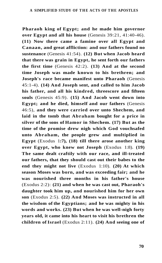**Pharaoh king of Egypt; and he made him governor over Egypt and all his house** (Genesis 39:21, 41:40-46). **(11) Now there came a famine over all Egypt and Canaan, and great affliction: and our fathers found no sustenance** (Genesis 41:54). **(12) But when Jacob heard that there was grain in Egypt, he sent forth our fathers the first time** (Genesis 42:2). **(13) And at the second time Joseph was made known to his brethren; and Joseph's race became manifest unto Pharaoh** (Genesis 45:1-4). **(14) And Joseph sent, and called to him Jacob his father, and all his kindred, threescore and fifteen souls** (Genesis 45:9). **(15) And Jacob went down into Egypt; and he died, himself and our fathers** (Genesis 46:5), **and they were carried over unto Shechem, and laid in the tomb that Abraham bought for a price in silver of the sons of Hamor in Shechem. (17) But as the time of the promise drew nigh which God vouchsafed unto Abraham, the people grew and multiplied in Egypt** (Exodus 1**:7), (18) till there arose another king over Egypt, who knew not Joseph** (Exodus 1:8). **(19) The same dealt craftily with our race, and ill-treated our fathers, that they should cast out their babes to the end they might not live** (Exodus 1:10). **(20) At which season Moses was born, and was exceeding fair; and he was nourished three months in his father's house**  (Exodus 2:2): **(21) and when he was cast out, Pharaoh's daughter took him up, and nourished him for her own son** (Exodus 2:5). **(22) And Moses was instructed in all the wisdom of the Egyptians; and he was mighty in his words and works. (23) But when he was well-nigh forty years old, it came into his heart to visit his brethren the children of Israel** (Exodus 2:11). **(24) And seeing one of**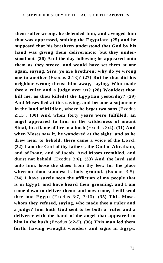**them suffer wrong, he defended him, and avenged him that was oppressed, smiting the Egyptian: (25) and he supposed that his brethren understood that God by his hand was giving them deliverance; but they understood not. (26) And the day following he appeared unto them as they strove, and would have set them at one again, saying, Sirs, ye are brethren; why do ye wrong one to another** (Exodus **2**:13)? **(27) But he that did his neighbor wrong thrust him away, saying, Who made thee a ruler and a judge over us? (28) Wouldest thou kill me, as thou killedst the Egyptian yesterday? (29) And Moses fled at this saying, and became a sojourner in the land of Midian, where he begat two sons** (Exodus **2**:15). **(30) And when forty years were fulfilled, an angel appeared to him in the wilderness of mount Sinai, in a flame of fire in a bush** (Exodus 3**:2). (31) And when Moses saw it, he wondered at the sight: and as he drew near to behold, there came a voice of the Lord, (32) I am the God of thy fathers, the God of Abraham, and of Isaac, and of Jacob. And Moses trembled, and durst not behold** (Exodus 3**:6). (33) And the lord said unto him, loose the shoes from thy feet: for the place whereon thou standest is holy ground.** (Exodus 3:5). **(34) I have surely seen the affliction of my people that is in Egypt, and have heard their groaning, and I am come down to deliver them: and now come, I will send thee into Egypt** (Exodus 3:7, 3:10). **(35) This Moses whom they refused, saying, who made thee a ruler and a judge? him hath God sent to be both a ruler and a deliverer with the hand of the angel that appeared to him in the bush** (Exodus 3**:2**-5). **(36) This man led them forth, having wrought wonders and signs in Egypt,**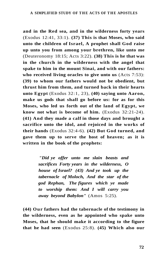**and in the Red sea, and in the wilderness forty years**  (Exodus 12:41, 33:1). **(37) This is that Moses, who said unto the children of Israel, A prophet shall God raise up unto you from among your brethren, like unto me**  (Deuteronomy 18:15; Acts 3:22). **(38) This is he that was in the church in the wilderness with the angel that spake to him in the mount Sinai, and with our fathers: who received living oracles to give unto us** (Acts 7:53): **(39) to whom our fathers would not be obedient, but thrust him from them, and turned back in their hearts unto Egypt** (Exodus 32:1, 23), **(40) saying unto Aaron, make us gods that shall go before us: for as for this Moses, who led us forth out of the land of Egypt, we know not what is become of him.** (Exodus 32:21-24). **(41) And they made a calf in those days and brought a sacrifice unto the idol, and rejoiced in the works of their hands** (Exodus 32:4-6). **(42) But God turned, and gave them up to serve the host of heaven; as it is written in the book of the prophets:** 

> *"Did ye offer unto me slain beasts and sacrifices Forty years in the wilderness, O house of Israel? (43) And ye took up the tabernacle of Moloch, And the star of the god Rephan, The figures which ye made to worship them: And I will carry you away beyond Babylon"* (Amos 5:25).

**(44) Our fathers had the tabernacle of the testimony in the wilderness, even as he appointed who spake unto Moses, that he should make it according to the figure that he had seen** (Exodus 25:8). **(45) Which also our**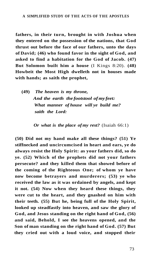**fathers, in their turn, brought in with Joshua when they entered on the possession of the nations, that God thrust out before the face of our fathers, unto the days of David; (46) who found favor in the sight of God, and asked to find a habitation for the God of Jacob. (47) But Solomon built him a house** (I Kings 8:20). **(48) Howbeit the Most High dwelleth not in houses made with hands; as saith the prophet,** 

**(49)** *The heaven is my throne, And the earth the footstool of my feet: What manner of house will ye build me? saith the Lord:* 

*Or what is the place of my rest?* (Isaiah 66:1)

**(50) Did not my hand make all these things? (51) Ye stiffnecked and uncircumcised in heart and ears, ye do always resist the Holy Spirit: as your fathers did, so do ye. (52) Which of the prophets did not your fathers persecute? and they killed them that showed before of the coming of the Righteous One; of whom ye have now become betrayers and murderers; (53) ye who received the law as it was ordained by angels, and kept it not. (54) Now when they heard these things, they were cut to the heart, and they gnashed on him with their teeth. (55) But he, being full of the Holy Spirit, looked up steadfastly into heaven, and saw the glory of God, and Jesus standing on the right hand of God, (56) and said, Behold, I see the heavens opened, and the Son of man standing on the right hand of God. (57) But they cried out with a loud voice, and stopped their**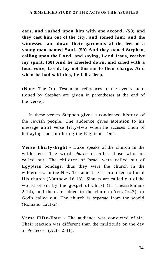**ears, and rushed upon him with one accord; (58) and they cast him out of the city, and stoned him: and the witnesses laid down their garments at the feet of a young man named Saul. (59) And they stoned Stephen, calling upon the Lord, and saying, Lord Jesus, receive my spirit. (60) And he kneeled down, and cried with a loud voice, Lord, lay not this sin to their charge. And when he had said this, he fell asleep.** 

(Note: The Old Testament references to the events mentioned by Stephen are given in parentheses at the end of the verse).

In these verses Stephen gives a condensed history of the Jewish people. The audience gives attention to his message until verse fifty-two when he accuses them of betraying and murdering the Righteous One.

**Verse Thirty-Eight** - Luke speaks of the church in the wilderness. The word *church* describes those who are called out. The children of Israel were called out of Egyptian bondage, thus they were the church in the wilderness. In the New Testament Jesus promised to build His church (Matthew 16:18). Sinners are called out of the world of sin by the gospel of Christ (II Thessalonians 2:14), and then are added to the church (Acts 2:47), or God's called out. The church is separate from the world (Romans 12:1-2).

**Verse Fifty-Four** - The audience was convicted of sin. Their reaction was different than the multitude on the day of Pentecost (Acts 2:41).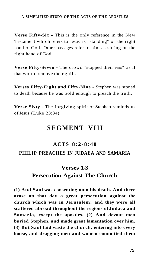**Verse Fifty-Six** - This is the only reference in the New Testament which refers to Jesus as "standing" on the right hand of God. Other passages refer to him as sitting on the right hand of God.

**Verse Fifty-Seven** - The crowd "stopped their ears" as if that would remove their guilt.

**Verses Fifty-Eight and Fifty-Nine** - Stephen was stoned to death because he was bold enough to preach the truth.

**Verse Sixty** - The forgiving spirit of Stephen reminds us of Jesus (Luke 23:34).

## **SEGMENT VIII**

#### **ACTS 8:2-8:4 0**

### **PHILIP PREACHES IN JUDAEA AND SAMARIA**

### **Verses 1-3**

### **Persecution Against The Church**

**(1) And Saul was consenting unto his death. And there arose on that day a great persecution against the church which was in Jerusalem; and they were all scattered abroad throughout the regions of Judaea and Samaria, except the apostles. (2) And devout men buried Stephen, and made great lamentation over him. (3) But Saul laid waste the church, entering into every house, and dragging men and women committed them**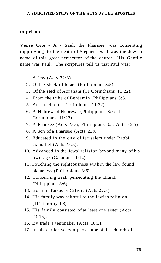#### **to prison.**

**Verse One** - A - Saul, the Pharisee, was consenting (approving) to the death of Stephen. Saul was the Jewish name of this great persecutor of the church. His Gentile name was Paul. The scriptures tell us that Paul was:

- 1. A Jew (Acts 22:3).
- 2. Of the stock of Israel (Philippians 3:5).
- 3. Of the seed of Abraham (II Corinthians 11:22).
- 4. From the tribe of Benjamin (Philippians 3:5).
- 5. An Israelite (II Corinthians 11:22).
- 6. A Hebrew of Hebrews (Philippians 3:5; II Corinthians 11:22).
- 7. A Pharisee (Acts 23:6; Philippians 3:5; Acts 26:5)
- 8. A son of a Pharisee (Acts 23:6).
- 9. Educated in the city of Jerusalem under Rabbi Gamaliel (Acts 22:3).
- 10. Advanced in the Jews' religion beyond many of his own age (Galatians 1:14).
- 11. Touching the righteousness within the law found blameless (Philippians 3:6).
- 12. Concerning zeal, persecuting the church (Philippians 3:6).
- 13. Born in Tarsus of Cilicia (Acts 22:3).
- 14. His family was faithful to the Jewish religion (II Timothy 1:3).
- 15. His family consisted of at least one sister (Acts 23:16).
- 16. By trade a tentmaker (Acts 18:3).
- 17. In his earlier years a persecutor of the church of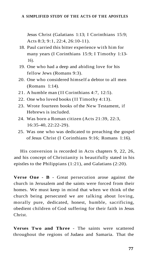Jesus Christ (Galatians 1:13; I Corinthians 15:9; Acts 8:3; 9:1, 22:4, 26:10-11).

- 18. Paul carried this bitter experience with him for many years (I Corinthians 15:9; I Timothy 1:13- 16).
- 19. One who had a deep and abiding love for his fellow Jews (Romans 9:3).
- 20. One who considered himself a debtor to all men (Romans 1:14).
- 21. A humble man (II Corinthians 4:7, 12:5).
- 22. One who loved books (II Timothy 4:13).
- 23. Wrote fourteen books of the New Testament, if Hebrews is included.
- 24. Was born a Roman citizen (Acts 21:39, 22:3, 16:35-40, 22:22-29).
- 25. Was one who was dedicated to preaching the gospel of Jesus Christ (I Corinthians 9:16; Romans 1:16).

His conversion is recorded in Acts chapters 9, 22, 26, and his concept of Christianity is beautifully stated in his epistles to the Philippians (1:21), and Galatians (2:20).

**Verse One - B** - Great persecution arose against the church in Jerusalem and the saints were forced from their homes. We must keep in mind that when we think of the church being persecuted we are talking about loving, morally pure, dedicated, honest, humble, sacrificing, obedient children of God suffering for their faith in Jesus Christ.

**Verses Two and Three** - The saints were scattered throughout the regions of Judaea and Samaria. That the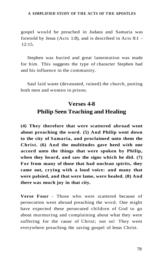gospel would be preached in Judaea and Samaria was foretold by Jesus (Acts 1:8), and is described in Acts 8:1 - 12:15.

Stephen was buried and great lamentation was made for him. This suggests the type of character Stephen had and his influence in the community.

Saul laid waste (devastated, ruined) the church, putting both men and women in prison.

# **Verses 4-8 Philip Seen Teaching and Healing**

**(4) They therefore that were scattered abroad went about preaching the word. (5) And Philip went down to the city of Samaria, and proclaimed unto them the Christ. (6) And the multitudes gave heed with one accord unto the things that were spoken by Philip, when they heard, and saw the signs which he did. (7) For from many of those that had unclean spirits, they came out, crying with a loud voice: and many that were palsied, and that were lame, were healed. (8) And there was much joy in that city.** 

**Verse Four** - Those who were scattered because of persecution went abroad preaching the word. One might have expected these persecuted children of God to go about murmuring and complaining about what they were suffering for the cause of Christ; not so! They went everywhere preaching the saving gospel of Jesus Christ.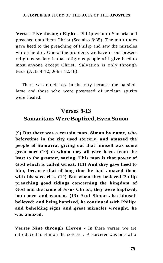**Verses Five through Eight** - Philip went to Samaria and preached unto them Christ (See also 8:35). The multitudes gave heed to the preaching of Philip and saw the miracles which he did. One of the problems we have in our present religious society is that religious people will give heed to most anyone except Christ. Salvation is only through Jesus (Acts 4:12; John 12:48).

There was much joy in the city because the palsied, lame and those who were possessed of unclean spirits were healed.

### **Verses 9-13 Samaritans Were Baptized, Even Simon**

**(9) But there was a certain man, Simon by name, who beforetime in the city used sorcery, and amazed the people of Samaria, giving out that himself was some great one: (10) to whom they all gave heed, from the least to the greatest, saying, This man is that power of God which is called Great. (11) And they gave heed to him, because that of long time he had amazed them with his sorceries. (12) But when they believed Philip preaching good tidings concerning the kingdom of God and the name of Jesus Christ, they were baptized, both men and women. (13) And Simon also himself believed: and being baptized, he continued with Philip; and beholding signs and great miracles wrought, he was amazed.** 

**Verses Nine through Eleven** - In these verses we are introduced to Simon the sorcerer. A sorcerer was one who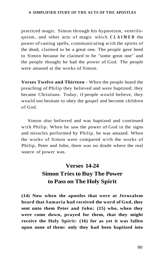practiced magic. Simon through his hypnotism, ventriloquism, and other acts of magic which **CLAIME <sup>D</sup>** the power of casting spells, communicating with the spirits of the dead, claimed to be a great one. The people gave heed to Simon because he claimed to be "some great one" and the people thought he had the power of God. The people were amazed at the works of Simon.

**Verses Twelve and Thirteen** - When the people heard the preaching of Philip they believed and were baptized; they became Christians. Today, if people would believe, they would not hesitate to obey the gospel and become children of God.

Simon also believed and was baptized and continued with Philip. When he saw the power of God in the signs and miracles performed by Philip, he was amazed. When the works of Simon were compared with the works of Philip, Peter and John, there was no doubt where the real source of power was.

# **Verses 14-24 Simon Tries to Buy The Power to Pass on The Holy Spirit**

**(14) Now when the apostles that were at Jerusalem heard that Samaria had received the word of God, they sent unto them Peter and John: (15) who, when they were come down, prayed for them, that they might receive the Holy Spirit: (16) for as yet it was fallen upon none of them: only they had been baptized into**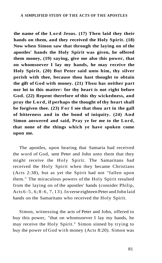**the name of the Lord Jesus. (17) Then laid they their hands on them, and they received the Holy Spirit. (18) Now when Simon saw that through the laying on of the apostles' hands the Holy Spirit was given, he offered them money, (19) saying, give me also this power, that on whomsoever I lay my hands, he may receive the Holy Spirit. (20) But Peter said unto him, thy silver perish with thee, because thou hast thought to obtain the gift of God with money. (21) Thou has neither part nor lot in this matter: for thy heart is not right before God. (22) Repent therefore of this thy wickedness, and pray the Lord, if perhaps the thought of thy heart shall be forgiven thee. (23) For I see that thou art in the gall of bitterness and in the bond of iniquity. (24) And Simon answered and said, Pray ye for me to the Lord, that none of the things which ye have spoken come upon me.** 

The apostles, upon hearing that Samaria had received the word of God, sent Peter and John unto them that they might receive the Holy Spirit. The Samaritans had received the Holy Spirit when they became Christians (Acts 2:38), but as yet the Spirit had not "fallen upon them." The miraculous powers of the Holy Spirit resulted from the laying on of the apostles' hands (consider Philip, Acts 6:5 , 6; 8:6 , 7, 13). In verse eighteen Peter and John laid hands on the Samaritans who received the Holy Spirit.

Simon, witnessing the acts of Peter and John, offered to buy this power, "that on whomsoever I lay my hands, he may receive the Holy Spirit." Simon sinned by trying to buy the power of God with money (Acts 8:20). Simon was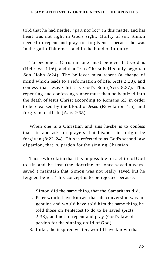told that he had neither "part nor lot" in this matter and his heart was not right in God's sight. Guilty of sin, Simon needed to repent and pray for forgiveness because he was in the gall of bitterness and in the bond of iniquity.

To become a Christian one must believe that God is (Hebrews 11:6), and that Jesus Christ is His only begotten Son (John 8:24). The believer must repent (a change of mind which leads to a reformation of life, Acts 2:38), and confess that Jesus Christ is God's Son (Acts 8:37). This repenting and confessing sinner must then be baptized into the death of Jesus Christ according to Romans 6:3 in order to be cleansed by the blood of Jesus (Revelation 1:5), and forgiven of all sin (Acts 2:38).

When one is a Christian and sins he/she is to confess that sin and ask for prayers that his/her sins might be forgiven (8:22-24). This is referred to as God's second law of pardon, that is, pardon for the sinning Christian.

Those who claim that it is impossible for a child of God to sin and be lost (the doctrine of "once-saved-alwayssaved") maintain that Simon was not really saved but he feigned belief. This concept is to be rejected because:

- 1. Simon did the same thing that the Samaritans did.
- 2. Peter would have known that his conversion was not genuine and would have told him the same thing he told those on Pentecost to do to be saved (Acts 2:38), and not to repent and pray (God's law of pardon for the sinning child of God).
- 3. Luke, the inspired writer, would have known that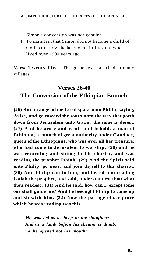Simon's conversion was not genuine.

4. To maintain that Simon did not become a child of God is to know the heart of an individual who lived over 1900 years ago.

**Verse Twenty-Five** - The gospel was preached in many villages.

### **Verses 26-40**

### **The Conversion of the Ethiopian Eunuch**

**(26) But an angel of the Lord spake unto Philip, saying, Arise, and go toward the south unto the way that goeth down from Jerusalem unto Gaza: the same is desert. (27) And he arose and went: and behold, a man of Ethiopia, a eunuch of great authority under Candace, queen of the Ethiopians, who was over all her treasure, who had come to Jerusalem to worship; (28) and he was returning and sitting in his chariot, and was reading the prophet Isaiah. (29) And the Spirit said unto Philip, go near, and join thyself to this chariot. (30) And Philip ran to him, and heard him reading Isaiah the prophet, and said, understandest thou what thou readest? (31) And he said, how can I, except some one shall guide me? And he besought Philip to come up and sit with him. (32) Now the passage of scripture which he was reading was this,** 

*He was led as a sheep to the slaughter; And as a lamb before his shearer is dumb, So he opened not his mouth:*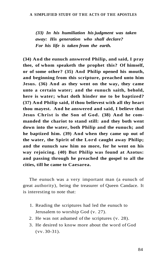*(33) In his humiliation his judgment was taken away: His generation who shall declare? For his life is taken from the earth.* 

**(34) And the eunuch answered Philip, and said, I pray thee, of whom speaketh the prophet this? Of himself, or of some other? (35) And Philip opened his mouth, and beginning from this scripture, preached unto him Jesus. (36) And as they went on the way, they came unto a certain water; and the eunuch saith, behold, here is water; what doth hinder me to be baptized? (37) And Philip said, if thou believest with all thy heart thou mayest. And he answered and said, I believe that Jesus Christ is the Son of God. (38) And he commanded the chariot to stand still: and they both went down into the water, both Philip and the eunuch; and he baptized him. (39) And when they came up out of the water, the Spirit of the Lord caught away Philip; and the eunuch saw him no more, for he went on his way rejoicing. (40) But Philip was found at Azotus: and passing through he preached the gospel to all the cities, till he came to Caesarea.** 

The eunuch was a very important man (a eunuch of great authority), being the treasurer of Queen Candace. It is interesting to note that:

- 1. Reading the scriptures had led the eunuch to Jerusalem to worship God (v. 27).
- 2. He was not ashamed of the scriptures (v. 28).
- 3. He desired to know more about the word of God (vv. 30-31).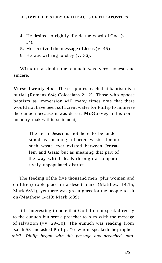- 4. He desired to rightly divide the word of God (v. 34).
- 5. He received the message of Jesus (v. 35).
- 6. He was willing to obey (v. 36).

Without a doubt the eunuch was very honest and sincere.

**Verse Twenty Six** - The scriptures teach that baptism is a burial (Romans 6:4; Colossians 2:12). Those who oppose baptism as immersion will many times note that there would not have been sufficient water for Philip to immerse the eunuch because it was desert. **McGarvey** in his commentary makes this statement,

> The term *desert* is not here to be understood as meaning a barren waste; for no such waste ever existed between Jerusalem and Gaza; but as meaning that part of the way which leads through a comparatively unpopulated district.

The feeding of the five thousand men (plus women and children) took place in a desert place (Matthew 14:15; Mark 6:31), yet there was green grass for the people to sit on (Matthew 14:19; Mark 6:39).

It is interesting to note that God did not speak directly to the eunuch but sent a preacher to him with the message of salvation (vv. 29-30). The eunuch was reading from Isaiah 53 and asked Philip, "of whom speaketh the prophet *this?" Philip began with this passage and preached unto*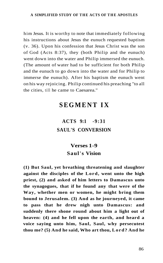him Jesus. It is worthy to note that immediately following his instructions about Jesus the eunuch requested baptism (v. 36). Upon his confession that Jesus Christ was the son of God (Acts 8:37), they (both Philip and the eunuch) went down into the water and Philip immersed the eunuch. (The amount of water had to be sufficient for both Philip and the eunuch to go down into the water and for Philip to immerse the eunuch). After his baptism the eunuch went on his way rejoicing. Philip continued his preaching "to all the cities, till he came to Caesarea."

# **SEGMENT IX**

## **ACTS 9:1 -9:31 SAUL'S CONVERSION**

## **Verses 1-9 Saul's Vision**

**(1) But Saul, yet breathing threatening and slaughter against the disciples of the Lord, went unto the high priest, (2) and asked of him letters to Damascus unto the synagogues, that if he found any that were of the Way, whether men or women, he might bring them bound to Jerusalem. (3) And as he journeyed, it came to pass that he drew nigh unto Damascus: and suddenly there shone round about him a light out of heaven: (4) and he fell upon the earth, and heard a voice saying unto him, Saul, Saul, why persecutest thou me? (5) And he said, Who art thou, Lord? And he**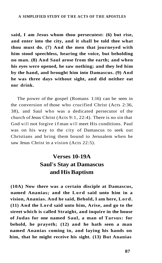**said, I am Jesus whom thou persecutest: (6) but rise, and enter into the city, and it shall be told thee what thou must do. (7) And the men that journeyed with him stood speechless, hearing the voice, but beholding no man. (8) And Saul arose from the earth; and when his eyes were opened, he saw nothing; and they led him by the hand, and brought him into Damascus. (9) And he was three days without sight, and did neither eat nor drink.** 

The power of the gospel (Romans 1:16) can be seen in the conversion of those who crucified Christ (Acts 2:36, 38), and Saul who was a dedicated persecutor of the church of Jesus Christ (Acts 9:1, 22:4). There is no sin that God will not forgive i f man will meet His conditions. Paul was on his way to the city of Damascus to seek out Christians and bring them bound to Jerusalem when he saw Jesus Christ in a vision (Acts 22:5).

## **Verses 10-19A Saul's Stay at Damascus and His Baptism**

**(10A) Now there was a certain disciple at Damascus, named Ananias; and the Lord said unto him in a vision, Ananias. And he said, Behold, I am here, Lord. (11) And the Lord said unto him, Arise, and go to the street which is called Straight, and inquire in the house of Judas for one named Saul, a man of Tarsus: for behold, he prayeth; (12) and he hath seen a man named Ananias coming in, and laying his hands on him, that he might receive his sight. (13) But Ananias**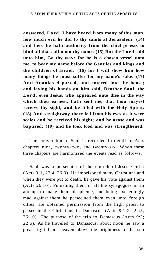**answered, Lord, I have heard from many of this man, how much evil he did to thy saints at Jerusalem: (14) and here he hath authority from the chief priests to bind all that call upon thy name. (15) But the Lord said unto him, Go thy way: for he is a chosen vessel unto me, to bear my name before the Gentiles and kings and the children of Israel: (16) for I will show him how many things he must suffer for my name's sake. (17) And Ananias departed, and entered into the house; and laying his hands on him said, Brother Saul, the Lord, even Jesus, who appeared unto thee in the way which thou earnest, hath sent me, that thou mayest receive thy sight, and be filled with the Holy Spirit. (18) And straightway there fell from his eyes as it were scales and he received his sight; and he arose and was baptized; (19) and he took food and was strengthened.** 

The conversion of Saul is recorded in detail in Acts chapters nine, twenty-two, and twenty-six. When these three chapters are harmonized the events read as follows.

Saul was a persecuter of the church of Jesus Christ (Acts 9:1, 22:4, 26:9). He imprisoned many Christians and when they were put to death, he gave his vote against them (Acts 26:10). Punishing them in all the synagogues in an attempt to make them blaspheme, and being exceedingly mad against them he persecuted them even unto foreign cities. He obtained permission from the high priest to persecute the Christians in Damascus (Acts 9:1-2; 22:5, 26:10). The purpose of the trip to Damascus (Acts 9:2; 22:5). As he traveled to Damascus, about noon he saw a great light from heaven above the brightness of the sun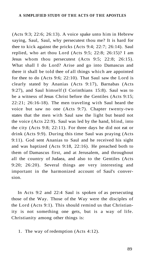(Acts 9:3; 22:6; 26:13). A voice spake unto him in Hebrew saying, Saul, Saul, why persecutest thou me? It is hard for thee to kick against the pricks (Acts 9:4; 22:7; 26:14). Saul replied, who art thou Lord (Acts 9:5: 22:8: 26:15)? I am Jesus whom thou persecutest (Acts 9:5; 22:8; 26:15). What shall I do Lord? Arise and go into Damascus and there it shall be told thee of all things which are appointed for thee to do (Acts 9:6; 22:10). That Saul saw the Lord is clearly stated by Ananias (Acts 9:17), Barnabas (Acts 9:27), and Saul himself (I Corinthians 15:8). Saul was to be a witness of Jesus Christ before the Gentiles (Acts 9:15; 22:21; 26:16-18). The men traveling with Saul heard the voice but saw no one (Acts 9:7). Chapter twenty-two states that the men with Saul saw the light but heard not the voice (Acts 22:9). Saul was led by the hand, blind, into the city (Acts 9:8; 22:11). For three days he did not eat or drink (Acts 9:9). During this time Saul was praying (Acts 9:11). God sent Ananias to Saul and he received his sight and was baptized (Acts 9:18, 22:16). He preached both to them of Damascus first, and at Jerusalem, and throughout all the country of Judaea, and also to the Gentiles (Acts 9:20; 26:20). Several things are very interesting and important in the harmonized account of Saul's conversion.

In Acts 9:2 and 22:4 Saul is spoken of as persecuting those of the Way. Those of the Way were the disciples of the Lord (Acts 9:1). This should remind us that Christianity is not something one gets, but is a way of life. Christianity among other things is:

1. The way of redemption (Acts 4:12).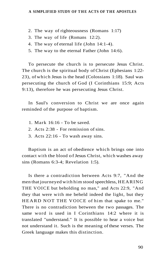- 2. The way of righteousness (Romans 1:17)
- 3. The way of life (Romans 12:2).
- 4. The way of eternal life (John 14:1-4).
- 5. The way to the eternal Father (John 14:6).

To persecute the church is to persecute Jesus Christ. The church is the spiritual body of Christ (Ephesians 1:22- 23), of which Jesus is the head (Colossians 1:18). Saul was persecuting the church of God (I Corinthians 15:9; Acts 9:13), therefore he was persecuting Jesus Christ.

In Saul's conversion to Christ we are once again reminded of the purpose of baptism.

- 1. Mark 16:16 To be saved.
- 2. Acts 2:38 For remission of sins.
- 3. Acts 22:16 To wash away sins.

Baptism is an act of obedience which brings one into contact with the blood of Jesus Christ, which washes away sins (Romans 6:3-4; Revelation 1:5).

Is there a contradiction between Acts 9:7, "And the men that journeyed with him stood speechless, HEARING THE VOICE but beholding no man," and Acts 22:9, "And they that were with me beheld indeed the light, but they HEARD NOT THE VOICE of him that spake to me." There is no contradiction between the two passages. The same word is used in I Corinthians 14:2 where it is translated "understand." It is possible to hear a voice but not understand it. Such is the meaning of these verses. The Greek language makes this distinction.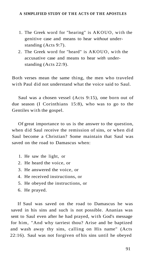- 1. The Greek word for "hearing" is AKOUO, with the genitive case and means to hear *without* understanding (Acts 9:7).
- 2. The Greek word for "heard" is AKOUO, with the accusative case and means to hear *with* understanding (Acts 22:9).

Both verses mean the same thing, the men who traveled with Paul did not understand what the voice said to Saul.

Saul was a chosen vessel (Acts 9:15), one born out of due season (I Corinthians 15:8), who was to go to the Gentiles with the gospel.

Of great importance to us is the answer to the question, when did Saul receive the remission of sins, or when did Saul become a Christian? Some maintain that Saul was saved on the road to Damascus when:

- 1. He saw the light, or
- 2. He heard the voice, or
- 3. He answered the voice, or
- 4. He received instructions, or
- 5. He obeyed the instructions, or
- 6. He prayed.

If Saul was saved on the road to Damascus he was saved in his sins and such is not possible. Ananias was sent to Saul even after he had prayed, with God's message for him, "And why tarriest thou? Arise and be baptized and wash away thy sins, calling on His name" (Acts 22:16). Saul was not forgiven of his sins until he obeyed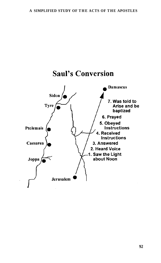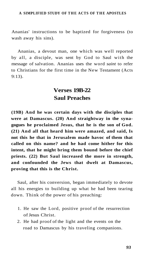Ananias' instructions to be baptized for forgiveness (to wash away his sins).

Ananias, a devout man, one which was well reported by all, a disciple, was sent by God to Saul with the message of salvation. Ananias uses the word *saint* to refer to Christians for the first time in the New Testament (Acts 9:13).

### **Verses 19B-22 Saul Preaches**

**(19B) And he was certain days with the disciples that were at Damascus. (20) And straightway in the synagogues he proclaimed Jesus, that he is the son of God. (21) And all that heard him were amazed, and said, Is not this he that in Jerusalem made havoc of them that called on this name? and he had come hither for this intent, that he might bring them bound before the chief priests. (22) But Saul increased the more in strength, and confounded the Jews that dwelt at Damascus, proving that this is the Christ.** 

Saul, after his conversion, began immediately to devote all his energies to building up what he had been tearing down. Think of the power of his preaching:

- 1. He saw the Lord, positive proof of the resurrection of Jesus Christ.
- 2. He had proof of the light and the events on the road to Damascus by his traveling companions.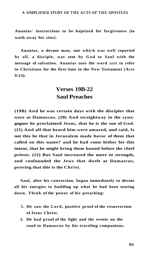**Ananias' instructions to be baptized for forgiveness (to wash away his sins).** 

**Ananias, a devout man, one which was well reported by all, a disciple, was sent by God to Saul with the message of salvation. Ananias uses the word** *saint* **to refer to Christians for the first time in the New Testament (Acts 9:13).** 

### **Verses 19B-22 Saul Preaches**

**(19B) And he was certain days with the disciples that were at Damascus. (20) And straightway in the synagogues he proclaimed Jesus, that he is the son of God. (21) And all that heard him were amazed, and said, Is not this he that in Jerusalem made havoc of them that called on this name? and he had come hither for this intent, that he might bring them bound before the chief priests. (22) But Saul increased the more in strength, and confounded the Jews that dwelt at Damascus, proving that this is the Christ.** 

**Saul, after his conversion, began immediately to devote all his energies to building up what he had been tearing down. Think of the power of his preaching:** 

- **1. He saw the Lord, positive proof of the resurrection of Jesus Christ.**
- **2. He had proof of the light and the events on the road to Damascus by his traveling companions.**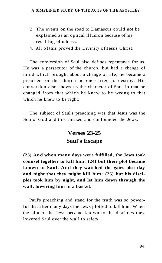- 3. The events on the road to Damascus could not be explained as an optical illusion because of his resulting blindness.
- 4. All of this proved the Divinity of Jesus Christ.

The conversion of Saul also defines repentance for us. He was a persecutor of the church, but had a change of mind which brought about a change of life; he became a preacher for the church he once tried to destroy. His conversion also shows us the character of Saul in that he changed from that which he knew to be wrong to that which he knew to be right.

The subject of Saul's preaching was that Jesus was the Son of God and this amazed and confounded the Jews.

# **Verses 23-25 Saul's Escape**

**(23) And when many days were fulfilled, the Jews took counsel together to kill him: (24) but their plot became known to Saul. And they watched the gates also day and night that they might kill him: (25) but his disciples took him by night, and let him down through the wall, lowering him in a basket.** 

Paul's preaching and stand for the truth was so powerful that after many days the Jews plotted to kill him. When the plot of the Jews became known to the disciples they lowered Saul over the wall to safety.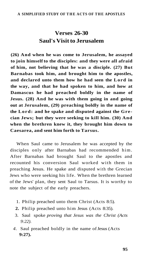## **Verses 26-30 Saul's Visit to Jerusalem**

**(26) And when he was come to Jerusalem, he assayed to join himself to the disciples: and they were all afraid of him, not believing that he was a disciple. (27) But Barnabas took him, and brought him to the apostles, and declared unto them how he had seen the Lord in the way, and that he had spoken to him, and how at Damascus he had preached boldly in the name of Jesus. (28) And he was with them going in and going out at Jerusalem, (29) preaching boldly in the name of the Lord: and he spake and disputed against the Grecian Jews; but they were seeking to kill him. (30) And when the brethren knew it, they brought him down to Caesarea, and sent him forth to Tarsus.** 

When Saul came to Jerusalem he was accepted by the disciples only after Barnabas had recommended him. After Barnabas had brought Saul to the apostles and recounted his conversion Saul worked with them in preaching Jesus. He spake and disputed with the Grecian Jews who were seeking his life. When the brethren learned of the Jews' plan, they sent Saul to Tarsus. It is worthy to note the subject of the early preachers.

- 1. Philip preached unto them Christ (Acts 8:5).
- **2.** Philip preached unto him Jesus (Acts 8:35).
- 3. Saul spoke *proving that Jesus was the Christ (Acts 9:22).*
- *4.* Saul preached boldly in the name of Jesus (Acts **9:27).**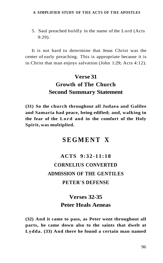5. Saul preached boldly in the name of the Lord (Acts 9:29).

It is not hard to determine that Jesus Christ was the center of early preaching. This is appropriate because it is in Christ that man enjoys salvation (John 1:29; Acts 4:12).

# **Verse 31 Growth of The Church Second Summary Statement**

**(31) So the church throughout all Judaea and Galilee and Samaria had peace, being edified; and, walking in the fear of the Lord and in the comfort of the Holy Spirit, was multiplied.** 

### **SEGMEN T X**

# **ACTS 9:32-11:1 8 CORNELIUS CONVERTED ADMISSION OF THE GENTILES PETER'S DEFENSE**

### **Verses 32-35 Peter Heals Aeneas**

**(32) And it came to pass, as Peter went throughout all parts, he came down also to the saints that dwelt at Lydda. (33) And there he found a certain man named**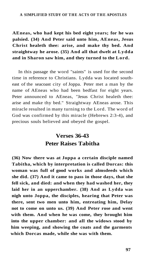**AEneas, who had kept his bed eight years; for he was palsied. (34) And Peter said unto him, AEneas, Jesus Christ healeth thee: arise, and make thy bed. And straightway he arose. (35) And all that dwelt at Lydda and in Sharon saw him, and they turned to the Lord.** 

In this passage the word "saints" is used for the second time in reference to Christians. Lydda was located southeast of the seacoast city of Joppa. Peter met a man by the name of AEneas who had been bedfast for eight years. Peter announced to AEneas, "Jesus Christ healeth thee: arise and make thy bed." Straightway AEneas arose. This miracle resulted in many turning to the Lord. The word of God was confirmed by this miracle (Hebrews 2:3-4), and precious souls believed and obeyed the gospel.

### **Verses 36-43 Peter Raises Tabitha**

**(36) Now there was at Joppa a certain disciple named Tabitha, which by interpretation is called Dorcas: this woman was full of good works and almsdeeds which she did. (37) And it came to pass in those days, that she fell sick, and died: and when they had washed her, they laid her in an upperchamber. (38) And as Lydda was nigh unto Joppa, the disciples, hearing that Peter was there, sent two men unto him, entreating him, Delay not to come on unto us. (39) And Peter rose and went with them. And when he was come, they brought him into the upper chamber: and all the widows stood by him weeping, and showing the coats and the garments which Dorcas made, while she was with them.**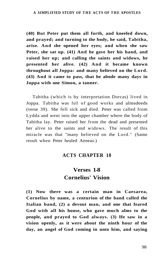**(40) But Peter put them all forth, and kneeled down, and prayed; and turning to the body, he said, Tabitha, arise. And she opened her eyes; and when she saw Peter, she sat up. (41) And he gave her his hand, and raised her up; and calling the saints and widows, he presented her alive. (42) And it became known throughout all Joppa: and many believed on the Lord. (43) And it came to pass, that he abode many days in Joppa with one Simon, a tanner.** 

Tabitha (which is by interpretation Dorcas) lived in Joppa. Tabitha was full of good works and almsdeeds (verse 39). She fell sick and died. Peter was called from Lydda and went into the upper chamber where the body of Tabitha lay. Peter raised her from the dead and presented her alive to the saints and widows. The result of this miracle was that "many believed on the Lord." (Same result when Peter healed Aeneas.)

### **ACTS CHAPTER 10**

## **Verses 1-8 Cornelius' Vision**

**(1) Now there was a certain man in Caesarea, Cornelius by name, a centurion of the band called the Italian band, (2) a devout man, and one that feared God with all his house, who gave much alms to the people, and prayed to God always. (3) He saw in a vision openly, as it were about the ninth hour of the day, an angel of God coming in unto him, and saying**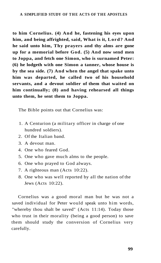**to him Cornelius. (4) And he, fastening his eyes upon him, and being affrighted, said, What is it, Lord? And he said unto him, Thy prayers and thy alms are gone up for a memorial before God. (5) And now send men to Joppa, and fetch one Simon, who is surnamed Peter: (6) he lodgeth with one Simon a tanner, whose house is by the sea side. (7) And when the angel that spake unto him was departed, he called two of his household servants, and a devout soldier of them that waited on him continually; (8) and having rehearsed all things unto them, he sent them to Joppa.** 

The Bible points out that Cornelius was:

- 1. A Centurion (a military officer in charge of one hundred soldiers).
- 2. Of the Italian band.
- 3. A devout man.
- 4. One who feared God.
- 5. One who gave much alms to the people.
- 6. One who prayed to God always.
- 7. A righteous man (Acts 10:22).
- 8. One who was well reported by all the nation of the Jews (Acts 10:22).

Cornelius was a good moral man but he was not a saved individual for Peter would speak unto him words, "whereby thou shalt be saved" (Acts 11:14). Today those who trust in their morality (being a good person) to save them should study the conversion of Cornelius very carefully.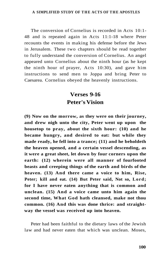The conversion of Cornelius is recorded in Acts 10:1- 48 and is repeated again in Acts 11:1-18 where Peter recounts the events in making his defense before the Jews in Jerusalem. These two chapters should be read together to fully understand the conversion of Cornelius. An angel appeared unto Cornelius about the ninth hour (as he kept the ninth hour of prayer, Acts 10:30), and gave him instructions to send men to Joppa and bring Peter to Caesarea. Cornelius obeyed the heavenly instructions.

### **Verses 9-16 Peter's Vision**

**(9) Now on the morrow, as they were on their journey, and drew nigh unto the city, Peter went up upon the housetop to pray, about the sixth hour: (10) and he became hungry, and desired to eat: but while they made ready, he fell into a trance; (11) and he beholdeth the heaven opened, and a certain vessel descending, as it were a great sheet, let down by four corners upon the earth: (12) wherein were all manner of fourfooted beasts and creeping things of the earth and birds of the heaven. (13) And there came a voice to him, Rise, Peter; kill and eat. (14) But Peter said, Not so, Lord; for I have never eaten anything that is common and unclean. (15) And a voice came unto him again the second time, What God hath cleansed, make not thou common. (16) And this was done thrice: and straightway the vessel was received up into heaven.** 

Peter had been faithful to the dietary laws of the Jewish law and had never eaten that which was unclean. Moses,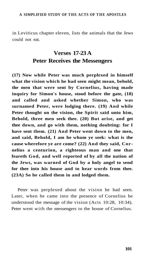in Leviticus chapter eleven, lists the animals that the Jews could not eat.

## **Verses 17-23 A Peter Receives the Messengers**

**(17) Now while Peter was much perplexed in himself what the vision which he had seen might mean, behold, the men that were sent by Cornelius, having made inquiry for Simon's house, stood before the gate, (18) and called and asked whether Simon, who was surnamed Peter, were lodging there. (19) And while Peter thought on the vision, the Spirit said unto him, Behold, three men seek thee. (20) But arise, and get thee down, and go with them, nothing doubting: for I have sent them. (21) And Peter went down to the men, and said, Behold, I am he whom ye seek: what is the cause wherefore ye are come? (22) And they said, Cornelius a centurion, a righteous man and one that feareth God, and well reported of by all the nation of the Jews, was warned of God by a holy angel to send for thee into his house and to hear words from thee. (23A) So he called them in and lodged them.** 

Peter was perplexed about the vision he had seen. Later, when he came into the presence of Cornelius he understood the message of the vision (Acts 10:28, 10:34). Peter went with the messengers to the house of Cornelius.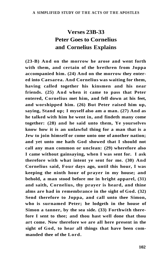# **Verses 23B-33 Peter Goes to Cornelius and Cornelius Explains**

**(23-B) And on the morrow he arose and went forth with them, and certain of the brethren from Joppa accompanied him. (24) And on the morrow they entered into Caesarea. And Cornelius was waiting for them, having called together his kinsmen and his near friends. (25) And when it came to pass that Peter entered, Cornelius met him, and fell down at his feet, and worshipped him. (26) But Peter raised him up, saying, Stand up; I myself also am a man. (27) And as he talked with him he went in, and findeth many come together: (28) and he said unto them, Ye yourselves know how it is an unlawful thing for a man that is a Jew to join himself or come unto one of another nation; and yet unto me hath God showed that I should not call any man common or unclean: (29) wherefore also I came without gainsaying, when I was sent for. I ask therefore with what intent ye sent for me. (30) And Cornelius said, Four days ago, until this hour, I was keeping the ninth hour of prayer in my house; and behold, a man stood before me in bright apparel, (31) and saith, Cornelius, thy prayer is heard, and thine alms are had in remembrance in the sight of God. (32) Send therefore to Joppa, and call unto thee Simon, who is surnamed Peter; he lodgeth in the house of Simon a tanner, by the sea side. (33) Forthwith therefore I sent to thee; and thou hast well done that thou art come. Now therefore we are all here present in the sight of God, to hear all things that have been commanded thee of the Lord.**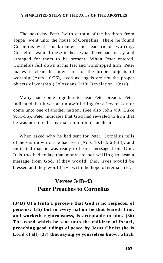The next day Peter (with certain of the brethren from Joppa) went unto the house of Cornelius. There he found Cornelius with his kinsmen and near friends waiting. Cornelius wanted these to hear what Peter had to say and arranged for them to be present. When Peter entered, Cornelius fell down at his feet and worshipped him. Peter makes it clear that men are not the proper objects of worship (Acts 10:26), even as angels are not the proper objects of worship (Colossians 2:18; Revelation 19:10).

Many had come together to hear Peter preach. Peter indicated that it was an unlawful thing for a Jew to join or come unto one of another nation. (See also John 4:9; Luke 9:51-56). Peter indicates that God had revealed to him that he was not to call any man common or unclean.

When asked why he had sent for Peter, Cornelius tells of the vision which he had seen (Acts 10:1-8; 23-33), and indicated that he was ready to hear a message from God. It is too bad today that many are not willing to hear a message from God. If they would, their lives would be blessed and they would live with the hope of eternal life.

### **Verses 34B-43 Peter Preaches to Cornelius**

**(34B) Of a truth I perceive that God is no respecter of persons: (35) but in every nation he that feareth him, and worketh righteousness, is acceptable to him. (36) The word which he sent unto the children of Israel, preaching good tidings of peace by Jesus Christ (he is Lord of all) (37) that saying ye yourselves know, which**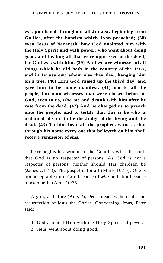**was published throughout all Judaea, beginning from Galilee, after the baptism which John preached; (38) even Jesus of Nazareth, how God anointed him with the Holy Spirit and with power: who went about doing good, and healing all that were oppressed of the devil; for God was with him. (39) And we are witnesses of all things which he did both in the country of the Jews, and in Jerusalem; whom also they slew, hanging him on a tree. (40) Him God raised up the third day, and gave him to be made manifest, (41) not to all the people, but unto witnesses that were chosen before of God, even to us, who ate and drank with him after he rose from the dead. (42) And he charged us to preach unto the people, and to testify that this is he who is ordained of God to be the Judge of the living and the dead. (43) To him bear all the prophets witness, that through his name every one that believeth on him shall receive remission of sins.** 

Peter begins his sermon to the Gentiles with the truth that God is no respecter of persons. As God is not a respecter of persons, neither should His children be (James 2:1-13). The gospel is for all (Mark 16:15). One is not acceptable unto God because of *who* he is but because of *what* he is (Acts 10:35).

Again, as before (Acts 2), Peter preaches the death and resurrection of Jesus the Christ. Concerning Jesus, Peter said:

- 1. God anointed Him with the Holy Spirit and power.
- 2. Jesus went about doing good.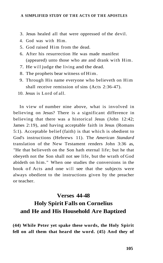- 3. Jesus healed all that were oppressed of the devil.
- 4. God was with Him.
- 5. God raised Him from the dead.
- 6. After his resurrection He was made manifest (appeared) unto those who ate and drank with Him.
- 7. He will judge the living and the dead.
- 8. The prophets bear witness of Him.
- 9. Through His name everyone who believeth on Him shall receive remission of sins (Acts 2:36-47).
- 10. Jesus is Lord of all.

In view of number nine above, what is involved in believing on Jesus? There is a significant difference in believing that there was a historical Jesus (John 12:42; James 2:19), and having acceptable faith in Jesus (Romans 5:1). Acceptable belief (faith) is that which is obedient to God's instructions (Hebrews 11). The *American Standard*  translation of the New Testament renders John 3:36 as, "He that believeth on the Son hath eternal life; but he that obeyeth not the Son shall not see life, but the wrath of God abideth on him." When one studies the conversions in the book of Acts and one will see that the subjects were always obedient to the instructions given by the preacher or teacher.

# **Verses 44-48 Holy Spirit Falls on Cornelius and He and His Household Are Baptized**

**(44) While Peter yet spake these words, the Holy Spirit fell on all them that heard the word. (45) And they of**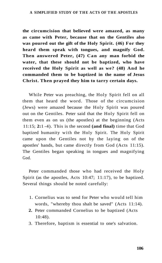**the circumcision that believed were amazed, as many as came with Peter, because that on the Gentiles also was poured out the gift of the Holy Spirit. (46) For they heard them speak with tongues, and magnify God. Then answered Peter, (47) Can any man forbid the water, that these should not be baptized, who have received the Holy Spirit as well as we? (48) And he commanded them to be baptized in the name of Jesus Christ. Then prayed they him to tarry certain days.** 

While Peter was preaching, the Holy Spirit fell on all them that heard the word. Those of the circumcision (Jews) were amazed because the Holy Spirit was poured out on the Gentiles. Peter said that the Holy Spirit fell on them even as on us (the apostles) at the beginning (Acts 11:15; **2:**1 -4). This is the second **(and final)** time that God baptized humanity with the Holy Spirit. The Holy Spirit came upon the Gentiles not by the laying on of the apostles' hands, but came directly from God (Acts 11:15). The Gentiles began speaking in tongues and magnifying God.

Peter commanded those who had received the Holy Spirit (as the apostles, Acts 10:47; 11:17), to be baptized. Several things should be noted carefully:

- 1. Cornelius was to send for Peter who would tell him words, "whereby thou shalt be saved" (Acts 11:14).
- **2.** Peter commanded Cornelius to be baptized (Acts 10:48).
- 3. Therefore, baptism is essential to one's salvation.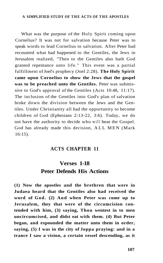What was the purpose of the Holy Spirit coming upon Cornelius? It was not for salvation because Peter was to speak words to lead Cornelius to salvation. After Peter had recounted what had happened to the Gentiles, the Jews in Jerusalem realized, "Then to the Gentiles also hath God granted repentance unto life." This event was a partial fulfillment of Joel's prophecy (Joel 2:28). **The Holy Spirit came upon Cornelius to show the Jews that the gospel was to be preached unto the Gentiles.** Peter was submissive to God's approval of the Gentiles (Acts 10:48, 11:17). The inclusion of the Gentiles into God's plan of salvation broke down the division between the Jews and the Gentiles. Under Christianity all had the opportunity to become children of God (Ephesians 2:13-22, 3:6). Today, we do not have the authority to decide who will hear the Gospel. God has already made this decision, ALL MEN (Mark) 16:15).

#### **ACTS CHAPTER 11**

### **Verses 1-18 Peter Defends His Actions**

**(1) Now the apostles and the brethren that were in Judaea heard that the Gentiles also had received the word of God. (2) And when Peter was come up to Jerusalem, they that were of the circumcision contended with him, (3) saying, Thou wentest in to men uncircumcised, and didst eat with them. (4) But Peter began, and expounded the matter unto them in order, saying, (5) I was in the city of Joppa praying: and in a trance I saw a vision, a certain vessel descending, as it**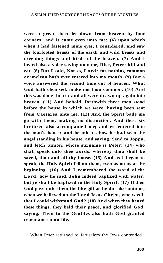**were a great sheet let down from heaven by four corners; and it came even unto me: (6) upon which when I had fastened mine eyes, I considered, and saw the fourfooted beasts of the earth and wild beasts and creeping things and birds of the heaven. (7) And I heard also a voice saying unto me, Rise, Peter; kill and eat. (8) But I said, Not so, Lord: for nothing common or unclean hath ever entered into my mouth. (9) But a voice answered the second time out of heaven, What God hath cleansed, make not thou common. (10) And this was done thrice: and all were drawn up again into heaven. (11) And behold, forthwith three men stood before the house in which we were, having been sent from Caesarea unto me. (12) And the Spirit bade me go with them, making no distinction. And these six brethren also accompanied me; and we entered into the man's house: and he told us how he had seen the angel standing in his house, and saying, Send to Joppa, and fetch Simon, whose surname is Peter; (14) who shall speak unto thee words, whereby thou shalt be saved, thou and all thy house. (15) And as I began to speak, the Holy Spirit fell on them, even as on us at the beginning. (16) And I remembered the word of the Lord, how he said, John indeed baptized with water; but ye shall be baptized in the Holy Spirit. (17) If then God gave unto them the like gift as he did also unto us, when we believed on the Lord Jesus Christ, who was I, that I could withstand God? (18) And when they heard these things, they held their peace, and glorified God, saying, Then to the Gentiles also hath God granted repentance unto life.** 

When Peter returned to Jerusalem the Jews contended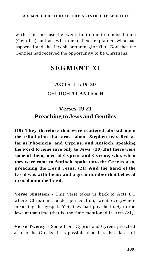with him because he went in to uncircumcised men (Gentiles) and ate with them. Peter explained what had happened and the Jewish brethren glorified God that the Gentiles had received the opportunity to be Christians.

## **SEGMENT X I**

# **ACTS 11:19-30 CHURCH AT ANTIOCH**

### **Verses 19-21 Preaching to Jews and Gentiles**

**(19) They therefore that were scattered abroad upon the tribulation that arose about Stephen travelled as far as Phoenicia, and Cyprus, and Antioch, speaking the word to none save only to Jews. (20) But there were some of them, men of Cyprus and Cyrene, who, when they were come to Antioch, spake unto the Greeks also, preaching the Lord Jesus. (21) And the hand of the Lord was with them: and a great number that believed turned unto the Lord.** 

**Verse Nineteen** - This verse takes us back to Acts 8:1 where Christians, under persecution, went everywhere preaching the gospel. Yet, they had preached *only* to the Jews at that time (that is, the time mentioned in Acts 8:1).

**Verse Twenty** - Some from Cyprus and Cyrene preached also to the Greeks. It is possible that there is a lapse of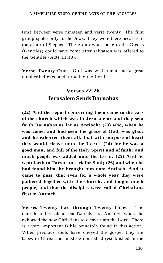time between verse nineteen and verse twenty. The first group spoke only to the Jews. They were there because of the affair of Stephen. The group who spoke to the Greeks (Gentiles) could have come after salvation was offered to the Gentiles (Acts 11:18).

**Verse Twenty-One** - God was with them and a great number believed and turned to the Lord.

## **Verses 22-26 Jerusalem Sends Barnabas**

**(22) And the report concerning them came to the ears of the church which was in Jerusalem: and they sent forth Barnabas as far as Antioch: (23) who, when he was come, and had seen the grace of God, was glad; and he exhorted them all, that with purpose of heart they would cleave unto the Lord: (24) for he was a good man, and full of the Holy Spirit and of faith: and much people was added unto the Lord. (25) And he went forth to Tarsus to seek for Saul; (26) and when he had found him, he brought him unto Antioch. And it came to pass, that even for a whole year they were gathered together with the church, and taught much people, and that the disciples were called Christians first in Antioch.** 

**Verses Twenty-Two through Twenty-Three** - The church at Jerusalem sent Barnabas to Antioch where he exhorted the new Christians to cleave unto the Lord. There is a very important Bible principle found in this action. When precious souls have obeyed the gospel they are babes in Christ and must be nourished (established in the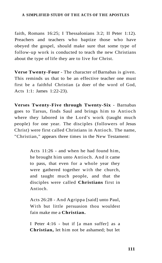faith, Romans 16:25; I Thessalonians 3:2; II Peter 1:12). Preachers and teachers who baptize those who have obeyed the gospel, should make sure that some type of follow-up work is conducted to teach the new Christians about the type of life they are to live for Christ.

**Verse Twenty-Four** - The character of Barnabas is given. This reminds us that to be an effective teacher one must first be a faithful Christian (a doer of the word of God, Acts 1:1: James 1:22-23).

**Verses Twenty-Five through Twenty-Six** - Barnabas goes to Tarsus, finds Saul and brings him to Antioch where they labored in the Lord's work (taught much people) for one year. The disciples (followers of Jesus Christ) were first called Christians in Antioch. The name, "Christian," appears three times in the New Testament:

> Acts 11:26 - and when he had found him, he brought him unto Antioch. And it came to pass, that even for a whole year they were gathered together with the church, and taught much people, and that the disciples were called **Christians** first in Antioch.

> Acts 26:28 - And Agrippa [said] unto Paul, With but little persuasion thou wouldest fain make me a **Christian.**

> I Peter 4:16 - but if [a man suffer] as a **Christian,** let him not be ashamed; but let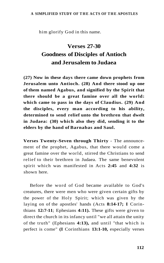him glorify God in this name.

# **Verses 27-30 Goodness of Disciples of Antioch and Jerusalem to Judaea**

**(27) Now in these days there came down prophets from Jerusalem unto Antioch. (28) And there stood up one of them named Agabus, and signified by the Spirit that there should be a great famine over all the world: which came to pass in the days of Claudius. (29) And the disciples, every man according to his ability, determined to send relief unto the brethren that dwelt in Judaea: (30) which also they did, sending it to the elders by the hand of Barnabas and Saul.** 

**Verses Twenty-Seven through Thirty** - The announcement of the prophet, Agabus, that there would come a great famine over the world, stirred the Christians to send relief to their brethren in Judaea. The same benevolent spirit which was manifested in Acts **2:45** and **4:32** is shown here.

Before the word of God became available to God's creatures, there were men who were given certain gifts by the power of the Holy Spirit; which was given by the laying on of the apostles' hands (Acts **8:14-17; I** Corinthians **12:7-11**; Ephesians **4:11).** These gifts were given to direct the church in its infancy until "we all attain the unity of the truth" (Ephesians **4:13),** and until "that which is perfect is come" **(I** Corinthians **13:1-10,** especially verses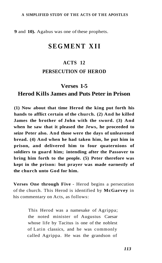**9** and **10).** Agabus was one of these prophets.

## **SEGMENT XII**

#### **ACTS 12**

### **PERSECUTION OF HEROD**

### **Verses 1-5**

### **Herod Kills James and Puts Peter in Prison**

**(1) Now about that time Herod the king put forth his hands to afflict certain of the church. (2) And he killed James the brother of John with the sword. (3) And when he saw that it pleased the Jews, he proceeded to seize Peter also. And those were the days of unleavened bread. (4) And when he had taken him, he put him in prison, and delivered him to four quaternions of soldiers to guard him; intending after the Passover to bring him forth to the people. (5) Peter therefore was kept in the prison: but prayer was made earnestly of the church unto God for him.** 

**Verses One through Five** - Herod begins a persecution of the church. This Herod is identified by **McGarvey** in his commentary on Acts, as follows:

> This Herod was a namesake of Agrippa; the noted minister of Augustus Caesar whose life by Tacitus is one of the noblest of Latin classics, and he was commonly called Agrippa. He was the grandson of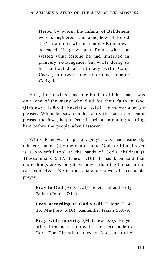Herod by whom the infants of Bethlehem were slaughtered, and a nephew of Herod the Tetrarch by whom John the Baptist was beheaded. He grew up in Rome, where he wasted what fortune he had inherited in princely extravagance; but while doing so he contracted an intimacy with Caius Caesar, afterward the notorious emperor Caligula.

First, Herod kills James the brother of John. James was only one of the many who died for their faith in God (Hebrews 11:36-38; Revelation 2:13). Herod was a people pleaser. When he saw that his activities as a persecutor pleased the Jews, he put Peter in prison intending to bring him before the people after Passover.

While Peter was in prison, prayer was made earnestly (sincere, intense) by the church unto God for him. Prayer is a powerful tool in the hands of God's children (I Thessalonians 5:17; James 5:16). It has been said that more things are wrought by prayer than the human mind can conceive. Note the characteristics of acceptable prayer:

> **Pray to God** (Acts 1:24), the eternal and Holy Father (John 17:11).

> **Pray according to God's will** (I John 5:14- 15; Matthew 6:10). Remember Isaiah 55:8-9.

> **Pray with sincerity** (Matthew 6:5). Prayer offered for man's approval is not acceptable to God. The Christian prays to God, not to be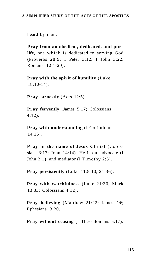heard by man.

**Pray from an obedient, dedicated, and pure life,** one which is dedicated to serving God (Proverbs 28:9; I Peter 3:12; I John 3:22; Romans 12:1-20).

**Pray with the spirit of humility** (Luke 18:10-14).

**Pray earnestly** (Acts 12:5).

**Pray fervently** (James 5:17; Colossians 4:12).

**Pray with understanding** (I Corinthians 14:15).

**Pray in the name of Jesus Christ** (Colossians 3:17; John 14:14). He is our advocate (I John 2:1), and mediator (I Timothy 2:5).

**Pray persistently** (Luke 11:5-10, 21:36).

**Pray with watchfulness** (Luke 21:36; Mark 13:33; Colossians 4:12).

**Pray believing** (Matthew 21:22; James 1:6; Ephesians 3:20).

**Pray without ceasing** (I Thessalonians 5:17).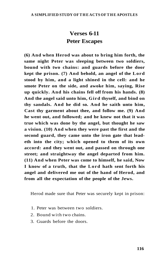## **Verses 6-11 Peter Escapes**

**(6) And when Herod was about to bring him forth, the same night Peter was sleeping between two soldiers, bound with two chains: and guards before the door kept the prison. (7) And behold, an angel of the Lord stood by him, and a light shined in the cell: and he smote Peter on the side, and awoke him, saying, Rise up quickly. And his chains fell off from his hands. (8) And the angel said unto him, Gird thyself, and bind on thy sandals. And he did so. And he saith unto him, Cast thy garment about thee, and follow me. (9) And he went out, and followed; and he knew not that it was true which was done by the angel, but thought he saw a vision. (10) And when they were past the first and the second guard, they came unto the iron gate that leadeth into the city; which opened to them of its own accord: and they went out, and passed on through one street; and straightway the angel departed from him. (11) And when Peter was come to himself, he said, Now I know of a truth, that the Lord hath sent forth his angel and delivered me out of the hand of Herod, and from all the expectation of the people of the Jews.** 

Herod made sure that Peter was securely kept in prison:

- 1. Peter was between two soldiers.
- 2. Bound with two chains.
- 3. Guards before the doors.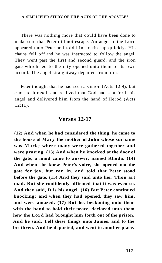There was nothing more that could have been done to make sure that Peter did not escape. An angel of the Lord appeared unto Peter and told him to rise up quickly. His chains fell off and he was instructed to follow the angel. They went past the first and second guard, and the iron gate which led to the city opened unto them of its own accord. The angel straightway departed from him.

Peter thought that he had seen a vision (Acts 12:9), but came to himself and realized that God had sent forth his angel and delivered him from the hand of Herod (Acts 12:11).

### **Verses 12-17**

**(12) And when he had considered the thing, he came to the house of Mary the mother of John whose surname was Mark; where many were gathered together and were praying. (13) And when he knocked at the door of the gate, a maid came to answer, named Rhoda. (14) And when she knew Peter's voice, she opened not the gate for joy, but ran in, and told that Peter stood before the gate. (15) And they said unto her, Thou art mad. But she confidently affirmed that it was even so. And they said, It is his angel. (16) But Peter continued knocking: and when they had opened, they saw him, and were amazed. (17) But he, beckoning unto them with the hand to hold their peace, declared unto them how the Lord had brought him forth out of the prison. And he said, Tell these things unto James, and to the brethren. And he departed, and went to another place.**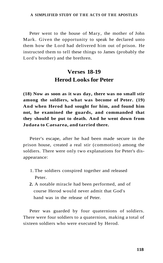Peter went to the house of Mary, the mother of John Mark. Given the opportunity to speak he declared unto them how the Lord had delivered him out of prison. He instructed them to tell these things to James (probably the Lord's brother) and the brethren.

### **Verses 18-19 Herod Looks for Peter**

**(18) Now as soon as it was day, there was no small stir among the soldiers, what was become of Peter. (19) And when Herod had sought for him, and found him not, he examined the guards, and commanded that they should be put to death. And he went down from Judaea to Caesarea, and tarried there.** 

Peter's escape, after he had been made secure in the prison house, created a real stir (commotion) among the soldiers. There were only two explanations for Peter's disappearance:

- 1. The soldiers conspired together and released Peter.
- **2.** A notable miracle had been performed, and of course Herod would never admit that God's hand was in the release of Peter.

Peter was guarded by four quaternions of soldiers. There were four soldiers to a quaternion, making a total of sixteen soldiers who were executed by Herod.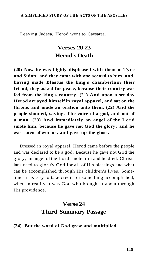Leaving Judaea, Herod went to Caesarea.

### **Verses 20-23 Herod's Death**

**(20) Now he was highly displeased with them of Tyre and Sidon: and they came with one accord to him, and, having made Blastus the king's chamberlain their friend, they asked for peace, because their country was fed from the king's country. (21) And upon a set day Herod arrayed himself in royal apparel, and sat on the throne, and made an oration unto them. (22) And the people shouted, saying, The voice of a god, and not of a man. (23) And immediately an angel of the Lord smote him, because he gave not God the glory: and he was eaten of worms, and gave up the ghost.** 

Dressed in royal apparel, Herod came before the people and was declared to be a god. Because he gave not God the glory, an angel of the Lord smote him and he died. Christians need to glorify God for all of His blessings and what can be accomplished through His children's lives. Sometimes it is easy to take credit for something accomplished, when in reality it was God who brought it about through His providence.

### **Verse 24 Third Summary Passage**

#### **(24) But the word of God grew and multiplied.**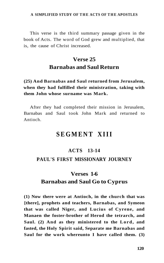This verse is the third summary passage given in the book of Acts. The word of God grew and multiplied, that is, the cause of Christ increased.

## **Verse 25 Barnabas and Saul Return**

**(25) And Barnabas and Saul returned from Jerusalem, when they had fulfilled their ministration, taking with them John whose surname was Mark.** 

After they had completed their mission in Jerusalem, Barnabas and Saul took John Mark and returned to Antioch.

## **SEGMENT XIII**

### **ACTS 13-14**

#### **PAUL'S FIRST MISSIONARY JOURNEY**

## **Verses 1-6 Barnabas and Saul Go to Cyprus**

**(1) Now there were at Antioch, in the church that was [there], prophets and teachers, Barnabas, and Symeon that was called Niger, and Lucius of Cyrene, and Manaen the foster-brother of Herod the tetrarch, and Saul. (2) And as they ministered to the Lord, and fasted, the Holy Spirit said, Separate me Barnabas and Saul for the work whereunto I have called them. (3)**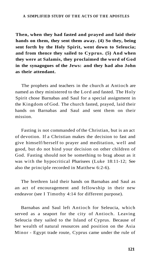**Then, when they had fasted and prayed and laid their hands on them, they sent them away. (4) So they, being sent forth by the Holy Spirit, went down to Seleucia; and from thence they sailed to Cyprus. (5) And when they were at Salamis, they proclaimed the word of God in the synagogues of the Jews: and they had also John as their attendant.** 

The prophets and teachers in the church at Antioch are named as they ministered to the Lord and fasted. The Holy Spirit chose Barnabas and Saul for a special assignment in the Kingdom of God. The church fasted, prayed, laid their hands on Barnabas and Saul and sent them on their mission.

Fasting is not commanded of the Christian, but is an act of devotion. If a Christian makes the decision to fast and give himself/herself to prayer and meditation, well and good, but do not bind your decision on other children of God. Fasting should not be something to brag about as it was with the hypocritical Pharisees (Luke 18:11-12; See also the principle recorded in Matthew 6:2-6).

The brethren laid their hands on Barnabas and Saul as an act of encouragement and fellowship in their new endeavor (see I Timothy 4:14 for different purpose).

Barnabas and Saul left Antioch for Seleucia, which served as a seaport for the city of Antioch. Leaving Seleucia they sailed to the Island of Cyprus. Because of her wealth of natural resources and position on the Asia Minor - Egypt trade route, Cyprus came under the rule of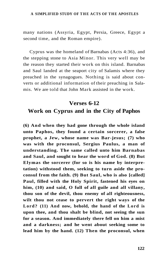many nations (Assyria, Egypt, Persia, Greece, Egypt a second time, and the Roman empire).

Cyprus was the homeland of Barnabas (Acts 4:36), and the stepping stone to Asia Minor. This very well may be the reason they started their work on this island. Barnabas and Saul landed at the seaport city of Salamis where they preached in the synagogues. Nothing is said about converts or additional information of their preaching in Salamis. We are told that John Mark assisted in the work.

## **Verses 6-12 Work on Cyprus and in the City of Paphos**

**(6) And when they had gone through the whole island unto Paphos, they found a certain sorcerer, a false prophet, a Jew, whose name was Bar-jesus; (7) who was with the proconsul, Sergius Paulus, a man of understanding. The same called unto him Barnabas and Saul, and sought to hear the word of God. (8) But Elymas the sorcerer (for so is his name by interpretation) withstood them, seeking to turn aside the proconsul from the faith. (9) But Saul, who is also [called] Paul, filled with the Holy Spirit, fastened his eyes on him, (10) and said, O full of all guile and all villany, thou son of the devil, thou enemy of all righteousness, wilt thou not cease to pervert the right ways of the Lord? (11) And now, behold, the hand of the Lord is upon thee, and thou shalt be blind, not seeing the sun for a season. And immediately there fell on him a mist and a darkness; and he went about seeking some to lead him by the hand. (12) Then the proconsul, when**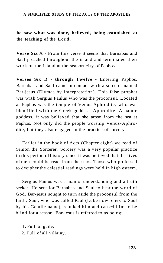### **he saw what was done, believed, being astonished at the teaching of the Lord.**

**Verse Six** A - From this verse it seems that Barnabas and Saul preached throughout the island and terminated their work on the island at the seaport city of Paphos.

**Verses Six** B - **through Twelve** - Entering Paphos, Barnabas and Saul came in contact with a sorcerer named Bar-jesus (Elymas by interpretation). This false prophet was with Sergius Paulus who was the proconsul. Located at Paphos was the temple of Venus-Aphrodite, who was identified with the Greek goddess, Aphrodite. A nature goddess, it was believed that she arose from the sea at Paphos. Not only did the people worship Venus-Aphrodite, but they also engaged in the practice of sorcery.

Earlier in the book of Acts (Chapter eight) we read of Simon the Sorcerer. Sorcery was a very popular practice in this period of history since it was believed that the lives of men could be read from the stars. Those who professed to decipher the celestial readings were held in high esteem.

Sergius Paulus was a man of understanding and a truth seeker. He sent for Barnabas and Saul to hear the word of God. Bar-jesus sought to turn aside the proconsul from the faith. Saul, who was called Paul (Luke now refers to Saul by his Gentile name), rebuked him and caused him to be blind for a season. Bar-jesus is referred to as being:

- 1. Full of guile.
- 2. Full of all villainy.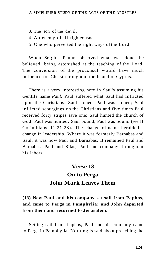- 3. The son of the devil.
- 4. An enemy of all righteousness.
- 5. One who perverted the right ways of the Lord.

When Sergius Paulus observed what was done, he believed, being astonished at the teaching of the Lord. The conversion of the proconsul would have much influence for Christ throughout the island of Cyprus.

There is a very interesting note in Saul's assuming his Gentile name *Paul.* Paul suffered what Saul had inflicted upon the Christians. Saul stoned, Paul was stoned; Saul inflicted scourgings on the Christians and five times Paul received forty stripes save one; Saul hunted the church of God, Paul was hunted; Saul bound, Paul was bound (see II Corinthians 11:21-23). The change of name heralded a change in leadership. Where it was formerly Barnabas and Saul, it was now Paul and Barnabas. It remained Paul and Barnabas, Paul and Silas, Paul and company throughout his labors.

## **Verse 13**

# **On to Perga John Mark Leaves Them**

### **(13) Now Paul and his company set sail from Paphos, and came to Perga in Pamphylia: and John departed from them and returned to Jerusalem.**

Setting sail from Paphos, Paul and his company came to Perga in Pamphylia. Nothing is said about preaching the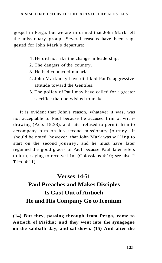gospel in Perga, but we are informed that John Mark left the missionary group. Several reasons have been suggested for John Mark's departure:

- 1. He did not like the change in leadership.
- 2. The dangers of the country.
- 3. He had contacted malaria.
- 4. John Mark may have disliked Paul's aggressive attitude toward the Gentiles.
- 5. The policy of Paul may have called for a greater sacrifice than he wished to make.

It is evident that John's reason, whatever it was, was not acceptable to Paul because he accused him of withdrawing (Acts 15:38), and later refused to permit him to accompany him on his second missionary journey. It should be noted, however, that John Mark was willing to start on the second journey, and he must have later regained the good graces of Paul because Paul later refers to him, saying to receive him (Colossians 4:10; see also 2 Tim. 4:11).

# **Verses 14-51 Paul Preaches and Makes Disciples Is Cast Out of Antioch He and His Company Go to Iconium**

**(14) But they, passing through from Perga, came to Antioch of Pisidia; and they went into the synagogue on the sabbath day, and sat down. (15) And after the**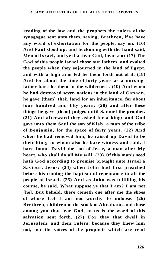**reading of the law and the prophets the rulers of the synagogue sent unto them, saying, Brethren, if ye have any word of exhortation for the people, say on. (16) And Paul stood up, and beckoning with the hand said, Men of Israel, and ye that fear God, hearken: (17) The God of this people Israel chose our fathers, and exalted the people when they sojourned in the land of Egypt, and with a high arm led he them forth out of it. (18) And for about the time of forty years as a nursingfather bare he them in the wilderness. (19) And when he had destroyed seven nations in the land of Canaan, he gave [them] their land for an inheritance, for about four hundred and fifty years: (20) and after these things he gave [them] judges until Samuel the prophet. (21) And afterward they asked for a king: and God gave unto them Saul the son of Kish, a man of the tribe of Benjamin, for the space of forty years. (22) And when he had removed him, he raised up David to be their king; to whom also he bare witness and said, I have found David the son of Jesse, a man after My heart, who shall do all My will. (23) Of this man's seed hath God according to promise brought unto Israel a Saviour, Jesus; (24) when John had first preached before his coming the baptism of repentance to all the people of Israel. (25) And as John was fulfilling his course, he said, What suppose ye that I am? I am not [he]. But behold, there cometh one after me the shoes of whose feet I am not worthy to unloose. (26) Brethren, children of the stock of Abraham, and those among you that fear God, to us is the word of this salvation sent forth. (27) For they that dwell in Jerusalem, and their rulers, because they knew him not, nor the voices of the prophets which are read**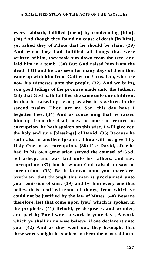**every sabbath, fulfilled [them] by condemning [him]. (28) And though they found no cause of death [in him], yet asked they of Pilate that he should be slain. (29) And when they had fulfilled all things that were written of him, they took him down from the tree, and laid him in a tomb. (30) But God raised him from the dead: (31) and he was seen for many days of them that came up with him from Galilee to Jerusalem, who are now his witnesses unto the people. (32) And we bring you good tidings of the promise made unto the fathers, (33) that God hath fulfilled the same unto our children, in that he raised up Jesus; as also it is written in the second psalm, Thou art my Son, this day have I begotten thee. (34) And as concerning that he raised him up from the dead, now no more to return to corruption, he hath spoken on this wise, I will give you the holy and sure [blessings] of David. (35) Because he saith also in another [psalm], Thou wilt not give Thy Holy One to see corruption. (36) For David, after he had in his own generation served the counsel of God, fell asleep, and was laid unto his fathers, and saw corruption: (37) but he whom God raised up saw no corruption. (38) Be it known unto you therefore, brethren, that through this man is proclaimed unto you remission of sins: (39) and by him every one that believeth is justified from all things, from which ye could not be justified by the law of Moses. (40) Beware therefore, lest that come upon [you] which is spoken in the prophets: (41) Behold, ye despisers, and wonder, and perish; For I work a work in your days, A work which ye shall in no wise believe, if one declare it unto you. (42) And as they went out, they besought that these words might be spoken to them the next sabbath.**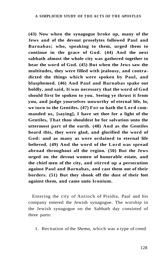**(43) Now when the synagogue broke up, many of the Jews and of the devout proselytes followed Paul and Barnabas; who, speaking to them, urged them to continue in the grace of God. (44) And the next sabbath almost the whole city was gathered together to hear the word of God. (45) But when the Jews saw the multitudes, they were filled with jealousy, and contradicted the things which were spoken by Paul, and blasphemed. (46) And Paul and Barnabas spake out boldly, and said, It was necessary that the word of God should first be spoken to you. Seeing ye thrust it from you, and judge yourselves unworthy of eternal life, lo, we turn to the Gentiles. (47) For so hath the Lord commanded us, [saying], I have set thee for a light of the Gentiles, That thou shouldest be for salvation unto the uttermost part of the earth. (48) And as the Gentiles heard this, they were glad, and glorified the word of God: and as many as were ordained to eternal life believed. (49) And the word of the Lord was spread abroad throughout all the region. (50) But the Jews urged on the devout women of honorable estate, and the chief men of the city, and stirred up a persecution against Paul and Barnabas, and cast them out of their borders. (51) But they shook off the dust of their feet against them, and came unto Iconium.** 

Entering the city of Antioch of Pisidia, Paul and his company entered the Jewish synagogue. The worship in the Jewish synagogue on the Sabbath day consisted of three parts:

1. Recitation of the *Shema,* which was a type of creed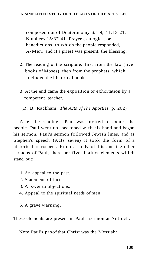composed out of Deuteronomy 6:4-9, 11:13-21, Numbers 15:37-41. Prayers, eulogies, or benedictions, to which the people responded, A-Men; and if a priest was present, the blessing.

- 2. The reading of the scripture: first from the law (five books of Moses), then from the prophets, which included the historical books.
- 3. At the end came the exposition or exhortation by a competent teacher.

(R. B. Rackham, *The Acts of The Apostles,* p. 202)

After the readings, Paul was invited to exhort the people. Paul went up, beckoned with his hand and began his sermon. Paul's sermon followed Jewish lines, and as Stephen's speech (Acts seven) it took the form of a historical retrospect. From a study of this and the other sermons of Paul, there are five distinct elements which stand out:

- 1. An appeal to the past.
- 2. Statement of facts.
- 3. Answer to objections.
- 4. Appeal to the spiritual needs of men.
- 5. A grave warning.

These elements are present in Paul's sermon at Antioch.

Note Paul's proof that Christ was the Messiah: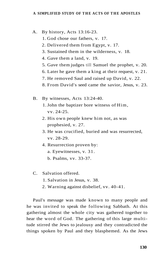- A. By history, Acts 13:16-23.
	- 1. God chose our fathers, v. 17.
	- 2. Delivered them from Egypt, v. 17.
	- 3. Sustained them in the wilderness, v. 18.
	- 4. Gave them a land, v. 19.
	- 5. Gave them judges till Samuel the prophet, v. 20.
	- 6. Later he gave them a king at their request, v. 21.
	- 7. He removed Saul and raised up David, v. 22.
	- 8. From David's seed came the savior, Jesus, v. 23.
- B. By witnesses, Acts 13:24-40.
	- 1. John the baptizer bore witness of Him, vv. 24-25.
	- 2. His own people knew him not, as was prophesied, v. 27.
	- 3. He was crucified, buried and was resurrected, vv. 28-29.
	- 4. Resurrection proven by:
		- a. Eyewitnesses, v. 31.
		- b. Psalms, vv. 33-37.
- C. Salvation offered.
	- 1. Salvation in Jesus, v. 38.
	- 2. Warning against disbelief, vv. 40-41.

Paul's message was made known to many people and he was invited to speak the following Sabbath. At this gathering almost the whole city was gathered together to hear the word of God. The gathering of this large multitude stirred the Jews to jealousy and they contradicted the things spoken by Paul and they blasphemed. As the Jews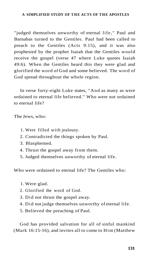"judged themselves unworthy of eternal life," Paul and Barnabas turned to the Gentiles. Paul had been called to preach to the Gentiles (Acts 9:15), and it was also prophesied by the prophet Isaiah that the Gentiles would receive the gospel (verse 47 where Luke quotes Isaiah 49:6). When the Gentiles heard this they were glad and glorified the word of God and some believed. The word of God spread throughout the whole region.

In verse forty-eight Luke states, "And as many as were ordained to eternal life believed." Who were not ordained to eternal life?

The Jews, who:

- 1. Were filled with jealousy.
- 2. Contradicted the things spoken by Paul.
- 3. Blasphemed.
- 4. Thrust the gospel away from them.
- 5. Judged themselves unworthy of eternal life.

Who were ordained to eternal life? The Gentiles who:

- 1. Were glad.
- 2. Glorified the word of God.
- 3. Did not thrust the gospel away.
- 4. Did not judge themselves unworthy of eternal life.
- 5. Believed the preaching of Paul.

God has provided salvation for all of sinful mankind (Mark 16:15-16), and invites all to come to Him (Matthew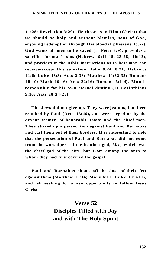**11:28; Revelation 3:20). He chose us in Him (Christ) that we should be holy and without blemish, sons of God, enjoying redemption through His blood (Ephesians 1:3-7). God wants all men to be saved (II Peter 3:9), provides a sacrifice for man's sins (Hebrews 9:11-15, 23-28; 10:12), and provides in the Bible instructions as to how man can receive/accept this salvation (John 8:24, 8:21; Hebrews 11:6; Luke 13:3; Acts 2:38; Matthew 10:32-33; Romans 10:10; Mark 16:16; Acts 22:16; Romans 6:1-4). Man is responsible for his own eternal destiny (II Corinthians 5:10; Acts 28:24-28).** 

**The Jews did not give up. They were jealous, had been rebuked by Paul (Acts 13:46), and were urged on by the devout women of honorable estate and the chief men. They stirred up a persecution against Paul and Barnabas and cast them out of their borders. It is interesting to note that the persecution of Paul and Barnabas did not come from the worshipers of the heathen god,** *Men,* **which was the chief god of the city, but from among the ones to whom they had first carried the gospel.** 

**Paul and Barnabas shook off the dust of their feet against them (Matthew 10:14; Mark 6:11; Luke 10:8-11), and left seeking for a new opportunity to follow Jesus Christ.** 

## **Verse 52 Disciples Filled with Joy and with The Holy Spirit**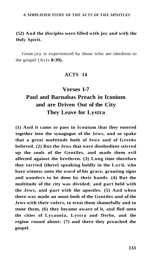### **(52) And the disciples were filled with joy and with the Holy Spirit.**

Great joy is experienced by those who are obedient to the gospel (Acts **8:39).** 

### **ACTS 14**

# **Verses 1-7 Paul and Barnabas Preach in Iconium and are Driven Out of the City They Leave for Lystra**

**(1) And it came to pass in Iconium that they entered together into the synagogue of the Jews, and so spake that a great multitude both of Jews and of Greeks believed. (2) But the Jews that were disobedient stirred up the souls of the Gentiles, and made them evil affected against the brethren. (3) Long time therefore they tarried [there] speaking boldly in the Lord, who bare witness unto the word of his grace, granting signs and wonders to be done by their hands. (4) But the multitude of the city was divided; and part held with the Jews, and part with the apostles. (5) And when there was made an onset both of the Gentiles and of the Jews with their rulers, to treat them shamefully and to stone them, (6) they became aware of it, and fled unto the cities of Lycaonia, Lystra and Derbe, and the region round about: (7) and there they preached the gospel.**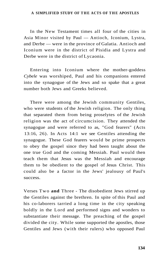In the New Testament times all four of the cities in Asia Minor visited by Paul — Antioch, Iconium, Lystra, and Derbe — were in the province of Galatia. Antioch and Iconium were in the district of Pisidia and Lystra and Derbe were in the district of Lycaonia.

Entering into Iconium where the mother-goddess *Cybele* was worshiped, Paul and his companions entered into the synagogue of the Jews and so spake that a great number both Jews and Greeks believed.

There were among the Jewish community Gentiles, who were students of the Jewish religion. The only thing that separated them from being proselytes of the Jewish religion was the act of circumcision. They attended the synagogue and were referred to as, "God fearers" (Acts 13:16, 26). In Acts 14:1 we see Gentiles attending the synagogue. These God fearers would be prime prospects to obey the gospel since they had been taught about the one true God and the coming Messiah. Paul would then teach them that Jesus was the Messiah and encourage them to be obedient to the gospel of Jesus Christ. This could also be a factor in the Jews' jealousy of Paul's success.

Verses Two **and** Three - The disobedient Jews stirred up the Gentiles against the brethren. In spite of this Paul and his co-laborers tarried a long time in the city speaking boldly in the Lord and performed signs and wonders to substantiate their message. The preaching of the gospel divided the city. While some supported the apostles, those Gentiles and Jews (with their rulers) who opposed Paul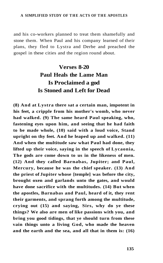and his co-workers planned to treat them shamefully and stone them. When Paul and his company learned of their plans, they fled to Lystra and Derbe and preached the gospel in these cities and the region round about.

# **Verses 8-20 Paul Heals the Lame Man Is Proclaimed a god Is Stoned and Left for Dead**

**(8) And at Lystra there sat a certain man, impotent in his feet, a cripple from his mother's womb, who never had walked. (9) The same heard Paul speaking, who, fastening eyes upon him, and seeing that he had faith to be made whole, (10) said with a loud voice, Stand upright on thy feet. And he leaped up and walked. (11) And when the multitude saw what Paul had done, they lifted up their voice, saying in the speech of Lycaonia, The gods are come down to us in the likeness of men. (12) And they called Barnabas, Jupiter; and Paul, Mercury, because he was the chief speaker. (13) And the priest of Jupiter whose [temple] was before the city, brought oxen and garlands unto the gates, and would have done sacrifice with the multitudes. (14) But when the apostles, Barnabas and Paul, heard of it, they rent their garments, and sprang forth among the multitude, crying out (15) and saying, Sirs, why do ye these things? We also are men of like passions with you, and bring you good tidings, that ye should turn from these vain things unto a living God, who made the heaven and the earth and the sea, and all that in them is: (16)**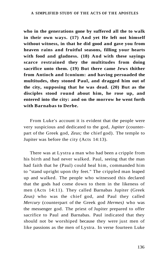**who in the generations gone by suffered all the to walk in their own ways. (17) And yet He left not himself without witness, in that he did good and gave you from heaven rains and fruitful seasons, filling your hearts with food and gladness. (18) And with these sayings scarce restrained they the multitudes from doing sacrifice unto them. (19) But there came Jews thither from Antioch and Iconium: and having persuaded the multitudes, they stoned Paul, and dragged him out of the city, supposing that he was dead. (20) But as the disciples stood round about him, he rose up, and entered into the city: and on the morrow he went forth with Barnabas to Derbe.** 

From Luke's account it is evident that the people were very suspicious and dedicated to the god, *Jupiter* (counterpart of the Greek god, *Zeus;* the chief god). The temple to Jupiter was before the city (Acts 14:13).

There was at Lystra a man who had been a cripple from his birth and had never walked. Paul, seeing that the man had faith that he (Paul) could heal him, commanded him to "stand upright upon thy feet." The crippled man leaped up and walked. The people who witnessed this declared that the gods had come down to them in the likeness of men (Acts 14:11). They called Barnabas Jupiter (Greek *Zeus)* who was the chief god, and Paul they called *Mercury* (counterpart of the Greek god *Hermes)* who was the messenger god. The priest of Jupiter prepared to offer sacrifice to Paul and Barnabas. Paul indicated that they should not be worshiped because they were just men of like passions as the men of Lystra. In verse fourteen Luke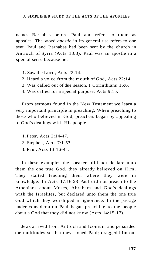names Barnabas before Paul and refers to them as apostles. The word *apostle* in its general use refers to one sent. Paul and Barnabas had been sent by the church in Antioch of Syria (Acts 13:3). Paul was an apostle in a special sense because he:

- 1. Saw the Lord, Acts 22:14.
- 2. Heard a voice from the mouth of God, Acts 22:14.
- 3. Was called out of due season, I Corinthians 15:6.
- 4. Was called for a special purpose, Acts 9:15.

From sermons found in the New Testament we learn a very important principle in preaching. When preaching to those who believed in God, preachers began by appealing to God's dealings with His people.

- 1. Peter, Acts 2:14-47.
- 2. Stephen, Acts 7:1-53.
- 3. Paul, Acts 13:16-41.

In these examples the speakers did not declare unto them the one true God, they already believed on Him. They started teaching them where they were in knowledge. In Acts 17:16-28 Paul did not preach to the Athenians about Moses, Abraham and God's dealings with the Israelites, but declared unto them the one true God which they worshiped in ignorance. In the passage under consideration Paul began preaching to the people about a God that they did not know (Acts 14:15-17).

Jews arrived from Antioch and Iconium and persuaded the multitudes so that they stoned Paul; dragged him out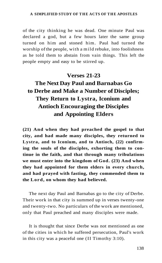of the city thinking he was dead. One minute Paul was declared a god, but a few hours later the same group turned on him and stoned him. Paul had turned the worship of the people, with a mild rebuke, into foolishness as he told them to abstain from vain things. This left the people empty and easy to be stirred up.

### **Verses 21-23**

# **The Next Day Paul and Barnabas Go to Derbe and Make a Number of Disciples; They Return to Lystra, Iconium and Antioch Encouraging the Disciples and Appointing Elders**

**(21) And when they had preached the gospel to that city, and had made many disciples, they returned to Lystra, and to Iconium, and to Antioch, (22) confirming the souls of the disciples, exhorting them to continue in the faith, and that through many tribulations we must enter into the kingdom of God. (23) And when they had appointed for them elders in every church, and had prayed with fasting, they commended them to the Lord, on whom they had believed.** 

The next day Paul and Barnabas go to the city of Derbe. Their work in that city is summed up in verses twenty-one and twenty-two. No particulars of the work are mentioned, only that Paul preached and many disciples were made.

It is thought that since Derbe was not mentioned as one of the cities in which he suffered persecution, Paul's work in this city was a peaceful one (II Timothy 3:10).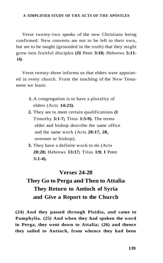Verse twenty-two speaks of the new Christians being confirmed. New converts are not to be left to their own, but are to be taught (grounded in the truth) that they might grow into fruitful disciples **(II** Peter **3:18;** Hebrews **5:11- 14).** 

Verse twenty-three informs us that elders were appointed in every church. From the teaching of the New Testament we learn:

- **1.** A congregation is to have a plurality of elders (Acts **14:23).**
- **2.** They are to meet certain qualifications **(I**  Timothy **3:1-7;** Titus **1:5-9).** The terms elder and bishop describe the same office and the same work (Acts **20:17, 28,**  overseer or bishop).
- **3.** They have a definite work to do (Acts **20:28;** Hebrews **13:17;** Titus **1:9; I** Peter **5:1-4).**

#### **Verses 24-28**

# **They Go to Perga and Then to Attalia They Return to Antioch of Syria and Give a Report to the Church**

**(24) And they passed through Pisidia, and came to Pamphylia. (25) And when they had spoken the word in Perga, they went down to Attalia; (26) and thence they sailed to Antioch, from whence they had been**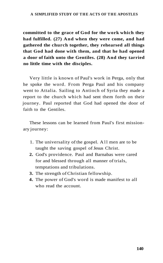**committed to the grace of God for the work which they had fulfilled. (27) And when they were come, and had gathered the church together, they rehearsed all things that God had done with them, and that he had opened a door of faith unto the Gentiles. (28) And they tarried no little time with the disciples.** 

Very little is known of Paul's work in Perga, only that he spoke the word. From Perga Paul and his company went to Attalia. Sailing to Antioch of Syria they made a report to the church which had sent them forth on their journey. Paul reported that God had opened the door of faith to the Gentiles.

These lessons can be learned from Paul's first missionary journey:

- 1. The universality of the gospel. All men are to be taught the saving gospel of Jesus Christ.
- **2.** God's providence. Paul and Barnabas were cared for and blessed through all manner of trials, temptations and tribulations.
- **3.** The strength of Christian fellowship.
- **4.** The power of God's word is made manifest to all who read the account.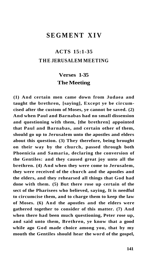### **SEGMENT XIV**

## **ACTS 15:1-35 T HE JERUSALEM MEETING**

### **Verses 1-35 The Meeting**

**(1) And certain men came down from Judaea and taught the brethren, [saying], Except ye be circumcised after the custom of Moses, ye cannot be saved. (2) And when Paul and Barnabas had no small dissension and questioning with them, [the brethren] appointed that Paul and Barnabas, and certain other of them, should go up to Jerusalem unto the apostles and elders about this question. (3) They therefore, being brought on their way by the church, passed through both Phoenicia and Samaria, declaring the conversion of the Gentiles: and they caused great joy unto all the brethren. (4) And when they were come to Jerusalem, they were received of the church and the apostles and the elders, and they rehearsed all things that God had done with them. (5) But there rose up certain of the sect of the Pharisees who believed, saying, It is needful to circumcise them, and to charge them to keep the law of Moses. (6) And the apostles and the elders were gathered together to consider of this matter. (7) And when there had been much questioning, Peter rose up, and said unto them, Brethren, ye know that a good while ago God made choice among you, that by my mouth the Gentiles should hear the word of the gospel,**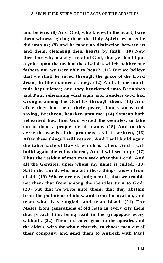**and believe. (8) And God, who knoweth the heart, bare them witness, giving them the Holy Spirit, even as he did unto us; (9) and he made no distinction between us and them, cleansing their hearts by faith. (10) Now therefore why make ye trial of God, that ye should put a yoke upon the neck of the disciples which neither our fathers nor we were able to bear? (11) But we believe that we shall be saved through the grace of the Lord Jesus, in like manner as they. (12) And all the multitude kept silence; and they hearkened unto Barnabas and Paul rehearsing what signs and wonders God had wrought among the Gentiles through them. (13) And after they had held their peace, James answered, saying, Brethren, hearken unto me: (14) Symeon hath rehearsed how first God visited the Gentiles, to take out of them a people for his name. (15) And to this agree the words of the prophets; as it is written, (16) After these things I will return, And I will build again the tabernacle of David, which is fallen; And I will build again the ruins thereof, And I will set it up: (17) That the residue of men may seek after the Lord, And all the Gentiles, upon whom my name is called, (18) Saith the Lord, who maketh these things known from of old. (19) Wherefore my judgment is, that we trouble not them that from among the Gentiles turn to God; (20) but that we write unto them, that they abstain from the pollutions of idols, and from fornication, and from what is strangled, and from blood. (21) For Moses from generations of old hath in every city them that preach him, being read in the synagogues every sabbath. (22) Then it seemed good to the apostles and the elders, with the whole church, to choose men out of their company, and send them to Antioch with Paul**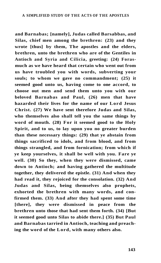**and Barnabas; [namely], Judas called Barsabbas, and Silas, chief men among the brethren: (23) and they wrote [thus] by them, The apostles and the elders, brethren, unto the brethren who are of the Gentiles in Antioch and Syria and Cilicia, greeting: (24) Forasmuch as we have heard that certain who went out from us have troubled you with words, subverting your souls; to whom we gave no commandment; (25) it seemed good unto us, having come to one accord, to choose out men and send them unto you with our beloved Barnabas and Paul, (26) men that have hazarded their lives for the name of our Lord Jesus Christ. (27) We have sent therefore Judas and Silas, who themselves also shall tell you the same things by word of mouth. (28) For it seemed good to the Holy Spirit, and to us, to lay upon you no greater burden than these necessary things: (29) that ye abstain from things sacrificed to idols, and from blood, and from things strangled, and from fornication; from which if ye keep yourselves, it shall be well with you. Fare ye well. (30) So they, when they were dismissed, came down to Antioch; and having gathered the multitude together, they delivered the epistle. (31) And when they had read it, they rejoiced for the consolation. (32) And Judas and Silas, being themselves also prophets, exhorted the brethren with many words, and confirmed them. (33) And after they had spent some time [there], they were dismissed in peace from the brethren unto those that had sent them forth. (34) [But it seemed good unto Silas to abide there.] (35) But Paul and Barnabas tarried in Antioch, teaching and preaching the word of the Lord, with many others also.**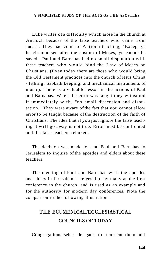Luke writes of a difficulty which arose in the church at Antioch because of the false teachers who came from Judaea. They had come to Antioch teaching, "Except ye be circumcised after the custom of Moses, ye cannot be saved." Paul and Barnabas had no small disputation with these teachers who would bind the Law of Moses on Christians. (Even today there are those who would bring the Old Testament practices into the church of Jesus Christ - tithing, Sabbath keeping, and mechanical instruments of music). There is a valuable lesson in the actions of Paul and Barnabas. When the error was taught they withstood it immediately with, "no small dissension and disputation." They were aware of the fact that you cannot allow error to be taught because of the destruction of the faith of Christians. The idea that if you just ignore the false teaching it will go away is not true. Error must be confronted and the false teachers rebuked.

The decision was made to send Paul and Barnabas to Jerusalem to inquire of the apostles and elders about these teachers.

The meeting of Paul and Barnabas with the apostles and elders in Jerusalem is referred to by many as the first conference in the church, and is used as an example and for the authority for modern day conferences. Note the comparison in the following illustrations.

# **T HE ECUMENICAL/ECCLESIASTICAL COUNCILS OF TODAY**

Congregations select delegates to represent them and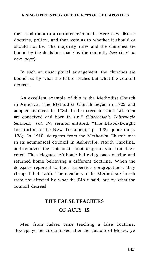then send them to a conference/council. Here they discuss doctrine, policy, and then vote as to whether it should or should not be. The majority rules and the churches are bound by the decisions made by the council, *(see chart on next page).* 

In such an unscriptural arrangement, the churches are bound *not* by what the Bible teaches but what the council decrees.

An excellent example of this is the Methodist Church in America. The Methodist Church began in 1729 and adopted its creed in 1784. In that creed it stated "all men are conceived and born in sin." *(Hardeman's Tabernacle Sermons, Vol. IV,* sermon entitled, "The Blood-Bought Institution of the New Testament," p. 122; quote on p. 128). In 1910, delegates from the Methodist Church met in its ecumenical council in Asheville, North Carolina, and removed the statement about original sin from their creed. The delegates left home believing one doctrine and returned home believing a different doctrine. When the delegates reported to their respective congregations, they changed their faith. The members of the Methodist Church were not affected by what the Bible said, but by what the council decreed.

# **T HE FALSE TEACHERS OF ACTS 15**

Men from Judaea came teaching a false doctrine, "Except ye be circumcised after the custom of Moses, ye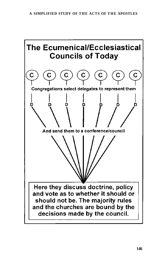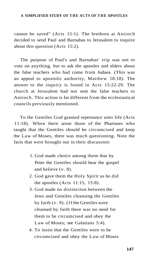cannot be saved" (Acts 15:1). The brethren at Antioch decided to send Paul and Barnabas to Jerusalem to inquire about this question (Acts 15:2).

The purpose of Paul's and Barnabas' trip was not to vote on anything, but to ask the apostles and elders about the false teachers who had come from Judaea. (This was an appeal to apostolic authority, Matthew 18:18). The answer to the inquiry is found in Acts 15:22-29. The church at Jerusalem had not sent the false teachers to Antioch. This action is far different from the ecclesiastical councils previously mentioned.

To the Gentiles God granted repentance unto life (Acts 11:18). When there arose those of the Pharisees who taught that the Gentiles should be circumcised and keep the Law of Moses, there was much questioning. Note the facts that were brought out in their discussion:

- 1. God made choice among them that by Peter the Gentiles should hear the gospel and believe (v. 8).
- 2. God gave them the Holy Spirit as he did the apostles (Acts 11:15, 15:8).
- 3. God made no distinction between the Jews and Gentiles cleansing the Gentiles by faith (v. 9). (If the Gentiles were cleansed by faith there was no need for them to be circumcised and obey the Law of Moses; see Galatians 5:4).
- 4. To insist that the Gentiles were to be circumcised and obey the Law of Moses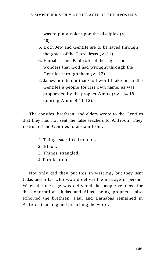was to put a yoke upon the disciples (v. 10).

- 5. Both Jew and Gentile are to be saved through the grace of the Lord Jesus (v. 11).
- 6. Barnabas and Paul told of the signs and wonders that God had wrought through the Gentiles through them (v. 12).
- 7. James points out that God would take out of the Gentiles a people for His own name, as was prophesied by the prophet Amos (vv. 14-18 quoting Amos 9:11-12).

The apostles, brethren, and elders wrote to the Gentiles that they had not sent the false teachers to Antioch. They instructed the Gentiles to abstain from:

- 1. Things sacrificed to idols.
- 2. Blood.
- 3. Things strangled.
- 4. Fornication.

Not only did they put this in writing, but they sent Judas and Silas who would deliver the message in person. When the message was delivered the people rejoiced for the exhortation. Judas and Silas, being prophets, also exhorted the brethren. Paul and Barnabas remained in Antioch teaching and preaching the word.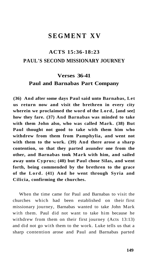### **SEGMENT XV**

# **ACTS 15:36-18:23 PAUL'S SECOND MISSIONARY JOURNEY**

## **Verses 36-41 Paul and Barnabas Part Company**

**(36) And after some days Paul said unto Barnabas, Let us return now and visit the brethren in every city wherein we proclaimed the word of the Lord, [and see] how they fare. (37) And Barnabas was minded to take with them John also, who was called Mark. (38) But Paul thought not good to take with them him who withdrew from them from Pamphylia, and went not with them to the work. (39) And there arose a sharp contention, so that they parted asunder one from the other, and Barnabas took Mark with him, and sailed away unto Cyprus; (40) but Paul chose Silas, and went forth, being commended by the brethren to the grace of the Lord. (41) And he went through Syria and Cilicia, confirming the churches.** 

When the time came for Paul and Barnabas to visit the churches which had been established on their first missionary journey, Barnabas wanted to take John Mark with them. Paul did not want to take him because he withdrew from them on their first journey (Acts 13:13) and did not go with them to the work. Luke tells us that a sharp contention arose and Paul and Barnabas parted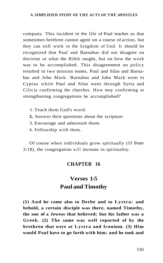company. This incident in the life of Paul teaches us that sometimes brethren cannot agree on a course of action, but they can still work in the kingdom of God. It should be recognized that Paul and Barnabas did not disagree on doctrine or what the Bible taught, but on how the work was to be accomplished. This disagreement on policy resulted in two mission teams, Paul and Silas and Barnabas and John Mark. Barnabas and John Mark went to Cyprus while Paul and Silas went through Syria and Cilicia confirming the churches. How may confirming or strengthening congregations be accomplished?

- 1. Teach them God's word.
- **2.** Answer their questions about the scripture.
- 3. Encourage and admonish them.
- 4. Fellowship with them.

Of course when individuals grow spiritually (II Peter 3:18), the congregation will increase in spirituality.

### **CHAPTER 16**

# **Verses 1-5 Paul and Timothy**

**(1) And he came also to Derbe and to Lystra: and behold, a certain disciple was there, named Timothy, the son of a Jewess that believed; but his father was a Greek. (2) The same was well reported of by the brethren that were at Lystra and Iconium. (3) Him would Paul have to go forth with him; and he took and**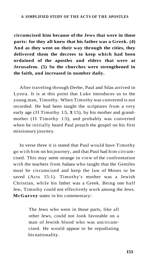**circumcised him because of the Jews that were in those parts: for they all knew that his father was a Greek. (4) And as they went on their way through the cities, they delivered them the decrees to keep which had been ordained of the apostles and elders that were at Jerusalem. (5) So the churches were strengthened in the faith, and increased in number daily.** 

After traveling through Derbe, Paul and Silas arrived in Lystra. It is at this point that Luke introduces us to the young man, Timothy. When Timothy was converted is not recorded. He had been taught the scriptures from a very early age (II Timothy 1:5, **3**:15), by his mother and grandmother (II Timothy 1:5), and probably was converted when he initially heard Paul preach the gospel on his first missionary journey.

In verse three it is stated that Paul would have Timothy go with him on his journey, and that Paul had him circumcised. This may seem strange in view of the confrontation with the teachers from Judaea who taught that the Gentiles must be circumcised and keep the law of Moses to be saved (Acts 15:1). Timothy's mother was a Jewish Christian, while his father was a Greek. Being one half Jew, Timothy could not effectively work among the Jews. **McGarvey** states in his commentary:

> The Jews who were in those parts, like all other Jews, could not look favorable on a man of Jewish blood who was uncircumcised. He would appear to be repudiating his nationality.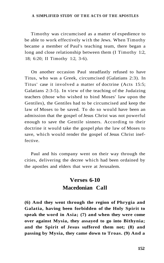Timothy was circumcised as a matter of expedience to be able to work effectively with the Jews. When Timothy became a member of Paul's teaching team, there began a long and close relationship between them (I Timothy 1:2, 18; 6:20; II Timothy 1:2, 3-6).

On another occasion Paul steadfastly refused to have Titus, who was a Greek, circumcised (Galatians 2:3). In Titus' case it involved a matter of doctrine (Acts 15:5; Galatians 2:3-5). In view of the teaching of the Judaizing teachers (those who wished to bind Moses' law upon the Gentiles), the Gentiles had to be circumcised and keep the law of Moses to be saved. To do so would have been an admission that the gospel of Jesus Christ was not powerful enough to save the Gentile sinners. According to their doctrine it would take the gospel *plus* the law of Moses to save, which would render the gospel of Jesus Christ ineffective.

Paul and his company went on their way through the cities, delivering the decree which had been ordained by the apostles and elders that were at Jerusalem.

## **Verses 6-10 Macedonian Call**

**(6) And they went through the region of Phrygia and Galatia, having been forbidden of the Holy Spirit to speak the word in Asia; (7) and when they were come over against Mysia, they assayed to go into Bithynia; and the Spirit of Jesus suffered them not; (8) and passing by Mysia, they came down to Troas. (9) And a**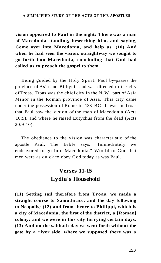**vision appeared to Paul in the night: There was a man of Macedonia standing, beseeching him, and saying, Come over into Macedonia, and help us. (10) And when he had seen the vision, straightway we sought to go forth into Macedonia, concluding that God had called us to preach the gospel to them.** 

Being guided by the Holy Spirit, Paul by-passes the province of Asia and Bithynia and was directed to the city of Troas. Troas was the chief city in the N.W. part of Asia Minor in the Roman province of Asia. This city came under the possession of Rome in 133 BC. It was in Troas that Paul saw the vision of the man of Macedonia (Acts 16:9), and where he raised Eutychus from the dead (Acts 20:9-10).

The obedience to the vision was characteristic of the apostle Paul. The Bible says, "Immediately we endeavored to go into Macedonia." Would to God that men were as quick to obey God today as was Paul.

# **Verses 11-15 Lydia's Household**

**(11) Setting sail therefore from Troas, we made a straight course to Samothrace, and the day following to Neapolis; (12) and from thence to Philippi, which is a city of Macedonia, the first of the district, a [Roman] colony: and we were in this city tarrying certain days. (13) And on the sabbath day we went forth without the gate by a river side, where we supposed there was a**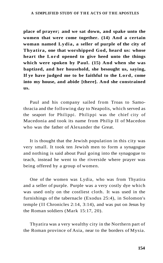**place of prayer; and we sat down, and spake unto the women that were come together. (14) And a certain woman named Lydia, a seller of purple of the city of Thyatira, one that worshipped God, heard us: whose heart the Lord opened to give heed unto the things which were spoken by Paul. (15) And when she was baptized, and her household, she besought us, saying, If ye have judged me to be faithful to the Lord, come into my house, and abide [there]. And she constrained us.** 

Paul and his company sailed from Troas to Samothracia and the following day to Neapolis, which served as the seaport for Philippi. Philippi was the chief city of Macedonia and took its name from Philip II of Macedon who was the father of Alexander the Great.

It is thought that the Jewish population in this city was very small. It took ten Jewish men to form a synagogue and nothing is said about Paul going into the synagogue to teach, instead he went to the riverside where prayer was being offered by a group of women.

One of the women was Lydia, who was from Thyatira and a seller of purple. Purple was a very costly dye which was used only on the costliest cloth. It was used in the furnishings of the tabernacle (Exodus 25:4), in Solomon's temple (II Chronicles 2:14, 3:14), and was put on Jesus by the Roman soldiers (Mark 15:17, 20).

Thyatira was a very wealthy city in the Northern part of the Roman province of Asia, near to the borders of Mysia.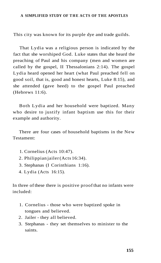This city was known for its purple dye and trade guilds.

That Lydia was a religious person is indicated by the fact that she worshiped God. Luke states that she heard the preaching of Paul and his company (men and women are called by the gospel, II Thessalonians 2:14). The gospel Lydia heard opened her heart (what Paul preached fell on good soil, that is, good and honest hearts, Luke 8:15), and she attended (gave heed) to the gospel Paul preached (Hebrews 11:6).

Both Lydia and her household were baptized. Many who desire to justify infant baptism use this for their example and authority.

There are four cases of household baptisms in the New Testament:

- 1. Cornelius (Acts 10:47).
- 2. Philippian jailer (Acts 16:34).
- 3. Stephanas (I Corinthians 1:16).
- 4. Lydia (Acts 16:15).

In three of these there is positive proof that no infants were included:

- 1. Cornelius those who were baptized spoke in tongues and believed.
- 2. Jailer they all believed.
- 3. Stephanas they set themselves to minister to the saints.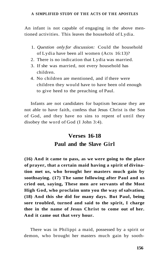An infant is not capable of engaging in the above mentioned activities. This leaves the household of Lydia.

- 1. *Question only for discussion:* Could the household of Lydia have been all women (Acts 16:13)?
- 2. There is no indication that Lydia was married.
- 3. If she was married, not every household has children.
- 4. No children are mentioned, and if there were children they would have to have been old enough to give heed to the preaching of Paul.

Infants are not candidates for baptism because they are not able to have faith, confess that Jesus Christ is the Son of God, and they have no sins to repent of until they disobey the word of God (I John 3:4).

# **Verses 16-18 Paul and the Slave Girl**

**(16) And it came to pass, as we were going to the place of prayer, that a certain maid having a spirit of divination met us, who brought her masters much gain by soothsaying. (17) The same following after Paul and us cried out, saying, These men are servants of the Most High God, who proclaim unto you the way of salvation. (18) And this she did for many days. But Paul, being sore troubled, turned and said to the spirit, I charge thee in the name of Jesus Christ to come out of her. And it came out that very hour.** 

There was in Philippi a maid, possessed by a spirit or demon, who brought her masters much gain by sooth-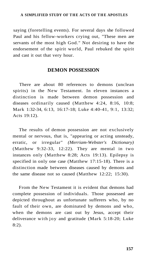saying (foretelling events). For several days she followed Paul and his fellow-workers crying out, "These men are servants of the most high God." Not desiring to have the endorsement of the spirit world, Paul rebuked the spirit and cast it out that very hour.

#### **DEMON POSSESSION**

There are about 80 references to demons (unclean spirits) in the New Testament. In eleven instances a distinction is made between demon possession and diseases ordinarily caused (Matthew 4:24, 8:16, 10:8; Mark 1:32-34, 6:13, 16:17-18; Luke 4:40-41, 9:1, 13:32; Acts 19:12).

The results of demon possession are not exclusively mental or nervous, that is, "appearing or acting unsteady, erratic, or irregular" *(Merriam-Webster's Dictionary)*  (Matthew 9:32-33, 12:22). They are mental in two instances only (Matthew 8:28; Acts 19:13). Epilepsy is specified in only one case (Matthew 17:15-18). There is a distinction made between diseases caused by demons and the same disease not so caused (Matthew 12:22; 15:30).

From the New Testament it is evident that demons had complete possession of individuals. Those possessed are depicted throughout as unfortunate sufferers who, by no fault of their own, are dominated by demons and who, when the demons are cast out by Jesus, accept their deliverance with joy and gratitude (Mark 5:18-20; Luke 8:2).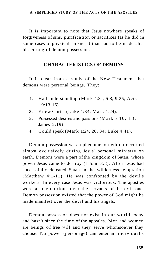It is important to note that Jesus nowhere speaks of forgiveness of sins, purification or sacrifices (as he did in some cases of physical sickness) that had to be made after his curing of demon possession.

### **CHARACTERISTICS OF DEMONS**

It is clear from a study of the New Testament that demons were personal beings. They:

- 1. Had understanding (Mark 1:34, 5:8, 9:25; Acts 19:13-16).
- 2. Knew Christ (Luke 4:34; Mark 1:24).
- 3. Possessed desires and passions (Mark 5:10, 13 ; James 2:19).
- 4. Could speak (Mark 1:24, 26, 34; Luke 4:41).

Demon possession was a phenomenon which occurred almost exclusively during Jesus' personal ministry on earth. Demons were a part of the kingdom of Satan, whose power Jesus came to destroy (I John 3:8). After Jesus had successfully defeated Satan in the wilderness temptation (Matthew 4:1-11), He was confronted by the devil's workers. In every case Jesus was victorious. The apostles were also victorious over the servants of the evil one. Demon possession existed that the power of God might be made manifest over the devil and his angels.

Demon possession does not exist in our world today and hasn't since the time of the apostles. Men and women are beings of free will and they serve whomsoever they choose. No power (personage) can enter an individual's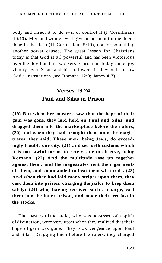body and direct it to do evil or control it (I Corinthians 10:1**3).** Men and women will give an account for the deeds done in the flesh (II Corinthians 5:10), not for something another power caused. The great lesson for Christians today is that God is all powerful and has been victorious over the devil and his workers. Christians today can enjoy victory over Satan and his followers if they will follow God's instructions (see Romans 12:9; James 4:7).

# **Verses 19-24 Paul and Silas in Prison**

**(19) But when her masters saw that the hope of their gain was gone, they laid hold on Paul and Silas, and dragged them into the marketplace before the rulers, (20) and when they had brought them unto the magistrates, they said, These men, being Jews, do exceedingly trouble our city, (21) and set forth customs which it is not lawful for us to receive, or to observe, being Romans. (22) And the multitude rose up together against them: and the magistrates rent their garments off them, and commanded to beat them with rods. (23) And when they had laid many stripes upon them, they cast them into prison, charging the jailor to keep them safely: (24) who, having received such a charge, cast them into the inner prison, and made their feet fast in the stocks.** 

The masters of the maid, who was possessed of a spirit of divination, were very upset when they realized that their hope of gain was gone. They took vengeance upon Paul and Silas. Dragging them before the rulers, they charged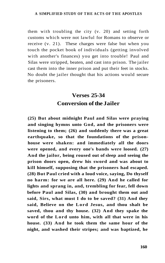them with troubling the city (v. 20) and setting forth customs which were not lawful for Romans to observe or receive (v. 21). These charges were false but when you touch the pocket book of individuals (getting involved with another's finances) you get into trouble! Paul and Silas were stripped, beaten, and cast into prison. The jailer cast them into the inner prison and put their feet in stocks. No doubt the jailer thought that his actions would secure the prisoners.

# **Verses 25-34 Conversion of the Jailer**

**(25) But about midnight Paul and Silas were praying and singing hymns unto God, and the prisoners were listening to them; (26) and suddenly there was a great earthquake, so that the foundations of the prisonhouse were shaken: and immediately all the doors were opened, and every one's bands were loosed. (27) And the jailor, being roused out of sleep and seeing the prison doors open, drew his sword and was about to kill himself, supposing that the prisoners had escaped. (28) But Paul cried with a loud voice, saying, Do thyself no harm: for we are all here. (29) And he called for lights and sprang in, and, trembling for fear, fell down before Paul and Silas, (30) and brought them out and said, Sirs, what must I do to be saved? (31) And they said, Believe on the Lord Jesus, and thou shalt be saved, thou and thy house. (32) And they spake the word of the Lord unto him, with all that were in his house. (33) And he took them the same hour of the night, and washed their stripes; and was baptized, he**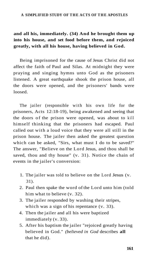### **and all his, immediately. (34) And he brought them up into his house, and set food before them, and rejoiced greatly, with all his house, having believed in God.**

Being imprisoned for the cause of Jesus Christ did not affect the faith of Paul and Silas. At midnight they were praying and singing hymns unto God as the prisoners listened. A great earthquake shook the prison house, all the doors were opened, and the prisoners' bands were loosed.

The jailer (responsible with his own life for the prisoners, Acts 12:18-19), being awakened and seeing that the doors of the prison were opened, was about to kill himself thinking that the prisoners had escaped. Paul called out with a loud voice that they were all still in the prison house. The jailer then asked the greatest question which can be asked, "Sirs, what must I do to be saved?" The answer, "Believe on the Lord Jesus, and thou shall be saved, thou and thy house" (v. 31). Notice the chain of events in the jailer's conversion:

- 1. The jailer was told to believe on the Lord Jesus (v. 31).
- 2. Paul then spake the word of the Lord unto him (told him what to believe (v. 32).
- 3. The jailer responded by washing their stripes, which was a sign of his repentance (v. 33).
- 4. Then the jailer and all his were baptized immediately (v. 33).
- 5. After his baptism the jailer "rejoiced greatly having believed in God." *(believed in God* describes **all**  that he did).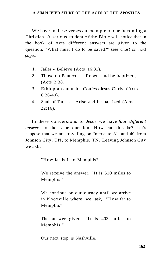We have in these verses an example of one becoming a Christian. A serious student of the Bible will notice that in the book of Acts different answers are given to the question, "What must I do to be saved?" *(see chart on next page).* 

- 1. Jailer Believe (Acts 16:31).
- 2. Those on Pentecost Repent and be baptized, (Acts 2:38).
- 3. Ethiopian eunuch Confess Jesus Christ (Acts 8:26-40).
- 4. Saul of Tarsus Arise and be baptized (Acts  $22:16$ ).

In these conversions to Jesus we have *four different answers* to the same question. How can this be? Let's suppose that we are traveling on Interstate 81 and 40 from Johnson City, TN, to Memphis, TN. Leaving Johnson City we ask:

"How far is it to Memphis?"

We receive the answer, "It is 510 miles to Memphis."

We continue on our journey until we arrive in Knoxville where we ask, "How far to Memphis?"

The answer given, "It is 403 miles to Memphis."

Our next stop is Nashville.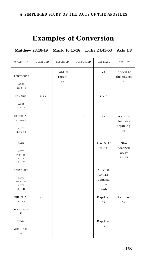# **Examples of Conversion**

**Matthew 28:18-19 Mark 16:15-16 Luke 24:45-53 Acts 1:8** 

| PREACHING                                                 | BELIEVED  | REPENTED                | CONFESSED | BAPTIZED                                                | <b>RESULTS</b>                        |
|-----------------------------------------------------------|-----------|-------------------------|-----------|---------------------------------------------------------|---------------------------------------|
| PENTECOST<br>ACTS<br>$2:14 - 41$                          |           | Told to<br>repent<br>38 |           | 41                                                      | added to<br>the church<br>41          |
| SAMARIA                                                   | $12 - 13$ |                         |           | $12 - 13$                                               |                                       |
| ACTS<br>$8:5 - 13$                                        |           |                         |           |                                                         |                                       |
| ETHIOPIAN<br>EUNUCH<br>$\operatorname{ACTS}$<br>$8:35-39$ |           |                         | 37        | 38                                                      | went on<br>his way<br>rejoicing<br>39 |
| SAUL<br>ACTS<br>$9:17-18$<br>ACTS<br>$22:1 - 21$          |           |                         |           | Acts 9:18<br>22:16                                      | Sins<br>washed<br>away<br>22:16       |
| CORNELIUS<br>ACTS<br>$10:34-48$<br>ACTS<br>$11:1 - 18$    |           |                         |           | Acts $10$ :<br>$47 - 48$<br>baptism<br>com-<br>$manded$ |                                       |
| PHILIPPIAN<br>JAILER                                      | 34        |                         |           | Baptized<br>33                                          | Rejoiced<br>34                        |
| ACTS 16:32-<br>34                                         |           |                         |           |                                                         |                                       |
| LYDIA<br>ACTS 16:13-<br>15                                |           |                         |           | Baptized<br>15                                          |                                       |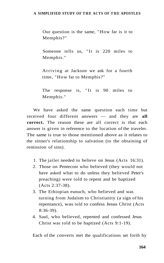Our question is the same, "How far is it to Memphis?"

Someone tells us, "It is 220 miles to Memphis."

Arriving at Jackson we ask for a fourth time, "How far to Memphis?"

The response is, "It is 90 miles to Memphis."

We have asked the same question each time but received four different answers — and they are **all correct.** The reason these are all correct is that each answer is given in reference to the location of the traveler. The same is true to those mentioned above as it relates to the sinner's relationship to salvation (to the obtaining of remission of sins).

- 1. The jailer needed to believe on Jesus (Acts 16:31).
- 2. Those on Pentecost who believed (they would not have asked what to do unless they believed Peter's preaching) were told to repent and be baptized (Acts 2:37-38).
- 3. The Ethiopian eunuch, who believed and was turning from Judaism to Christianity (a sign of his repentance), was told to confess Jesus Christ (Acts 8:36-39).
- 4. Saul, who believed, repented and confessed Jesus Christ was told to be baptized (Acts 9:1-19).

Each of the converts met the qualifications set forth by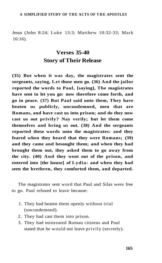Jesus (John 8:24; Luke 13:3; Matthew 10:32-33; Mark 16:16).

# **Verses 35-40 Story of Their Release**

**(35) But when it was day, the magistrates sent the sergeants, saying, Let those men go. (36) And the jailor reported the words to Paul, [saying], The magistrates have sent to let you go: now therefore come forth, and go in peace. (37) But Paul said unto them, They have beaten us publicly, uncondemned, men that are Romans, and have cast us into prison; and do they now cast us out privily? Nay verily; but let them come themselves and bring us out. (38) And the sergeants reported these words unto the magistrates: and they feared when they heard that they were Romans; (39) and they came and besought them; and when they had brought them out, they asked them to go away from the city. (40) And they went out of the prison, and entered into [the house] of Lydia: and when they had seen the brethren, they comforted them, and departed.** 

The magistrates sent word that Paul and Silas were free to go. Paul refused to leave because:

- 1. They had beaten them openly without trial (uncondemned).
- 2. They had cast them into prison.
- 3. They had mistreated Roman citizens and Paul stated that he would not leave privily (secretly).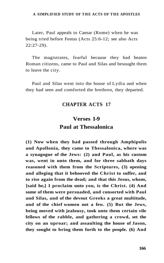Later, Paul appeals to Caesar (Rome) when he was being tried before Festus (Acts 25:6-12; see also Acts 22:27-29).

The magistrates, fearful because they had beaten Roman citizens, came to Paul and Silas and besought them to leave the city.

Paul and Silas went into the house of Lydia and when they had seen and comforted the brethren, they departed.

### **CHAPTER ACTS 17**

# **Verses 1-9 Paul at Thessalonica**

**(1) Now when they had passed through Amphipolis and Apollonia, they came to Thessalonica, where was a synagogue of the Jews: (2) and Paul, as his custom was, went in unto them, and for three sabbath days reasoned with them from the Scriptures, (3) opening and alleging that it behooved the Christ to suffer, and to rise again from the dead; and that this Jesus, whom, [said he,] I proclaim unto you, is the Christ. (4) And some of them were persuaded, and consorted with Paul and Silas, and of the devout Greeks a great multitude, and of the chief women not a few. (5) But the Jews, being moved with jealousy, took unto them certain vile fellows of the rabble, and gathering a crowd, set the city on an uproar; and assaulting the house of Jason, they sought to bring them forth to the people. (6) And**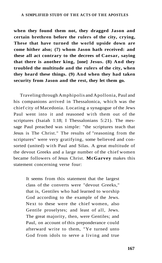**when they found them not, they dragged Jason and certain brethren before the rulers of the city, crying, These that have turned the world upside down are come hither also; (7) whom Jason hath received: and these all act contrary to the decrees of Caesar, saying that there is another king, [one] Jesus. (8) And they troubled the multitude and the rulers of the city, when they heard these things. (9) And when they had taken security from Jason and the rest, they let them go.** 

Traveling through Amphipolis and Apollonia, Paul and his companions arrived in Thessalonica, which was the chief city of Macedonia. Locating a synagogue of the Jews Paul went into it and reasoned with them out of the scriptures (Isaiah 1:18; I Thessalonians 5:21). The message Paul preached was simple: "the scriptures teach that Jesus is The Christ." The results of "reasoning from the scriptures" were very gratifying, some believed and consorted (united) with Paul and Silas. A great multitude of the devout Greeks and a large number of the chief women became followers of Jesus Christ. **McGarvey** makes this statement concerning verse four:

> It seems from this statement that the largest class of the converts were "devout Greeks," that is, Gentiles who had learned to worship God according to the example of the Jews. Next to these were the chief women, also Gentile proselytes; and least of all, Jews. The great majority, then, were Gentiles; and Paul, on account of this preponderance could afterward write to them, "Ye turned unto God from idols to serve a living and true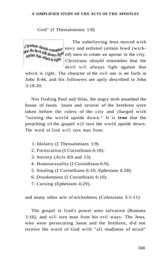#### God" (I Thessalonians 1:9).

against that which is right.

The unbelieving Jews moved with  $\text{Christians}$  should remember envy and enlisted certain lewd (wickthat the devil will always fight ed) men to create an uproar in the city. Christians should remember that the devil will always fight against that

which is right. The character of the evil one is set forth in John 8:44, and his followers are aptly described in John 3:19-20.

Not finding Paul and Silas, the angry mob assaulted the house of Jason. Jason and several of the brethren were taken before the rulers of the city and charged with "turning the world upside down." It is **true** that the preaching of the gospel will turn the world upside down. The word of God will turn man from:

- 1. Idolatry (I Thessalonians 1:9).
- 2. Fornication (I Corinthians 6:18).
- 3. Sorcery (Acts 8:9 and 13).
- 4. Homosexuality (I Corinthians 6:9).
- 5. Stealing (I Corinthians 6:10; Ephesians 4:28).
- 6. Drunkenness (I Corinthians 6:10).
- 7. Cursing (Ephesians 4;29),

and many other acts of wickedness (Colossians 3:1-11).

The gospel is God's power unto salvation (Romans 1:16), and will turn man from his evil ways. The Jews, who were persecuting Jason and the brethren, did not receive the word of God with "all readiness of mind"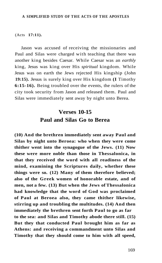(Acts **17:11).** 

Jason was accused of receiving the missionaries and Paul and Silas were charged with teaching that there was another king besides Caesar. While Caesar was an *earthly*  king, Jesus was king over His *spiritual* kingdom. While Jesus was on earth the Jews rejected His kingship (John **19:15).** Jesus is surely king over His kingdom **(I** Timothy **6:15-16).** Being troubled over the events, the rulers of the city took security from Jason and released them. Paul and Silas were immediately sent away by night unto Berea.

# **Verses 10-15 Paul and Silas Go to Berea**

**(10) And the brethren immediately sent away Paul and Silas by night unto Beroea: who when they were come thither went into the synagogue of the Jews. (11) Now these were more noble than those in Thessalonica, in that they received the word with all readiness of the mind, examining the Scriptures daily, whether these things were so. (12) Many of them therefore believed; also of the Greek women of honorable estate, and of men, not a few. (13) But when the Jews of Thessalonica had knowledge that the word of God was proclaimed of Paul at Beroea also, they came thither likewise, stirring up and troubling the multitudes. (14) And then immediately the brethren sent forth Paul to go as far to the sea: and Silas and Timothy abode there still. (15) But they that conducted Paul brought him as far as Athens: and receiving a commandment unto Silas and Timothy that they should come to him with all speed,**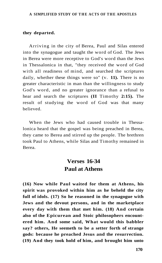#### **they departed.**

Arriving in the city of Berea, Paul and Silas entered into the synagogue and taught the word of God. The Jews in Berea were more receptive to God's word than the Jews in Thessalonica in that, "they received the word of God with all readiness of mind, and searched the scriptures daily, whether these things were so" (v. **11).** There is no greater characteristic in man than the willingness to study God's word, and no greater ignorance than a refusal to hear and search the scriptures **(II** Timothy **2:15).** The result of studying the word of God was that many believed.

When the Jews who had caused trouble in Thessalonica heard that the gospel was being preached in Berea, they came to Berea and stirred up the people. The brethren took Paul to Athens, while Silas and Timothy remained in Berea.

## **Verses 16-34 Paul at Athens**

**(16) Now while Paul waited for them at Athens, his spirit was provoked within him as he beheld the city full of idols. (17) So he reasoned in the synagogue with Jews and the devout persons, and in the marketplace every day with them that met him. (18) And certain also of the Epicurean and Stoic philosophers encountered him. And some said, What would this babbler say? others, He seemeth to be a setter forth of strange gods: because he preached Jesus and the resurrection. (19) And they took hold of him, and brought him unto**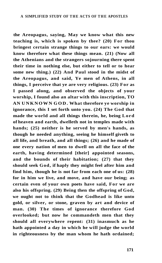**the Areopagus, saying, May we know what this new teaching is, which is spoken by thee? (20) For thou bringest certain strange things to our ears: we would know therefore what these things mean. (21) (Now all the Athenians and the strangers sojourning there spent their time in nothing else, but either to tell or to hear some new thing.) (22) And Paul stood in the midst of the Areopagus, and said, Ye men of Athens, in all things, I perceive that ye are very religious. (23) For as I passed along, and observed the objects of your worship, I found also an altar with this inscription, TO AN UNKNOWN GOD. What therefore ye worship in ignorance, this I set forth unto you. (24) The God that made the world and all things therein, he, being Lord of heaven and earth, dwelleth not in temples made with hands; (25) neither is he served by men's hands, as though he needed anything, seeing he himself giveth to all life, and breath, and all things; (26) and he made of one every nation of men to dwell on all the face of the earth, having determined [their] appointed seasons, and the bounds of their habitation; (27) that they should seek God, if haply they might feel after him and find him, though he is not far from each one of us: (28) for in him we live, and move, and have our being; as certain even of your own poets have said, For we are also his offspring. (29) Being then the offspring of God, we ought not to think that the Godhead is like unto gold, or silver, or stone, graven by art and device of man. (30) The times of ignorance therefore God overlooked; but now he commandeth men that they should all everywhere repent: (31) inasmuch as he hath appointed a day in which he will judge the world in righteousness by the man whom he hath ordained;**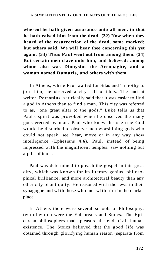**whereof he hath given assurance unto all men, in that he hath raised him from the dead. (32) Now when they heard of the resurrection of the dead, some mocked; but others said, We will hear thee concerning this yet again. (33) Thus Paul went out from among them. (34) But certain men clave unto him, and believed: among whom also was Dionysius the Areopagite, and a woman named Damaris, and others with them.** 

In Athens, while Paul waited for Silas and Timothy to join him, he observed a city full of idols. The ancient writer, **Petronius,** satirically said that it was easier to find a god in Athens than to find a man. This city was referred to as, "one great altar to the gods." Luke tells us that Paul's spirit was provoked when he observed the many gods erected by man. Paul who knew the one true God would be disturbed to observe men worshiping gods who could not speak, see, hear, move or in any way show intelligence (Ephesians **4:6).** Paul, instead of being impressed with the magnificent temples, saw nothing but a pile of idols.

Paul was determined to preach the gospel in this great city, which was known for its literary genius, philosophical brilliance, and more architectural beauty than any other city of antiquity. He reasoned with the Jews in their synagogue and with those who met with him in the market place.

In Athens there were several schools of Philosophy, two of which were the Epicureans and Stoics. The Epicurean philosophers made pleasure the end of all human existence. The Stoics believed that the good life was obtained through glorifying human reason (separate from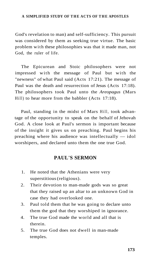God's revelation to man) and self-sufficiency. This pursuit was considered by them as seeking true virtue. The basic problem with these philosophies was that it made man, not God, the ruler of life.

The Epicurean and Stoic philosophers were not impressed with the message of Paul but with the "newness" of what Paul said (Acts 17:21). The message of Paul was the death and resurrection of Jesus (Acts 17:18). The philosophers took Paul unto the *Areopagus* (Mars Hill) to hear more from the babbler (Acts 17:18).

Paul, standing in the midst of Mars Hill, took advantage of the opportunity to speak on the behalf of Jehovah God. A close look at Paul's sermon is important because of the insight it gives us on preaching. Paul begins his preaching where his audience was intellectually — idol worshipers, and declared unto them the one true God.

### **PAUL'S SERMON**

- 1. He noted that the Athenians were very superstitious (religious).
- 2. Their devotion to man-made gods was so great that they raised up an altar to an unknown God in case they had overlooked one.
- 3. Paul told them that he was going to declare unto them the god that they worshiped in ignorance.
- 4. The true God made the world and all that is therein.
- 5. The true God does not dwell in man-made temples.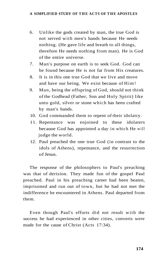- 6. Unlike the gods created by man, the true God is not served with men's hands because He needs nothing. (He gave life and breath to all things, therefore He needs nothing from man). He is God of the entire universe.
- 7. Man's purpose on earth is to seek God. God can be found because He is not far from His creatures.
- 8. It is in this one true God that we live and move and have our being. We exist because of Him!
- 9. Man, being the offspring of God, should not think of the Godhead (Father, Son and Holy Spirit) like unto gold, silver or stone which has been crafted by man's hands.
- 10. God commanded them to repent of their idolatry.
- 11. Repentance was enjoined to these idolaters because God has appointed a day in which He will judge the world.
- 12. Paul preached the one true God (in contrast to the idols of Athens), repentance, and the resurrection of Jesus.

The response of the philosophers to Paul's preaching was that of derision. They made fun of the gospel Paul preached. Paul in his preaching career had been beaten, imprisoned and run out of town, but he had not met the indifference he encountered in Athens. Paul departed from them.

Even though Paul's efforts did not result with the success he had experienced in other cities, converts were made for the cause of Christ (Acts 17:34).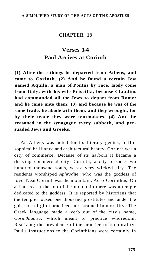### **CHAPTER 18**

## **Verses 1-4 Paul Arrives at Corinth**

**(1) After these things he departed from Athens, and came to Corinth. (2) And he found a certain Jew named Aquila, a man of Pontus by race, lately come from Italy, with his wife Priscilla, because Claudius had commanded all the Jews to depart from Rome: and he came unto them; (3) and because he was of the same trade, he abode with them, and they wrought, for by their trade they were tentmakers. (4) And he reasoned in the synagogue every sabbath, and persuaded Jews and Greeks.** 

As Athens was noted for its literary genius, philosophical brilliance and architectural beauty, Corinth was a city of commerce. Because of its harbors it became a thriving commercial city. Corinth, a city of some two hundred thousand souls, was a very wicked city. The residents worshiped *Aphrodite,* who was the goddess of love. Near Corinth was the mountain, Acro-Corinthus. On a flat area at the top of the mountain there was a temple dedicated to the goddess. It is reported by historians that the temple housed one thousand prostitutes and under the guise of religion practiced unrestrained immorality. The Greek language made a verb out of the city's name, *Corinthianize,* which meant to practice whoredom. Realizing the prevalence of the practice of immorality, Paul's instructions to the Corinthians were certainly in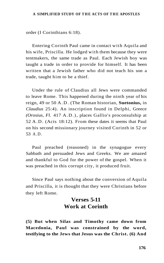order (I Corinthians 6:18).

Entering Corinth Paul came in contact with Aquila and his wife, Priscilla. He lodged with them because they were tentmakers, the same trade as Paul. Each Jewish boy was taught a trade in order to provide for himself. It has been written that a Jewish father who did not teach his son a trade, taught him to be a thief.

Under the rule of Claudius all Jews were commanded to leave Rome. This happened during the ninth year of his reign, 49 or 50 A.D. (The Roman historian, **Suetonius,** in *Claudius* 25:4). An inscription found in Delphi, Greece *(Orosius, Fl.* 417 A.D.), places Gallio's proconsulship at 52 A.D. (Acts 18:12). From these dates it seems that Paul on his second missionary journey visited Corinth in 52 or 53 A.D.

Paul preached (reasoned) in the synagogue every Sabbath and persuaded Jews and Greeks. We are amazed and thankful to God for the power of the gospel. When it was preached in this corrupt city, it produced fruit.

Since Paul says nothing about the conversion of Aquila and Priscilla, it is thought that they were Christians before they left Rome.

### **Verses 5-11 Work at Corinth**

**(5) But when Silas and Timothy came down from Macedonia, Paul was constrained by the word, testifying to the Jews that Jesus was the Christ. (6) And**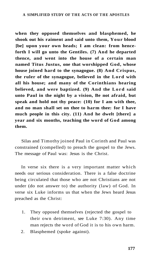**when they opposed themselves and blasphemed, he shook out his raiment and said unto them, Your blood [be] upon your own heads; I am clean: from henceforth I will go unto the Gentiles. (7) And he departed thence, and went into the house of a certain man named Titus Justus, one that worshipped God, whose house joined hard to the synagogue. (8) And Crispus, the ruler of the synagogue, believed in the Lord with all his house; and many of the Corinthians hearing believed, and were baptized. (9) And the Lord said unto Paul in the night by a vision, Be not afraid, but speak and hold not thy peace: (10) for I am with thee, and no man shall set on thee to harm thee: for I have much people in this city. (11) And he dwelt [there] a year and six months, teaching the word of God among them.** 

Silas and Timothy joined Paul in Corinth and Paul was constrained (compelled) to preach the gospel to the Jews. The message of Paul was: Jesus is the Christ.

In verse six there is a very important matter which needs our serious consideration. There is a false doctrine being circulated that those who are not Christians are not under (do not answer to) the authority (law) of God. In verse six Luke informs us that when the Jews heard Jesus preached as the Christ:

- 1. They opposed themselves (rejected the gospel to their own detriment, see Luke 7:30). Any time man rejects the word of God it is to his own harm.
- 2. Blasphemed (spoke against).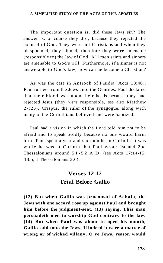The important question is, did these Jews sin? The answer is, of course they did, because they rejected the counsel of God. They were not Christians and when they blasphemed, they sinned, therefore they **were** amenable (responsible to) the law of God. All men saints and sinners are amenable to God's will. Furthermore, i f a sinner is not answerable to God's law, how can he become a Christian?

As was the case in Antioch of Pisidia (Acts 13:46), Paul turned from the Jews unto the Gentiles. Paul declared that their blood was upon their heads because they had rejected Jesus (they *were* responsible, see also Matthew 27:25). Crispus, the ruler of the synagogue, along with many of the Corinthians believed and were baptized.

Paul had a vision in which the Lord told him not to be afraid and to speak boldly because no one would harm him. Paul spent a year and six months in Corinth. It was while he was at Corinth that Paul wrote 1st and 2nd Thessalonians around  $51-52$  A.D. (see Acts 17:14-15; 18:5; I Thessalonians 3:6).

# **Verses 12-17 Trial Before Gallio**

**(12) But when Gallio was proconsul of Achaia, the Jews with one accord rose up against Paul and brought him before the judgment-seat, (13) saying, This man persuadeth men to worship God contrary to the law. (14) But when Paul was about to open his mouth, Gallio said unto the Jews, If indeed it were a matter of wrong or of wicked villany, O ye Jews, reason would**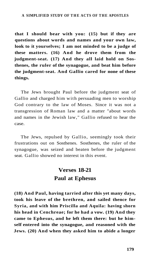**that I should bear with you: (15) but if they are questions about words and names and your own law, look to it yourselves; I am not minded to be a judge of these matters. (16) And he drove them from the judgment-seat. (17) And they all laid hold on Sosthenes, the ruler of the synagogue, and beat him before the judgment-seat. And Gallio cared for none of these things.** 

The Jews brought Paul before the judgment seat of Gallio and charged him with persuading men to worship God contrary to the law of Moses. Since it was not a transgression of Roman law and a matter "about words and names in the Jewish law," Gallio refused to hear the case.

The Jews, repulsed by Gallio, seemingly took their frustrations out on Sosthenes. Sosthenes, the ruler of the synagogue, was seized and beaten before the judgment seat. Gallio showed no interest in this event.

## **Verses 18-21 Paul at Ephesus**

**(18) And Paul, having tarried after this yet many days, took his leave of the brethren, and sailed thence for Syria, and with him Priscilla and Aquila: having shorn his head in Cenchreae; for he had a vow. (19) And they came to Ephesus, and he left them there: but he himself entered into the synagogue, and reasoned with the Jews. (20) And when they asked him to abide a longer**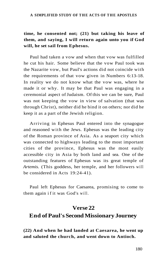### **time, he consented not; (21) but taking his leave of them, and saying, I will return again unto you if God will, he set sail from Ephesus.**

Paul had taken a vow and when that vow was fulfilled he cut his hair. Some believe that the vow Paul took was the Nazarite vow, but Paul's actions did not coincide with the requirements of that vow given in Numbers 6:13-18. In reality we do not know what the vow was, where he made it or why. It may be that Paul was engaging in a ceremonial aspect of Judaism. Of this we can be sure, Paul was not keeping the vow in view of salvation (that was through Christ), neither did he bind it on others; nor did he keep it as a part of the Jewish religion.

Arriving in Ephesus Paul entered into the synagogue and reasoned with the Jews. Ephesus was the leading city of the Roman province of Asia. As a seaport city which was connected to highways leading to the most important cities of the province, Ephesus was the most easily accessible city in Asia by both land and sea. One of the outstanding features of Ephesus was its great temple of *Artemis.* (This goddess, her temple, and her followers will be considered in Acts 19:24-41).

Paul left Ephesus for Caesarea, promising to come to them again i f it was God's will.

### **Verse 22**

### **End of Paul's Second Missionary Journey**

**(22) And when he had landed at Caesarea, he went up and saluted the church, and went down to Antioch.**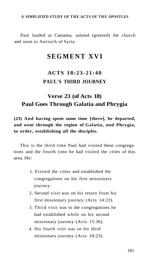Paul landed at Caesarea, saluted (greeted) the church and went to Antioch of Syria.

## **SEGMENT XV I**

## **ACTS 18:23-21:40 PAUL'S THIRD JOURNEY**

### **Verse 23 (of Acts 18) Paul Goes Through Galatia and Phrygia**

**(23) And having spent some time [there], he departed, and went through the region of Galatia, and Phrygia, in order, establishing all the disciples.** 

This is the third time Paul had visited these congregations and the fourth time he had visited the cities of this area. He:

- 1. Visited the cities and established the congregations on his first missionary journey.
- 2. Second visit was on his return from his first missionary journey (Acts 14:23).
- 3. Third visit was to the congregations he had established while on his second missionary journey (Acts 15:36).
- 4. His fourth visit was on his third missionary journey (Acts 18:23).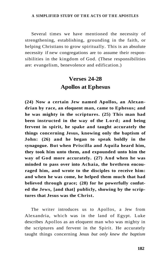Several times we have mentioned the necessity of strengthening, establishing, grounding in the faith, or helping Christians to grow spiritually. This is an absolute necessity if new congregations are to assume their responsibilities in the kingdom of God. (These responsibilities are: evangelism, benevolence and edification.)

## **Verses 24-28 Apollos at Ephesus**

**(24) Now a certain Jew named Apollos, an Alexandrian by race, an eloquent man, came to Ephesus; and he was mighty in the scriptures. (25) This man had been instructed in the way of the Lord; and being fervent in spirit, he spake and taught accurately the things concerning Jesus, knowing only the baptism of John: (26) and he began to speak boldly in the synagogue. But when Priscilla and Aquila heard him, they took him unto them, and expounded unto him the way of God more accurately. (27) And when he was minded to pass over into Achaia, the brethren encouraged him, and wrote to the disciples to receive him: and when he was come, he helped them much that had believed through grace; (28) for he powerfully confuted the Jews, [and that] publicly, showing by the scriptures that Jesus was the Christ.** 

The writer introduces us to Apollos, a Jew from Alexandria, which was in the land of Egypt. Luke describes Apollos as an eloquent man who was mighty in the scriptures and fervent in the Spirit. He accurately taught things concerning Jesus *but only knew the baptism*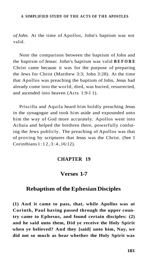*of John.* At the time of Apollos, John's baptism was not valid.

Note the comparison between the baptism of John and the baptism of Jesus: John's baptism was valid **BEFOR E**  Christ came because it was for the purpose of preparing the Jews for Christ (Matthew 3:3; John 3:28). At the time that Apollos was preaching the baptism of John, Jesus had already come into the world, died, was buried, resurrected, and ascended into heaven (Acts 1:9-l 1).

Priscilla and Aquila heard him boldly preaching Jesus in the synagogue and took him aside and expounded unto him the way of God more accurately. Apollos went into Achaia and helped the brethren there, powerfully confuting the Jews publicly. The preaching of Apollos was that of proving by scriptures that Jesus was the Christ. (See I Corinthians 1:12 , 3:4 , 16:12).

#### **CHAPTER 19**

### **Verses 1-7**

### **Rebaptism of the Ephesian Disciples**

**(1) And it came to pass, that, while Apollos was at Corinth, Paul having passed through the upper country came to Ephesus, and found certain disciples: (2) and he said unto them, Did ye receive the Holy Spirit when ye believed? And they [said] unto him, Nay, we did not so much as hear whether the Holy Spirit was**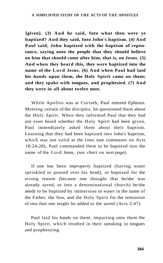**[given]. (3) And he said, Into what then were ye baptized? And they said, Into John's baptism. (4) And Paul said, John baptized with the baptism of repentance, saying unto the people that they should believe on him that should come after him, that is, on Jesus. (5) And when they heard this, they were baptized into the name of the Lord Jesus. (6) And when Paul had laid his hands upon them, the Holy Spirit came on them; and they spake with tongues, and prophesied. (7) And they were in all about twelve men.** 

While Apollos was at Corinth, Paul entered Ephesus. Meeting certain of the disciples, he questioned them about the Holy Spirit. When they informed Paul that they had not even heard whether the Holy Spirit had been given, Paul immediately asked them about their baptism. Learning that they had been baptized into John's baptism, which was not valid at the time (see comments on Acts 18:24-28), Paul commanded them to be baptized into the name of the Lord Jesus, *(see chart on next page).* 

If one has been *improperly* baptized (having water sprinkled or poured over his head), or baptized for the wrong reason (because one thought that he/she was already saved, or into a denominational church) he/she needs to be baptized by immersion in water in the name of the Father, the Son, and the Holy Spirit for the remission of sins that one might be added to the saved (Acts 2:47).

Paul laid his hands on them, imparting unto them the Holy Spirit, which resulted in their speaking in tongues and prophesying.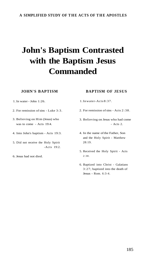# **John's Baptism Contrasted with the Baptism Jesus Commanded**

#### **JOHN'S BAPTISM**

**BAPTISM OF JESUS** 

- 1. In water John 1:26.
- 2. For remission of sins Luke 3:3.
- 3. Believing on Him (Jesus) who was to come - Acts 19:4.
- 4. Into John's baptism Acts 19:3.
- 5. Did not receive the Holy Spirit -Acts 19:2.
- 6. Jesus had not died.
- 1. In water-Acts 8:37.
- 2. For remission of sins Acts 2:38.
- 3. Believing on Jesus who had come - Acts 2.
- 4. In the name of the Father, Son and the Holy Spirit - Matthew 28:19.
	- 5. Received the Holy Spirit Acts 2:38.
	- 6. Baptized into Christ Galatians 3:27; baptized into the death of Jesus - Rom. 6:3-4.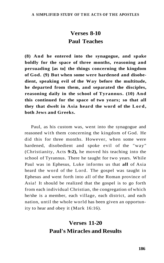## **Verses 8-10 Paul Teaches**

**(8) And he entered into the synagogue, and spake boldly for the space of three months, reasoning and persuading [as to] the things concerning the kingdom of God. (9) But when some were hardened and disobedient, speaking evil of the Way before the multitude, he departed from them, and separated the disciples, reasoning daily in the school of Tyrannus. (10) And this continued for the space of two years; so that all they that dwelt in Asia heard the word of the Lord, both Jews and Greeks.** 

Paul, as his custom was, went into the synagogue and reasoned with them concerning the kingdom of God. He did this for three months. However, when some were hardened, disobedient and spoke evil of the "way" (Christianity, Acts **9:2),** he moved his teaching into the school of Tyrannus. There he taught for two years. While Paul was in Ephesus, Luke informs us that **all** of Asia heard the word of the Lord. The gospel was taught in Ephesus and went forth into all of the Roman province of Asia! It should be realized that the gospel is to go forth from each individual Christian, the congregation of which he/she is a member, each village, each district, and each nation, until the whole world has been given an opportunity to hear and obey it (Mark 16:16).

## **Verses 11-20 Paul's Miracles and Results**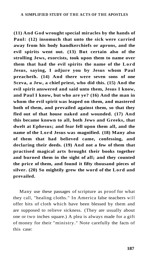**(11) And God wrought special miracles by the hands of Paul: (12) insomuch that unto the sick were carried away from his body handkerchiefs or aprons, and the evil spirits went out. (13) But certain also of the strolling Jews, exorcists, took upon them to name over them that had the evil spirits the name of the Lord Jesus, saying, I adjure you by Jesus whom Paul preacheth. (14) And there were seven sons of one Sceva, a Jew, a chief priest, who did this. (15) And the evil spirit answered and said unto them, Jesus I know, and Paul I know, but who are ye? (16) And the man in whom the evil spirit was leaped on them, and mastered both of them, and prevailed against them, so that they fled out of that house naked and wounded. (17) And this became known to all, both Jews and Greeks, that dwelt at Ephesus; and fear fell upon them all, and the name of the Lord Jesus was magnified. (18) Many also of them that had believed came, confessing, and declaring their deeds. (19) And not a few of them that practised magical arts brought their books together and burned them in the sight of all; and they counted the price of them, and found it fifty thousand pieces of silver. (20) So mightily grew the word of the Lord and prevailed.** 

Many use these passages of scripture as proof for what they call, "healing cloths." In America false teachers will offer bits of cloth which have been blessed by them and are supposed to relieve sickness. (They are usually about one or two inches square.) A plea is always made for a gift of money for their "ministry." Note carefully the facts of this case: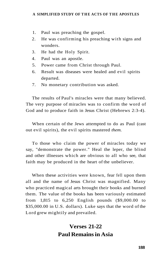- 1. Paul was preaching the gospel.
- 2. He was confirming his preaching with signs and wonders.
- 3. He had the Holy Spirit.
- 4. Paul was an apostle.
- 5. Power came from Christ through Paul.
- 6. Result was diseases were healed and evil spirits departed.
- 7. No monetary contribution was asked.

The results of Paul's miracles were that many believed. The very purpose of miracles was to confirm the word of God and to produce faith in Jesus Christ (Hebrews 2:3-4).

When certain of the Jews attempted to do as Paul (cast out evil spirits), the evil spirits mastered *them.* 

To those who claim the power of miracles today we say, "demonstrate the power." Heal the leper, the blind and other illnesses which are obvious to all who see, that faith may be produced in the heart of the unbeliever.

When these activities were known, fear fell upon them all and the name of Jesus Christ was magnified. Many who practiced magical arts brought their books and burned them. The value of the books has been variously estimated from 1,815 to 6,250 English pounds (\$9,000.00 to \$35,000.00 in U.S. dollars). Luke says that the word of the Lord grew mightily and prevailed.

## **Verses 21-22 Paul Remains in Asia**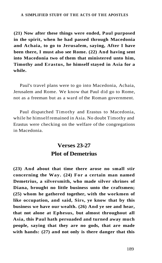**(21) Now after these things were ended, Paul purposed in the spirit, when he had passed through Macedonia and Achaia, to go to Jerusalem, saying, After I have been there, I must also see Rome. (22) And having sent into Macedonia two of them that ministered unto him, Timothy and Erastus, he himself stayed in Asia for a while.** 

Paul's travel plans were to go into Macedonia, Achaia, Jerusalem and Rome. We know that Paul did go to Rome, not as a freeman but as a ward of the Roman government.

Paul dispatched Timothy and Erastus to Macedonia, while he himself remained in Asia. No doubt Timothy and Erastus were checking on the welfare of the congregations in Macedonia.

## **Verses 23-27 Plot of Demetrius**

**(23) And about that time there arose no small stir concerning the Way. (24) For a certain man named Demetrius, a silversmith, who made silver shrines of Diana, brought no little business unto the craftsmen; (25) whom he gathered together, with the workmen of like occupation, and said, Sirs, ye know that by this business we have our wealth. (26) And ye see and hear, that not alone at Ephesus, but almost throughout all Asia, this Paul hath persuaded and turned away much people, saying that they are no gods, that are made with hands: (27) and not only is there danger that this**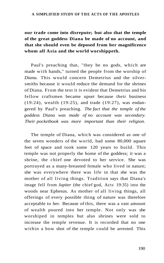### **our trade come into disrepute; but also that the temple of the great goddess Diana be made of no account, and that she should even be deposed from her magnificence whom all Asia and the world worshippeth.**

Paul's preaching that, "they be no gods, which are made with hands," turned the people from the worship of *Diana.* This would concern Demetrius and the silversmiths because it would reduce the demand for the shrines of Diana. From the text it is evident that Demetrius and his fellow craftsmen became upset because their business (19:24), wealth (19:25), and trade (19:27), was endangered by Paul's preaching. *The fact that the temple of the goddess Diana was made of no account was secondary. Their pocketbook was more important than their religion.* 

The temple of Diana, which was considered as one of the seven wonders of the world, had some 80,000 square feet of space and took some 120 years to build. This temple was not properly the home of the goddess; it was a shrine, the chief one devoted to her service. She was portrayed as a many-breasted female who lived in nature; she was everywhere there was life in that she was the mother of all living things. Tradition says that Diana's image fell from *Jupiter* (the chief god, Acts 19:35) into the woods near Ephesus. As mother of all living things, all offerings of every possible thing of nature was therefore acceptable to her. Because of this, there was a vast amount of wealth poured into her temple. Not only was she worshiped in temples but also shrines were sold to increase the temple revenue. It is recorded that no one within a bow shot of the temple could be arrested. This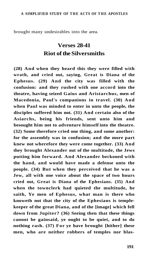brought many undesirables into the area.

## **Verses 28-41 Riot of the Silversmiths**

**(28) And when they heard this they were filled with wrath, and cried out, saying, Great is Diana of the Ephesus. (29) And the city was filled with the confusion: and they rushed with one accord into the theatre, having seized Gaius and Aristarchus, men of Macedonia, Paul's companions in travel. (30) And when Paul was minded to enter in unto the people, the disciples suffered him not. (31) And certain also of the Asiarchs, being his friends, sent unto him and besought him not to adventure himself into the theatre. (32) Some therefore cried one thing, and some another: for the assembly was in confusion; and the more part knew not wherefore they were come together. (33) And they brought Alexander out of the multitude, the Jews putting him forward. And Alexander beckoned with the hand, and would have made a defense unto the people. (34) But when they perceived that he was a Jew, all with one voice about the space of two hours cried out, Great is Diana of the Ephesians. (35) And when the townclerk had quieted the multitude, he saith, Ye men of Ephesus, what man is there who knoweth not that the city of the Ephesians is templekeeper of the great Diana, and of the [image] which fell down from Jupiter? (36) Seeing then that these things cannot be gainsaid, ye ought to be quiet, and to do nothing rash. (37) For ye have brought [hither] these men, who are neither robbers of temples nor blas-**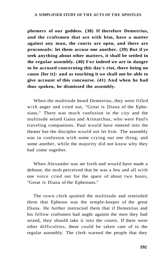**phemers of our goddess. (38) If therefore Demetrius, and the craftsmen that are with him, have a matter against any man, the courts are open, and there are proconsuls: let them accuse one another. (39) But if ye seek anything about other matters, it shall be settled in the regular assembly. (40) For indeed we are in danger to be accused concerning this day's riot, there being no cause [for it]: and as touching it we shall not be able to give account of this concourse. (41) And when he had thus spoken, he dismissed the assembly.** 

When the multitude heard Demetrius, they were filled with anger and cried out, "Great is Diana of the Ephesians." There was much confusion in the city and the multitude seized Gaius and Aristarchus, who were Paul's traveling companions. Paul would have entered into the theater but the disciples would not let him. The assembly was in confusion with some crying out one thing, and some another, while the majority did not know why they had come together.

When Alexander was set forth and would have made a defense, the mob perceived that he was a Jew and all with one voice cried out for the space of about two hours, "Great is Diana of the Ephesians."

The town clerk quieted the multitude and reminded them that Ephesus was the temple-keeper of the great Diana. He further instructed them that if Demetrius and his fellow craftsmen had aught against the men they had seized, they should take it into the courts. If there were other difficulties, these could be taken care of in the regular assembly. The clerk warned the people that they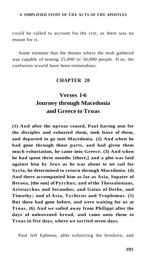could be called to account for the riot, as there was no reason for it.

Some estimate that the theater where the mob gathered was capable of seating 25,000 to 50,000 people. If so, the confusion would have been tremendous.

#### **CHAPTER 20**

## **Verses 1-6 Journey through Macedonia and Greece to Troas**

**(1) And after the uproar ceased, Paul having sent for the disciples and exhorted them, took leave of them, and departed to go into Macedonia. (2) And when he had gone through those parts, and had given them much exhortation, he came into Greece. (3) And when he had spent three months [there,] and a plot was laid against him by Jews as he was about to set sail for Syria, he determined to return through Macedonia. (4) And there accompanied him as far as Asia, Sopater of Beroea, [the son] of Pyrrhus; and of the Thessalonians, Aristarchus and Secundus; and Gaius of Derbe, and Timothy; and of Asia, Tychicus and Trophimus. (5) But these had gone before, and were waiting for us at Troas. (6) And we sailed away from Philippi after the days of unleavened bread, and came unto them to Troas in five days, where we tarried seven days.** 

Paul left Ephesus, after exhorting the brethren, and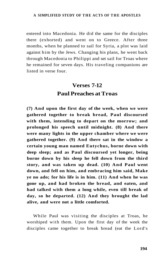entered into Macedonia. He did the same for the disciples there (exhorted) and went on to Greece. After three months, when he planned to sail for Syria, a plot was laid against him by the Jews. Changing his plans, he went back through Macedonia to Philippi and set sail for Troas where he remained for seven days. His traveling companions are listed in verse four.

## **Verses 7-12 Paul Preaches at Troas**

**(7) And upon the first day of the week, when we were gathered together to break bread, Paul discoursed with them, intending to depart on the morrow; and prolonged his speech until midnight. (8) And there were many lights in the upper chamber where we were gathered together. (9) And there sat in the window a certain young man named Eutychus, borne down with deep sleep; and as Paul discoursed yet longer, being borne down by his sleep he fell down from the third story, and was taken up dead. (10) And Paul went down, and fell on him, and embracing him said, Make ye no ado; for his life is in him. (11) And when he was gone up, and had broken the bread, and eaten, and had talked with them a long while, even till break of day, so he departed. (12) And they brought the lad alive, and were not a little comforted.** 

While Paul was visiting the disciples at Troas, he worshiped with them. Upon the first day of the week the disciples came together to break bread (eat the Lord's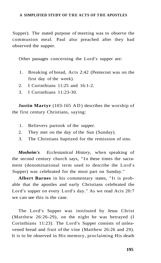Supper). The stated purpose of meeting was to observe the communion meal. Paul also preached after they had observed the supper.

Other passages concerning the Lord's supper are:

- 1. Breaking of bread, Acts 2:42 (Pentecost was on the first day of the week).
- 2. I Corinthians 11:25 and 16:1-2.
- 3. I Corinthians 11:23-30.

**Justin Martyr** (103-165 AD) describes the worship of the first century Christians, saying:

- 1. Believers partook of the supper.
- 2. They met on the day of the Sun (Sunday).
- 3. The Christians baptized for the remission of sins.

*Mosheim's Ecclesiastical History,* when speaking of the second century church says, "In these times the sacrament (denominational term used to describe the Lord's Supper) was celebrated for the most part on Sunday."

**Albert Barnes** in his commentary states, "It is probable that the apostles and early Christians celebrated the Lord's supper on every Lord's day." As we read Acts 20:7 we can see this is the case.

The Lord's Supper was instituted by Jesus Christ (Matthew 26:26-29), on the night he was betrayed (I Corinthians 11:23). The Lord's Supper consists of unleavened bread and fruit of the vine (Matthew 26:26 and 29). It is to be observed in His memory, proclaiming His death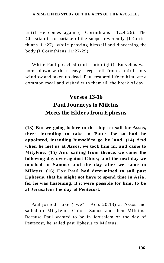until He comes again (I Corinthians 11:24-26). The Christian is to partake of the supper reverently (I Corinthians 11:27), while proving himself and discerning the body (I Corinthians 11:27-29).

While Paul preached (until midnight), Eutychus was borne down with a heavy sleep, fell from a third story window and taken up dead. Paul restored life to him, ate a common meal and visited with them till the break of day.

## **Verses 13-16 Paul Journeys to Miletus Meets the Elders from Ephesus**

**(13) But we going before to the ship set sail for Assos, there intending to take in Paul: for so had he appointed, intending himself to go by land. (14) And when he met us at Assos, we took him in, and came to Mitylene. (15) And sailing from thence, we came the following day over against Chios; and the next day we touched at Samos; and the day after we came to Miletus. (16) For Paul had determined to sail past Ephesus, that he might not have to spend time in Asia; for he was hastening, if it were possible for him, to be at Jerusalem the day of Pentecost.** 

Paul joined Luke ("we" - Acts 20:13) at Assos and sailed to Mitylene, Chios, Samos and then Miletus. Because Paul wanted to be in Jerusalem on the day of Pentecost, he sailed past Ephesus to Miletus.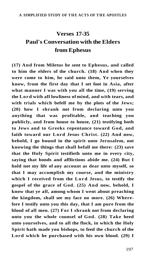## **Verses 17-35 Paul's Conversation with the Elders from Ephesus**

**(17) And from Miletus he sent to Ephesus, and called to him the elders of the church. (18) And when they were come to him, he said unto them, Ye yourselves know, from the first day that I set foot in Asia, after what manner I was with you all the time, (19) serving the Lord with all lowliness of mind, and with tears, and with trials which befell me by the plots of the Jews; (20) how I shrank not from declaring unto you anything that was profitable, and teaching you publicly, and from house to house, (21) testifying both to Jews and to Greeks repentance toward God, and faith toward our Lord Jesus Christ. (22) And now, behold, I go bound in the spirit unto Jerusalem, not knowing the things that shall befall me there: (23) save that the Holy Spirit testifieth unto me in every city, saying that bonds and afflictions abide me. (24) But I hold not my life of any account as dear unto myself, so that I may accomplish my course, and the ministry which I received from the Lord Jesus, to testify the gospel of the grace of God. (25) And now, behold, I know that ye all, among whom I went about preaching the kingdom, shall see my face no more. (26) Wherefore I testify unto you this day, that I am pure from the blood of all men. (27) For I shrank not from declaring unto you the whole counsel of God. (28) Take heed unto yourselves, and to all the flock, in which the Holy Spirit hath made you bishops, to feed the church of the Lord which he purchased with his own blood. (29) I**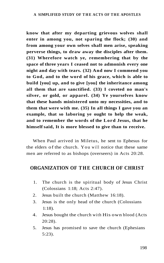**know that after my departing grievous wolves shall enter in among you, not sparing the flock; (30) and from among your own selves shall men arise, speaking perverse things, to draw away the disciples after them. (31) Wherefore watch ye, remembering that by the space of three years I ceased not to admonish every one night and day with tears. (32) And now I commend you to God, and to the word of his grace, which is able to build [you] up, and to give [you] the inheritance among all them that are sanctified. (33) I coveted no man's silver, or gold, or apparel. (34) Ye yourselves know that these hands ministered unto my necessities, and to them that were with me. (35) In all things I gave you an example, that so laboring ye ought to help the weak, and to remember the words of the Lord Jesus, that he himself said, It is more blessed to give than to receive.** 

When Paul arrived in Miletus, he sent to Ephesus for the elders of the church. You will notice that these same men are referred to as bishops (overseers) in Acts 20:28.

### **ORGANIZATION OF THE CHURCH OF CHRIST**

- 1. The church is the spiritual body of Jesus Christ (Colossians 1:18; Acts 2:47).
- 2. Jesus built the church (Matthew 16:18).
- 3. Jesus is the only head of the church (Colossians 1:18).
- 4. Jesus bought the church with His own blood (Acts 20:28).
- 5. Jesus has promised to save the church (Ephesians 5:23).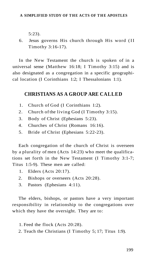5:23).

6. Jesus governs His church through His word (II Timothy 3:16-17).

In the New Testament the church is spoken of in a universal sense (Matthew 16:18; I Timothy 3:15) and is also designated as a congregation in a specific geographical location (I Corinthians 1:2; I Thessalonians 1:1).

### **CHRISTIANS AS A GROUP ARE CALLED**

- 1. Church of God (I Corinthians 1:2).
- 2. Church of the living God (I Timothy 3:15).
- 3. Body of Christ (Ephesians 5:23).
- 4. Churches of Christ (Romans 16:16).
- 5. Bride of Christ (Ephesians 5:22-23).

Each congregation of the church of Christ is overseen by a plurality of men (Acts 14:23) who meet the qualifications set forth in the New Testament (I Timothy 3:1-7; Titus 1:5-9). These men are called:

- 1. Elders (Acts 20:17).
- 2. Bishops or overseers (Acts 20:28).
- 3. Pastors (Ephesians 4:11).

The elders, bishops, or pastors have a very important responsibility in relationship to the congregations over which they have the oversight. They are to:

- 1. Feed the flock (Acts 20:28).
- 2. Teach the Christians (I Timothy 5; 17; Titus 1:9).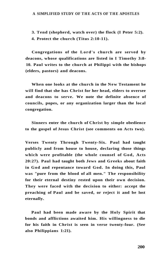**3. Tend (shepherd, watch over) the flock (I Peter 5:2). 4. Protect the church (Titus 2:10-11).** 

**Congregations of the Lord's church are served by deacons, whose qualifications are listed in I Timothy 3:8- 10. Paul writes to the church at Philippi with the bishops (elders, pastors) and deacons.** 

**When one looks at the church in the New Testament he will find that she has Christ for her head, elders to oversee and deacons to serve. We note the definite absence of councils, popes, or any organization larger than the local congregation.** 

**Sinners enter the church of Christ by simple obedience to the gospel of Jesus Christ (see comments on Acts two).** 

**Verses Twenty Through Twenty-Six. Paul had taught publicly and from house to house, declaring those things which were profitable (the whole counsel of God, Acts 20:27). Paul had taught both Jews and Greeks about faith in God and repentance toward God. In doing this, Paul was "pure from the blood of all men." The responsibility for their eternal destiny rested upon their own decision. They were faced with the decision to either: accept the preaching of Paul and be saved, or reject it and be lost eternally.** 

**Paul had been made aware by the Holy Spirit that bonds and afflictions awaited him. His willingness to die for his faith in Christ is seen in verse twenty-four. (See also Philippians 1:21).**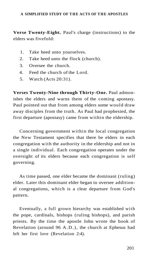**Verse Twenty-Eight.** Paul's charge (instructions) to the elders was fivefold:

- 1. Take heed unto yourselves.
- 2. Take heed unto the flock (church).
- 3. Oversee the church.
- 4. Feed the church of the Lord.
- 5. Watch (Acts 20:31).

**Verses Twenty-Nine through Thirty-One.** Paul admonishes the elders and warns them of the coming apostasy. Paul pointed out that from among elders some would draw away disciples from the truth. As Paul had prophesied, the first departure (apostasy) came from within the eldership.

Concerning government within the local congregation the New Testament specifies that there be elders in each congregation with the authority in the eldership and not in a single individual. Each congregation operates under the oversight of its elders because each congregation is self governing.

As time passed, one elder became the dominant (ruling) elder. Later this dominant elder began to oversee additional congregations, which is a clear departure from God's pattern.

Eventually, a full grown hierarchy was established with the pope, cardinals, bishops (ruling bishops), and parish priests. By the time the apostle John wrote the book of Revelation (around 96 A.D.), the church at Ephesus had left her first love (Revelation 2:4).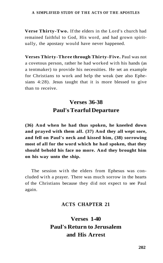**Verse Thirty-Two.** If the elders in the Lord's church had remained faithful to God, His word, and had grown spiritually, the apostasy would have never happened.

**Verses Thirty-Three through Thirty-Five.** Paul was not a covetous person, rather he had worked with his hands (as a tentmaker) to provide his necessities. He set an example for Christians to work and help the weak (see also Ephesians 4:28). Jesus taught that it is more blessed to give than to receive.

## **Verses 36-38 Paul's Tearful Departure**

**(36) And when he had thus spoken, he kneeled down and prayed with them all. (37) And they all wept sore, and fell on Paul's neck and kissed him, (38) sorrowing most of all for the word which he had spoken, that they should behold his face no more. And they brought him on his way unto the ship.** 

The session with the elders from Ephesus was concluded with a prayer. There was much sorrow in the hearts of the Christians because they did not expect to see Paul again.

### **ACTS CHAPTER 21**

**Verses 1-40 Paul's Return to Jerusalem and His Arrest**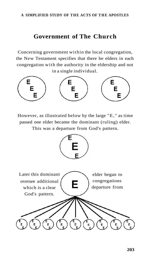### **Government of The Church**

Concerning government within the local congregation, the New Testament specifies that there be elders in each congregation with the authority in the eldership and not in a single individual.



However, as illustrated below by the large "E, " as time passed one elder became the dominant (ruling) elder. This was a departure from God's pattern.

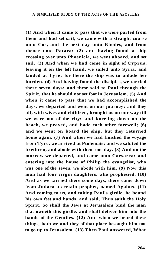**(1) And when it came to pass that we were parted from them and had set sail, we came with a straight course unto Cos, and the next day unto Rhodes, and from thence unto Patara: (2) and having found a ship crossing over unto Phoenicia, we went aboard, and set sail. (3) And when we had come in sight of Cyprus, leaving it on the left hand, we sailed unto Syria, and landed at Tyre; for there the ship was to unlade her burden. (4) And having found the disciples, we tarried there seven days: and these said to Paul through the Spirit, that he should not set foot in Jerusalem. (5) And when it came to pass that we had accomplished the days, we departed and went on our journey; and they all, with wives and children, brought us on our way till we were out of the city: and kneeling down on the beach, we prayed, and bade each other farewell; (6) and we went on board the ship, but they returned home again. (7) And when we had finished the voyage from Tyre, we arrived at Ptolemais; and we saluted the brethren, and abode with them one day. (8) And on the morrow we departed, and came unto Caesarea: and entering into the house of Philip the evangelist, who was one of the seven, we abode with him. (9) Now this man had four virgin daughters, who prophesied. (10) And as we tarried there some days, there came down from Judaea a certain prophet, named Agabus. (11) And coming to us, and taking Paul's girdle, he bound his own feet and hands, and said, Thus saith the Holy Spirit, So shall the Jews at Jerusalem bind the man that owneth this girdle, and shall deliver him into the hands of the Gentiles. (12) And when we heard these things, both we and they of that place besought him not to go up to Jerusalem. (13) Then Paul answered, What**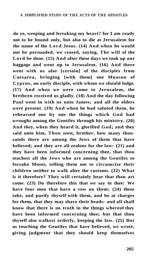**do ye, weeping and breaking my heart? for I am ready not to be bound only, but also to die at Jerusalem for the name of the Lord Jesus. (14) And when he would not be persuaded, we ceased, saying, The will of the Lord be done. (15) And after these days we took up our baggage and went up to Jerusalem. (16) And there went with us also [certain] of the disciples from Caesarea, bringing [with them] one Mnason of Cyprus, an early disciple, with whom we should lodge. (17) And when we were come to Jerusalem, the brethren received us gladly. (18) And the day following Paul went in with us unto James; and all the elders were present. (19) And when he had saluted them, he rehearsed one by one the things which God had wrought among the Gentiles through his ministry. (20) And they, when they heard it, glorified God; and they said unto him, Thou seest, brother, how many thousands there are among the Jews of them that have believed; and they are all zealous for the law: (21) and they have been informed concerning thee, that thou teachest all the Jews who are among the Gentiles to forsake Moses, telling them not to circumcise their children neither to walk after the customs. (22) What is it therefore? They will certainly hear that thou art come. (23) Do therefore this that we say to thee: We have four men that have a vow on them; (24) these take, and purify thyself with them, and be at charges for them, that they may shave their heads: and all shall know that there is no truth in the things whereof they have been informed concerning thee; but that thou thyself also walkest orderly, keeping the law. (25) But as touching the Gentiles that have believed, we wrote, giving judgment that they should keep themselves**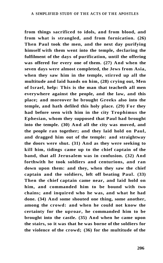**from things sacrificed to idols, and from blood, and from what is strangled, and from fornication. (26) Then Paul took the men, and the next day purifying himself with them went into the temple, declaring the fulfilment of the days of purification, until the offering was offered for every one of them. (27) And when the seven days were almost completed, the Jews from Asia, when they saw him in the temple, stirred up all the multitude and laid hands on him, (28) crying out, Men of Israel, help: This is the man that teacheth all men everywhere against the people, and the law, and this place; and moreover he brought Greeks also into the temple, and hath defiled this holy place. (29) For they had before seen with him in the city Trophimus the Ephesian, whom they supposed that Paul had brought into the temple. (30) And all the city was moved, and the people ran together; and they laid hold on Paul, and dragged him out of the temple: and straightway the doors were shut. (31) And as they were seeking to kill him, tidings came up to the chief captain of the band, that all Jerusalem was in confusion. (32) And forthwith he took soldiers and centurions, and ran down upon them: and they, when they saw the chief captain and the soldiers, left off beating Paul. (33) Then the chief captain came near, and laid hold on him, and commanded him to be bound with two chains; and inquired who he was, and what he had done. (34) And some shouted one thing, some another, among the crowd: and when he could not know the certainty for the uproar, he commanded him to be brought into the castle. (35) And when he came upon the stairs, so it was that he was borne of the soldiers for the violence of the crowd; (36) for the multitude of the**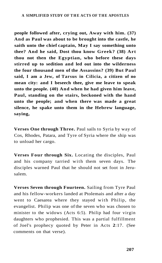**people followed after, crying out, Away with him. (37) And as Paul was about to be brought into the castle, he saith unto the chief captain, May I say something unto thee? And he said, Dost thou know Greek? (38) Art thou not then the Egyptian, who before these days stirred up to sedition and led out into the wilderness the four thousand men of the Assassins? (39) But Paul said, I am a Jew, of Tarsus in Cilicia, a citizen of no mean city: and I beseech thee, give me leave to speak unto the people. (40) And when he had given him leave, Paul, standing on the stairs, beckoned with the hand unto the people; and when there was made a great silence, he spake unto them in the Hebrew language, saying,** 

**Verses One through Three.** Paul sails to Syria by way of Cos, Rhodes, Patara, and Tyre of Syria where the ship was to unload her cargo.

**Verses Four through Six.** Locating the disciples, Paul and his company tarried with them seven days. The disciples warned Paul that he should not set foot in Jerusalem.

**Verses Seven through Fourteen.** Sailing from Tyre Paul and his fellow-workers landed at Ptolemais and after a day went to Caesarea where they stayed with Philip, the evangelist. Philip was one of the seven who was chosen to minister to the widows (Acts 6:5). Philip had four virgin daughters who prophesied. This was a partial fulfillment of Joel's prophecy quoted by Peter in Acts **2**:17. (See comments on that verse).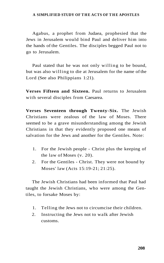Agabus, a prophet from Judaea, prophesied that the Jews in Jerusalem would bind Paul and deliver him into the hands of the Gentiles. The disciples begged Paul not to go to Jerusalem.

Paul stated that he was not only willing to be bound, but was also willing to die at Jerusalem for the name of the Lord (See also Philippians 1:21).

**Verses Fifteen and Sixteen.** Paul returns to Jerusalem with several disciples from Caesarea.

**Verses Seventeen through Twenty-Six.** The Jewish Christians were zealous of the law of Moses. There seemed to be a grave misunderstanding among the Jewish Christians in that they evidently proposed one means of salvation for the Jews and another for the Gentiles. Note:

- 1. For the Jewish people Christ plus the keeping of the law of Moses (v. 20).
- 2. For the Gentiles Christ. They were not bound by Moses' law (Acts 15:19-21; 21:25).

The Jewish Christians had been informed that Paul had taught the Jewish Christians, who were among the Gentiles, to forsake Moses by:

- 1. Telling the Jews not to circumcise their children.
- 2. Instructing the Jews not to walk after Jewish customs.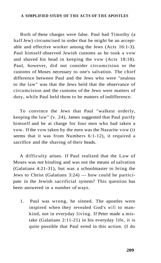Both of these charges were false. Paul had Timothy (a half Jew) circumcised in order that he might be an acceptable and effective worker among the Jews (Acts 16:1-3). Paul himself observed Jewish customs as he took a vow and shaved his head in keeping the vow (Acts 18:18). Paul, however, did not consider circumcision or the customs of Moses necessary to one's salvation. The chief difference between Paul and the Jews who were "zealous to the law" was that the Jews held that the observance of circumcision and the customs of the Jews were matters of duty, while Paul held them to be matters of indifference.

To convince the Jews that Paul "walkest orderly, keeping the law" (v. 24), James suggested that Paul purify himself and be at charge for four men who had taken a vow. If the vow taken by the men was the Nazarite vow (it seems that it was from Numbers 6:1-12), it required a sacrifice and the shaving of their heads.

A difficulty arises. If Paul realized that the Law of Moses was *not* binding and was not the means of salvation (Galatians 4:21-31), but was a schoolmaster to bring the Jews to Christ (Galatians 3:24) — how could he participate in the Jewish sacrificial system? This question has been answered in a number of ways.

1. Paul was wrong, he sinned. The apostles were inspired when they revealed God's will to mankind, not in everyday living. If Peter made a mistake (Galatians 2:11-21) in his everyday life, it is quite possible that Paul erred in this action. (I do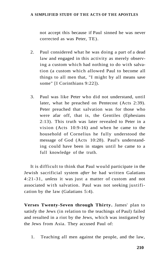not accept this because if Paul sinned he was never corrected as was Peter, TE).

- 2. Paul considered what he was doing a part of a dead law and engaged in this activity as merely observing a custom which had nothing to do with salvation (a custom which allowed Paul to become all things to all men that, "I might by all means save some" [I Corinthians 9:22]).
- 3. Paul was like Peter who did not understand, until later, what he preached on Pentecost (Acts 2:39). Peter preached that salvation was for those who were afar off, that is, the Gentiles (Ephesians 2:13). This truth was later revealed to Peter in a vision (Acts 10:9-16) and when he came to the household of Cornelius he fully understood the message of God (Acts 10:28). Paul's understanding could have been in stages until he came to a full knowledge of the truth.

It is difficult to think that Paul would participate in the Jewish sacrificial system *after* he had written Galatians 4:21-31, *unless* it was just a matter of custom and not associated with salvation. Paul was not seeking justification by the law (Galatians 5:4).

**Verses Twenty-Seven through Thirty.** James' plan to satisfy the Jews (in relation to the teachings of Paul) failed and resulted in a riot by the Jews, which was instigated by the Jews from Asia. They accused Paul of:

1. Teaching all men against the people, and the law,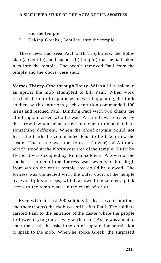and the temple.

2. Taking Greeks (Gentiles) into the temple.

These Jews had seen Paul with Trophimus, the Ephesian (a Gentile), and supposed (thought) that he had taken him into the temple. The people removed Paul from the temple and the doors were shut.

**Verses Thirty-One through Forty.** With all Jerusalem in an uproar the mob attempted to kill Paul. When word reached the chief captain what was happening, he took soldiers with centurions (each centurion commanded 100 men) and rescued Paul. Binding Paul with two chains the chief captain asked who he was. A tumult was created by the crowd when some cried out one thing and others something different. When the chief captain could not learn the truth, he commanded Paul to be taken into the castle. The castle was the fortress (tower) of Antonia which stood at the Northwest area of the temple. Built by Herod it was occupied by Roman soldiers. A tower at the southeast corner of the fortress was seventy cubits high from which the entire temple area could be viewed. The fortress was connected with the outer court of the temple by two flights of steps, which allowed the soldiers quick access to the temple area in the event of a riot.

Even with at least 200 soldiers (at least two centurions and their troops) the mob was still after Paul. The soldiers carried Paul to the entrance of the castle while the people followed crying out, "away with him. " As he was about to enter the castle he asked the chief captain for permission to speak to the mob. When he spoke Greek, the surprised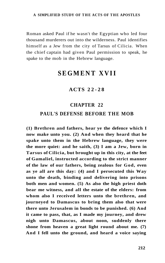Roman asked Paul if he wasn't the Egyptian who led four thousand murderers out into the wilderness. Paul identifies himself as a Jew from the city of Tarsus of Cilicia. When the chief captain had given Paul permission to speak, he spake to the mob in the Hebrew language.

## **SEGMENT XVII**

### **ACTS 22-2 8**

### **CHAPTER 22**

#### **PAUL'S DEFENSE BEFORE THE MOB**

**(1) Brethren and fathers, hear ye the defence which I now make unto you. (2) And when they heard that he spake unto them in the Hebrew language, they were the more quiet: and he saith, (3) I am a Jew, born in Tarsus of Cilicia, but brought up in this city, at the feet of Gamaliel, instructed according to the strict manner of the law of our fathers, being zealous for God, even as ye all are this day: (4) and I persecuted this Way unto the death, binding and delivering into prisons both men and women. (5) As also the high priest doth bear me witness, and all the estate of the elders: from whom also I received letters unto the brethren, and journeyed to Damascus to bring them also that were there unto Jerusalem in bonds to be punished. (6) And it came to pass, that, as I made my journey, and drew nigh unto Damascus, about noon, suddenly there shone from heaven a great light round about me. (7) And I fell unto the ground, and heard a voice saying**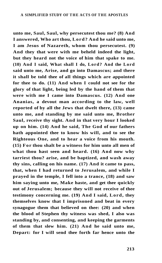**unto me, Saul, Saul, why persecutest thou me? (8) And I answered, Who art thou, Lord? And he said unto me, I am Jesus of Nazareth, whom thou persecutest. (9) And they that were with me beheld indeed the light, but they heard not the voice of him that spake to me. (10) And I said, What shall I do, Lord? And the Lord said unto me, Arise, and go into Damascus; and there it shall be told thee of all things which are appointed for thee to do. (11) And when I could not see for the glory of that light, being led by the hand of them that were with me I came into Damascus. (12) And one Ananias, a devout man according to the law, well reported of by all the Jews that dwelt there, (13) came unto me, and standing by me said unto me, Brother Saul, receive thy sight. And in that very hour I looked up on him. (14) And he said, The God of our fathers hath appointed thee to know his will, and to see the Righteous One, and to hear a voice from his mouth. (15) For thou shalt be a witness for him unto all men of what thou hast seen and heard. (16) And now why tarriest thou? arise, and be baptized, and wash away thy sins, calling on his name. (17) And it came to pass, that, when I had returned to Jerusalem, and while I prayed in the temple, I fell into a trance, (18) and saw him saying unto me, Make haste, and get thee quickly out of Jerusalem; because they will not receive of thee testimony concerning me. (19) And I said, Lord, they themselves know that I imprisoned and beat in every synagogue them that believed on thee: (20) and when the blood of Stephen thy witness was shed, I also was standing by, and consenting, and keeping the garments of them that slew him. (21) And he said unto me, Depart: for I will send thee forth far hence unto the**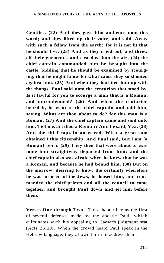**Gentiles. (22) And they gave him audience unto this word; and they lifted up their voice, and said, Away with such a fellow from the earth: for it is not fit that he should live. (23) And as they cried out, and threw off their garments, and cast dust into the air, (24) the chief captain commanded him be brought into the castle, bidding that he should be examined by scourging, that he might know for what cause they so shouted against him. (25) And when they had tied him up with the thongs, Paul said unto the centurion that stood by, Is it lawful for you to scourge a man that is a Roman, and uncondemned? (26) And when the centurion heard it, he went to the chief captain and told him, saying, What art thou about to do? for this man is a Roman. (27) And the chief captain came and said unto him, Tell me, art thou a Roman? And he said, Yea. (28) And the chief captain answered, With a great sum obtained I this citizenship. And Paul said, But I am [a Roman] born. (29) They then that were about to examine him straightway departed from him: and the chief captain also was afraid when he knew that he was a Roman, and because he had bound him. (30) But on the morrow, desiring to know the certainty wherefore he was accused of the Jews, he loosed him, and commanded the chief priests and all the council to come together, and brought Paul down and set him before them.** 

**Verses One through Two** - This chapter begins the first of several defenses made by the apostle Paul, which culminates with his appealing to Caesar's judgment seat (Acts 25**:10).** When the crowd heard Paul speak in the Hebrew language, they allowed him to address them.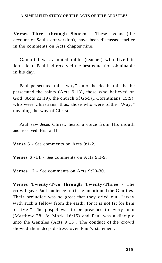**Verses Three through Sixteen** - These events (the account of Saul's conversion), have been discussed earlier in the comments on Acts chapter nine.

Gamaliel was a noted rabbi (teacher) who lived in Jerusalem. Paul had received the best education obtainable in his day.

Paul persecuted this "way" unto the death, this is, he persecuted the saints (Acts 9:13), those who believed on God (Acts 22:19), the church of God (I Corinthians 15:9), who were Christians; thus, those who were of the "Way," meaning the way of Christ.

Paul saw Jesus Christ, heard a voice from His mouth and received His will.

**Verse 5** - See comments on Acts 9:1-2.

**Verses 6 -11** - See comments on Acts 9:3-9.

**Verses 12** - See comments on Acts 9:20-30.

**Verses Twenty-Two through Twenty-Three** - The crowd gave Paul audience until he mentioned the Gentiles. Their prejudice was so great that they cried out, "away with such a fellow from the earth: for it is not fit for him to live. " The gospel was to be preached to every man (Matthew 28:18; Mark 16:15) and Paul was a disciple unto the Gentiles (Acts 9:15). The conduct of the crowd showed their deep distress over Paul's statement.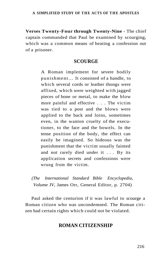**Verses Twenty-Four through Twenty-Nine** - The chief captain commanded that Paul be examined by scourging, which was a common means of beating a confession out of a prisoner.

## **SCOURGE**

A Roman implement for severe bodily punishment... It consisted of a handle, to which several cords or leather thongs were affixed, which were weighted with jagged pieces of bone or metal, to make the blow more painful and effective . . . The victim was tied to a post and the blows were applied to the back and loins, sometimes even, in the wanton cruelty of the executioner, to the face and the bowels. In the tense position of the body, the effect can easily be imagined. So hideous was the punishment that the victim usually fainted and not rarely died under it .. . By its application secrets and confessions were wrung from the victim.

*(The International Standard Bible Encyclopedia, Volume IV,* James Orr, General Editor, p. 2704)

Paul asked the centurion if it was lawful to scourge a Roman citizen who was uncondemned. The Roman citizen had certain rights which could not be violated.

# **ROMAN CITIZENSHIP**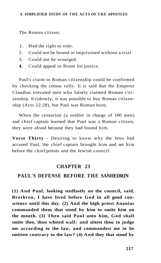The Roman citizen:

- 1. Had the right to vote.
- 2. Could not be bound or imprisoned without a trial.
- 3. Could not be scourged.
- **4.** Could appeal to Rome for justice.

Paul's claim to Roman citizenship could be confirmed by checking the census rolls. It is said that the Emperor Claudius executed men who falsely claimed Roman citizenship. Evidently, it was possible to buy Roman citizenship (Acts 22:28), but Paul was Roman born.

When the centurion (a soldier in charge of 100 men) and chief captain learned that Paul was a Roman citizen, they were afraid because they had bound him.

**Verse Thirty** - Desiring to know why the Jews had accused Paul, the chief captain brought him and set him before the chief priests and the Jewish council.

## **CHAPTER 23**

## **PAUL'S DEFENSE BEFORE THE SANHEDRIN**

**(1) And Paul, looking stedfastly on the council, said, Brethren, I have lived before God in all good conscience until this day. (2) And the high priest Ananias commanded them that stood by him to smite him on the mouth. (3) Then said Paul unto him, God shall smite thee, thou whited wall: and sittest thou to judge me according to the law, and commandest me to be smitten contrary to the law? (4) And they that stood by**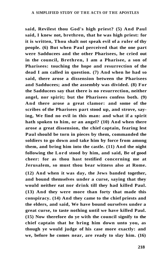**said, Revilest thou God's high priest? (5) And Paul said, I knew not, brethren, that he was high priest: for it is written, Thou shalt not speak evil of a ruler of thy people. (6) But when Paul perceived that the one part were Sadducees and the other Pharisees, he cried out in the council, Brethren, I am a Pharisee, a son of Pharisees: touching the hope and resurrection of the dead I am called in question. (7) And when he had so said, there arose a dissension between the Pharisees and Sadducees; and the assembly was divided. (8) For the Sadducees say that there is no resurrection, neither angel, nor spirit; but the Pharisees confess both. (9) And there arose a great clamor: and some of the scribes of the Pharisees part stood up, and strove, saying, We find no evil in this man: and what if a spirit hath spoken to him, or an angel? (10) And when there arose a great dissension, the chief captain, fearing lest Paul should be torn in pieces by them, commanded the soldiers to go down and take him by force from among them, and bring him into the castle. (11) And the night following the Lord stood by him, and said, Be of good cheer: for as thou hast testified concerning me at Jerusalem, so must thou bear witness also at Rome.** 

**(12) And when it was day, the Jews banded together, and bound themselves under a curse, saying that they would neither eat nor drink till they had killed Paul. (13) And they were more than forty that made this conspiracy. (14) And they came to the chief priests and the elders, and said, We have bound ourselves under a great curse, to taste nothing until we have killed Paul. (15) Now therefore do ye with the council signify to the chief captain that he bring him down unto you, as though ye would judge of his case more exactly: and we, before he comes near, are ready to slay him. (16)**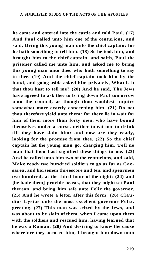**he came and entered into the castle and told Paul. (17) And Paul called unto him one of the centurions, and said, Bring this young man unto the chief captain; for he hath something to tell him. (18) So he took him, and brought him to the chief captain, and saith, Paul the prisoner called me unto him, and asked me to bring this young man unto thee, who hath something to say to thee. (19) And the chief captain took him by the hand, and going aside asked him privately, What is it that thou hast to tell me? (20) And he said, The Jews have agreed to ask thee to bring down Paul tomorrow unto the council, as though thou wouldest inquire somewhat more exactly concerning him. (21) Do not thou therefore yield unto them: for there lie in wait for him of them more than forty men, who have bound themselves under a curse, neither to eat nor to drink till they have slain him: and now are they ready, looking for the promise from thee. (22) So the chief captain let the young man go, charging him, Tell no man that thou hast signified these things to me. (23) And he called unto him two of the centurions, and said, Make ready two hundred soldiers to go as far as Caesarea, and horsemen threescore and ten, and spearmen two hundred, at the third hour of the night: (24) and [he bade them] provide beasts, that they might set Paul thereon, and bring him safe unto Felix the governor. (25) And he wrote a letter after this form: (26) Claudius Lysias unto the most excellent governor Felix, greeting. (27) This man was seized by the Jews, and was about to be slain of them, when I came upon them with the soldiers and rescued him, having learned that he was a Roman. (28) And desiring to know the cause wherefore they accused him, I brought him down unto**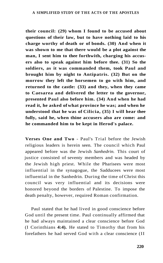**their council: (29) whom I found to be accused about questions of their law, but to have nothing laid to his charge worthy of death or of bonds. (30) And when it was shown to me that there would be a plot against the man, I sent him to thee forthwith, charging his accusers also to speak against him before thee. (31) So the soldiers, as it was commanded them, took Paul and brought him by night to Antipatris. (32) But on the morrow they left the horsemen to go with him, and returned to the castle: (33) and they, when they came to Caesarea and delivered the letter to the governor, presented Paul also before him. (34) And when he had read it, he asked of what province he was; and when he understood that he was of Cilicia, (35) I will hear thee fully, said he, when thine accusers also are come: and he commanded him to be kept in Herod's palace.** 

**Verses One and Two** - Paul's Trial before the Jewish religious leaders is herein seen. The council which Paul appeared before was the Jewish *Sanhedrin.* This court of justice consisted of seventy members and was headed by the Jewish high priest. While the Pharisees were most influential in the synagogue, the Sadducees were most influential in the Sanhedrin. During the time of Christ this council was very influential and its decisions were honored beyond the borders of Palestine. To impose the death penalty, however, required Roman confirmation.

Paul stated that he had lived in good conscience before God until the present time. Paul continually affirmed that he had always maintained a clear conscience before God (I Corinthians **4:4).** He stated to Timothy that from his forefathers he had served God with a clear conscience (II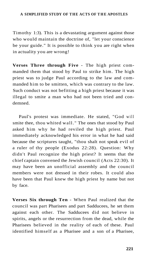Timothy 1:3). This is a devastating argument against those who would maintain the doctrine of, "let your conscience be your guide." It is possible to think you are right when in actuality you are wrong!

**Verses Three through Five** - The high priest commanded them that stood by Paul to strike him. The high priest was to judge Paul according to the law and commanded him to be smitten, which was contrary to the law. Such conduct was not befitting a high priest because it was illegal to smite a man who had not been tried and condemned.

Paul's protest was immediate. He stated, "God will smite thee, thou whited wall." The ones that stood by Paul asked him why he had reviled the high priest. Paul immediately acknowledged his error in what he had said because the scriptures taught, "thou shalt not speak evil of a ruler of thy people (Exodus 22:28). Question: Why didn't Paul recognize the high priest? It seems that the chief captain convened the Jewish council (Acts 22:30). It may have been an unofficial assembly and the council members were not dressed in their robes. It could also have been that Paul knew the high priest by name but not by face.

**Verses Six through Ten** - When Paul realized that the council was part Pharisees and part Sadducees, he set them against each other. The Sadducees did not believe in spirits, angels or the resurrection from the dead, while the Pharisees believed in the reality of each of these. Paul identified himself as a Pharisee and a son of a Pharisee,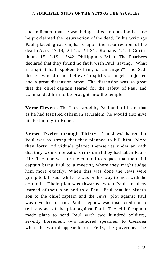and indicated that he was being called in question because he proclaimed the resurrection of the dead. In his writings Paul placed great emphasis upon the resurrection of the dead (Acts 17:18, 24:15, 24:21; Romans 1:4; I Corinthians 15:12-19, 15:42; Philippians 3:11). The Pharisees declared that they found no fault with Paul, saying, "What if a spirit hath spoken to him, or an angel?" The Sadducees, who did not believe in spirits or angels, objected and a great dissension arose. The dissension was so great that the chief captain feared for the safety of Paul and commanded him to be brought into the temple.

**Verse Eleven** - The Lord stood by Paul and told him that as he had testified of him in Jerusalem, he would also give his testimony in Rome.

**Verses Twelve through Thirty** - The Jews' hatred for Paul was so strong that they planned to kill him. More than forty individuals placed themselves under an oath that they would not eat or drink until they had taken Paul's life. The plan was for the council to request that the chief captain bring Paul to a meeting where they might judge him more exactly. When this was done the Jews were going to kill Paul while he was on his way to meet with the council. Their plan was thwarted when Paul's nephew learned of their plan and told Paul. Paul sent his sister's son to the chief captain and the Jews' plot against Paul was revealed to him. Paul's nephew was instructed not to tell anyone of the plot against Paul. The chief captain made plans to send Paul with two hundred soldiers, seventy horsemen, two hundred spearmen to Caesarea where he would appear before Felix, the governor. The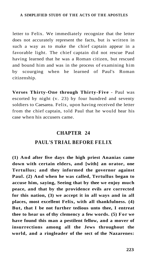letter to Felix. We immediately recognize that the letter does not accurately represent the facts, but is written in such a way as to make the chief captain appear in a favorable light. The chief captain did not rescue Paul having learned that he was a Roman citizen, but rescued and bound him and was in the process of examining him by scourging when he learned of Paul's Roman citizenship.

**Verses Thirty-One through Thirty-Five** - Paul was escorted by night (v. 23) by four hundred and seventy soldiers to Caesarea. Felix, upon having received the letter from the chief captain, told Paul that he would hear his case when his accusers came.

## **CHAPTER 24**

# **PAUL'S TRIAL BEFORE FELIX**

**(1) And after five days the high priest Ananias came down with certain elders, and [with] an orator, one Tertullus; and they informed the governor against Paul. (2) And when he was called, Tertullus began to accuse him, saying, Seeing that by thee we enjoy much peace, and that by the providence evils are corrected for this nation, (3) we accept it in all ways and in all places, most excellent Felix, with all thankfulness. (4) But, that I be not further tedious unto thee, I entreat thee to hear us of thy clemency a few words. (5) For we have found this man a pestilent fellow, and a mover of insurrections among all the Jews throughout the world, and a ringleader of the sect of the Nazarenes:**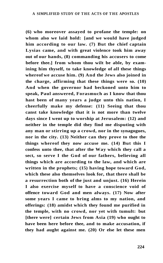**(6) who moreover assayed to profane the temple: on whom also we laid hold: [and we would have judged him according to our law. (7) But the chief captain Lysias came, and with great violence took him away out of our hands, (8) commanding his accusers to come before thee.] from whom thou wilt be able, by examining him thyself, to take knowledge of all these things whereof we accuse him. (9) And the Jews also joined in the charge, affirming that these things were so. (10) And when the governor had beckoned unto him to speak, Paul answered, Forasmuch as I know that thou hast been of many years a judge unto this nation, I cheerfully make my defense: (11) Seeing that thou canst take knowledge that it is not more than twelve days since I went up to worship at Jerusalem: (12) and neither in the temple did they find me disputing with any man or stirring up a crowd, nor in the synagogues, nor in the city. (13) Neither can they prove to thee the things whereof they now accuse me. (14) But this I confess unto thee, that after the Way which they call a sect, so serve I the God of our fathers, believing all things which are according to the law, and which are written in the prophets; (15) having hope toward God, which these also themselves look for, that there shall be a resurrection both of the just and unjust. (16) Herein I also exercise myself to have a conscience void of offence toward God and men always. (17) Now after some years I came to bring alms to my nation, and offerings: (18) amidst which they found me purified in the temple, with no crowd, nor yet with tumult: but [there were] certain Jews from Asia (19) who ought to have been here before thee, and to make accusation, if they had aught against me. (20) Or else let these men**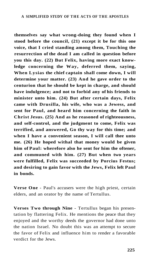**themselves say what wrong-doing they found when I stood before the council, (21) except it be for this one voice, that I cried standing among them, Touching the resurrection of the dead I am called in question before you this day. (22) But Felix, having more exact knowledge concerning the Way, deferred them, saying, When Lysias the chief captain shall come down, I will determine your matter. (23) And he gave order to the centurion that he should be kept in charge, and should have indulgence; and not to forbid any of his friends to minister unto him. (24) But after certain days, Felix came with Drusilla, his wife, who was a Jewess, and sent for Paul, and heard him concerning the faith in Christ Jesus. (25) And as he reasoned of righteousness, and self-control, and the judgment to come, Felix was terrified, and answered, Go thy way for this time; and when I have a convenient season, I will call thee unto me. (26) He hoped withal that money would be given him of Paul: wherefore also he sent for him the oftener, and communed with him. (27) But when two years were fulfilled, Felix was succeeded by Porcius Festus; and desiring to gain favor with the Jews, Felix left Paul in bonds.** 

**Verse One** - Paul's accusers were the high priest, certain elders, and an orator by the name of Tertullus.

**Verses Two through Nine** - Tertullus began his presentation by flattering Felix. He mentions the peace that they enjoyed and the worthy deeds the governor had done unto the nation Israel. No doubt this was an attempt to secure the favor of Felix and influence him to render a favorable verdict for the Jews.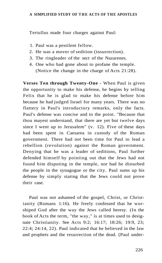Tertullus made four charges against Paul:

- 1. Paul was a pestilent fellow.
- 2. He was a mover of sedition (insurrection).
- 3. The ringleader of the sect of the Nazarenes.
- 4. One who had gone about to profane the temple. (Notice the change in the charge of Acts 21:28).

**Verses Ten through Twenty-One** - When Paul is given the opportunity to make his defense, he begins by telling Felix that he is glad to make his defense before him because he had judged Israel for many years. There was no flattery in Paul's introductory remarks, only the facts. Paul's defense was concise and to the point. "Because that thou mayest understand, that there are yet but twelve days since I went up to Jerusalem" (v. 12). Five of these days had been spent in Caesarea in custody of the Roman government. There had not been time for Paul to lead a rebellion (revolution) against the Roman government. Denying that he was a leader of seditions, Paul further defended himself by pointing out that the Jews had not found him disputing in the temple, nor had he disturbed the people in the synagogue or the city. Paul sums up his defense by simply stating that the Jews could not prove their case.

Paul was not ashamed of the gospel, Christ, or Christianity (Romans 1:16). He freely confessed that he worshiped God after the way the Jews called heresy. (In the book of Acts the term, "the way," is at times used to designate Christianity. See Acts 9:2; 16:17; 18:26; 19:9, 23; 22:4; 24:14, 22). Paul indicated that he believed in the law and prophets and the resurrection of the dead. (Paul under-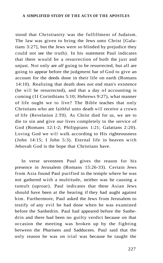stood that Christianity was the fulfillment of Judaism. The law was given to bring the Jews unto Christ [Galatians 3:27], but the Jews were so blinded by prejudice they could not see the truth). In his statement Paul indicates that there would be a resurrection of both the just and unjust. Not only are *all* going to be resurrected, but all are going to appear before the judgment bar of God to give an account for the deeds done in their life on earth (Romans 14:10). Realizing that death does not end man's existence (he will be resurrected), and that a day of accounting is coming (II Corinthians 5:10; Hebrews 9:27), what manner of life ought we to live? The Bible teaches that only Christians who are faithful unto death will receive a crown of life (Revelation 2.T0). As Christ died for us, we are to die to sin and give our lives completely to the service of God (Romans 12:1-2; Philippians 1:21; Galatians 2:20). Loving God we will walk according to His righteousness (John 14:15; I John 5:3). Eternal life in heaven with Jehovah God is the hope that Christians have.

In verse seventeen Paul gives the reason for his presence in Jerusalem (Romans 15:26-33). Certain Jews from Asia found Paul purified in the temple where he was not gathered with a multitude, neither was he causing a tumult (uproar). Paul indicates that these Asian Jews should have been at the hearing if they had aught against him. Furthermore, Paul asked the Jews from Jerusalem to testify of any evil he had done when he was examined before the Sanhedrin. Paul had appeared before the Sanhedrin and there had been no guilty verdict because on that occasion the meeting was broken up by the fighting between the Pharisees and Sadducees. Paul said that the only reason he was on trial was because he taught the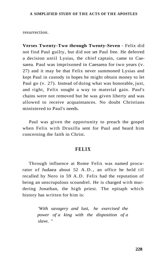resurrection.

**Verses Twenty-Two through Twenty-Seven** - Felix did not find Paul guilty, but did not set Paul free. He deferred a decision until Lysias, the chief captain, came to Caesarea. Paul was imprisoned in Caesarea for two years (v. 27) and it may be that Felix never summoned Lysias and kept Paul in custody in hopes he might obtain money to let Paul go (v. 27). Instead of doing what was honorable, just, and right, Felix sought a way to material gain. Paul's chains were not removed but he was given liberty and was allowed to receive acquaintances. No doubt Christians ministered to Paul's needs.

Paul was given the opportunity to preach the gospel when Felix with Drusilla sent for Paul and heard him concerning the faith in Christ.

## **FELIX**

Through influence at Rome Felix was named procurator of Judaea about 52 A.D., an office he held till recalled by Nero in 59 A.D. Felix had the reputation of being an unscrupulous scoundrel. He is charged with murdering Jonathan, the high priest. The epitaph which history has written for him is:

> *'With savagery and lust, he exercised the power of a king with the disposition of a slave. "*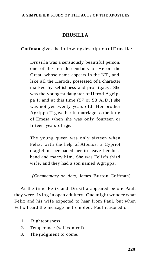# **DRUSILLA**

**Coffman** gives the following description of Drusilla:

Drusilla was a sensuously beautiful person, one of the ten descendants of Herod the Great, whose name appears in the NT, and, like all the Herods, possessed of a character marked by selfishness and profligacy. She was the youngest daughter of Herod Agrippa I; and at this time (57 or 58 A.D.) she was not yet twenty years old. Her brother Agrippa II gave her in marriage to the king of Emesa when she was only fourteen or fifteen years of age.

The young queen was only sixteen when Felix, with the help of Atomos, a Cypriot magician, persuaded her to leave her husband and marry him. She was Felix's third wife, and they had a son named Agrippa.

*(Commentary on Acts,* James Burton Coffman)

At the time Felix and Drusilla appeared before Paul, they were living in open adultery. One might wonder what Felix and his wife expected to hear from Paul, but when Felix heard the message he trembled. Paul reasoned of:

- 1. Righteousness.
- **2.** Temperance (self control).
- **3**. The judgment to come.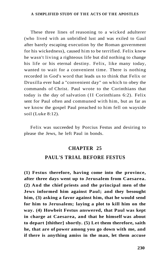These three lines of reasoning to a wicked adulterer (who lived with an unbridled lust and was exiled to Gaul after barely escaping execution by the Roman government for his wickedness), caused him to be terrified. Felix knew he wasn't living a righteous life but did nothing to change his life or his eternal destiny. Felix, like many today, wanted to wait for a convenient time. There is nothing recorded in God's word that leads us to think that Felix or Drusilla ever had a "convenient day" on which to obey the commands of Christ. Paul wrote to the Corinthians that today is the day of salvation (II Corinthians 6:2). Felix sent for Paul often and communed with him, but as far as we know the gospel Paul preached to him fell on wayside soil (Luke 8:12).

Felix was succeeded by Porcius Festus and desiring to please the Jews, he left Paul in bonds.

## **CHAPTER 25**

# **PAUL'S TRIAL BEFORE FESTUS**

**(1) Festus therefore, having come into the province, after three days went up to Jerusalem from Caesarea. (2) And the chief priests and the principal men of the Jews informed him against Paul; and they besought him, (3) asking a favor against him, that he would send for him to Jerusalem; laying a plot to kill him on the way. (4) Howbeit Festus answered, that Paul was kept in charge at Caesarea, and that he himself was about to depart [thither] shortly. (5) Let them therefore, saith he, that are of power among you go down with me, and if there is anything amiss in the man, let them accuse**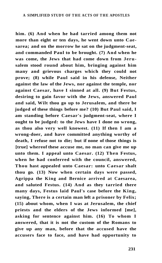**him. (6) And when he had tarried among them not more than eight or ten days, he went down unto Caesarea; and on the morrow he sat on the judgment-seat, and commanded Paul to be brought. (7) And when he was come, the Jews that had come down from Jerusalem stood round about him, bringing against him many and grievous charges which they could not prove; (8) while Paul said in his defense, Neither against the law of the Jews, nor against the temple, nor against Caesar, have I sinned at all. (9) But Festus, desiring to gain favor with the Jews, answered Paul and said, Wilt thou go up to Jerusalem, and there be judged of these things before me? (10) But Paul said, I am standing before Caesar's judgment-seat, where I ought to be judged: to the Jews have I done no wrong, as thou also very well knowest. (11) If then I am a wrong-doer, and have committed anything worthy of death, I refuse not to die; but if none of those things is [true] whereof these accuse me, no man can give me up unto them. I appeal unto Caesar. (12) Then Festus, when he had conferred with the council, answered, Thou hast appealed unto Caesar: unto Caesar shalt thou go. (13) Now when certain days were passed, Agrippa the King and Bernice arrived at Caesarea, and saluted Festus. (14) And as they tarried there many days, Festus laid Paul's case before the King, saying, There is a certain man left a prisoner by Felix; (15) about whom, when I was at Jerusalem, the chief priests and the elders of the Jews informed [me], asking for sentence against him. (16) To whom I answered, that it is not the custom of the Romans to give up any man, before that the accused have the accusers face to face, and have had opportunity to**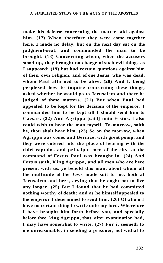**make his defense concerning the matter laid against him. (17) When therefore they were come together here, I made no delay, but on the next day sat on the judgment-seat, and commanded the man to be brought. (18) Concerning whom, when the accusers stood up, they brought no charge of such evil things as I supposed; (19) but had certain questions against him of their own religion, and of one Jesus, who was dead, whom Paul affirmed to be alive. (20) And I, being perplexed how to inquire concerning these things, asked whether he would go to Jerusalem and there be judged of these matters. (21) But when Paul had appealed to be kept for the decision of the emperor, I commanded him to be kept till I should send him to Caesar. (22) And Agrippa [said] unto Festus, I also could wish to hear the man myself. To-morrow, saith he, thou shalt hear him. (23) So on the morrow, when Agrippa was come, and Bernice, with great pomp, and they were entered into the place of hearing with the chief captains and principal men of the city, at the command of Festus Paul was brought in. (24) And Festus saith, King Agrippa, and all men who are here present with us, ye behold this man, about whom all the multitude of the Jews made suit to me, both at Jerusalem and here, crying that he ought not to live any longer. (25) But I found that he had committed nothing worthy of death: and as he himself appealed to the emperor I determined to send him. (26) Of whom I have no certain thing to write unto my lord. Wherefore I have brought him forth before you, and specially before thee, king Agrippa, that, after examination had, I may have somewhat to write. (27) For it seemeth to me unreasonable, in sending a prisoner, not withal to**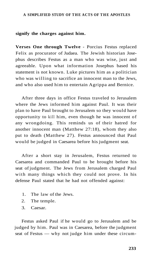#### **signify the charges against him.**

**Verses One through Twelve** - Porcius Festus replaced Felix as procurator of Judaea. The Jewish historian Josephus describes Festus as a man who was wise, just and agreeable. Upon what information Josephus based his statement is not known. Luke pictures him as a politician who was willing to sacrifice an innocent man to the Jews, and who also used him to entertain Agrippa and Bernice.

After three days in office Festus traveled to Jerusalem where the Jews informed him against Paul. It was their plan to have Paul brought to Jerusalem so they would have opportunity to kill him, even though he was innocent of any wrongdoing. This reminds us of their hatred for another innocent man (Matthew 27:18), whom they also put to death (Matthew 27). Festus announced that Paul would be judged in Caesarea before his judgment seat.

After a short stay in Jerusalem, Festus returned to Caesarea and commanded Paul to be brought before his seat of judgment. The Jews from Jerusalem charged Paul with many things which they could not prove. In his defense Paul stated that he had not offended against:

- 1. The law of the Jews.
- 2. The temple.
- 3. Caesar.

Festus asked Paul if he would go to Jerusalem and be judged by him. Paul was in Caesarea, before the judgment seat of Festus — why not judge him under these circum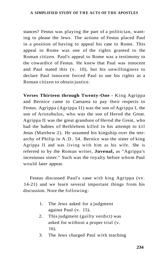stances? Festus was playing the part of a politician, wanting to please the Jews. The actions of Festus placed Paul in a position of having to appeal his case to Rome. This appeal to Rome was one of the rights granted to the Roman citizen. Paul's appeal to Rome was a testimony to the cowardice of Festus. He knew that Paul was innocent and Paul stated this (v. 10), but his unwillingness to declare Paul innocent forced Paul to use his rights as a Roman citizen to obtain justice.

**Verses Thirteen through Twenty-One** - King Agrippa and Bernice came to Caesarea to pay their respects to Festus. Agrippa (Agrippa II) was the son of Agrippa I, the son of Aristobulus, who was the son of Herod the Great. Agrippa II was the great grandson of Herod the Great, who had the babies of Bethlehem killed in his attempt to kill Jesus (Matthew 2). He assumed his kingship over the tetrarchy of Philip in A.D. 54. Bernice was the sister of king Agrippa II and was living with him as his wife. She is referred to by the Roman writer, **Juvenal,** as "Agrippa's incestuous sister." Such was the royalty before whom Paul would later appear.

Festus discussed Paul's case with king Agrippa (vv. 14-21) and we learn several important things from his discussion. Note the following:

- 1. The Jews asked for a judgment against Paul (v. 15).
- 2. This judgment (guilty verdict) was asked for without a proper trial (v. 16).
- 3. The Jews charged Paul with teaching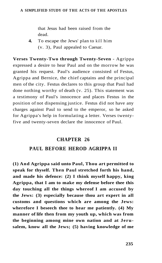that Jesus had been raised from the dead.

**4.** To escape the Jews' plan to kill him (v. 3), Paul appealed to Caesar.

**Verses Twenty-Two through Twenty-Seven** - Agrippa expressed a desire to hear Paul and on the morrow he was granted his request. Paul's audience consisted of Festus, Agrippa and Bernice, the chief captains and the principal men of the city. Festus declares to this group that Paul had done nothing worthy of death (v. 25). This statement was a testimony of Paul's innocence and places Festus in the position of not dispensing justice. Festus did not have any charges against Paul to send to the emperor, so he asked for Agrippa's help in formulating a letter. Verses twentyfive and twenty-seven declare the innocence of Paul.

## **CHAPTER 26**

## **PAUL BEFORE HEROD AGRIPPA II**

**(1) And Agrippa said unto Paul, Thou art permitted to speak for thyself. Then Paul stretched forth his hand, and made his defence: (2) I think myself happy, king Agrippa, that I am to make my defense before thee this day touching all the things whereof I am accused by the Jews: (3) especially because thou art expert in all customs and questions which are among the Jews: wherefore I beseech thee to hear me patiently. (4) My manner of life then from my youth up, which was from the beginning among mine own nation and at Jerusalem, know all the Jews; (5) having knowledge of me**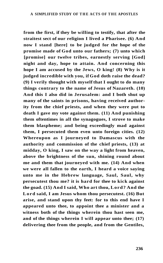**from the first, if they be willing to testify, that after the straitest sect of our religion I lived a Pharisee. (6) And now I stand [here] to be judged for the hope of the promise made of God unto our fathers; (7) unto which [promise] our twelve tribes, earnestly serving [God] night and day, hope to attain. And concerning this hope I am accused by the Jews, O king! (8) Why is it judged incredible with you, if God doth raise the dead? (9) I verily thought with myself that I ought to do many things contrary to the name of Jesus of Nazareth. (10) And this I also did in Jerusalem: and I both shut up many of the saints in prisons, having received authority from the chief priests, and when they were put to death I gave my vote against them. (11) And punishing them oftentimes in all the synagogues, I strove to make them blaspheme; and being exceedingly mad against them, I persecuted them even unto foreign cities. (12) Whereupon as I journeyed to Damascus with the authority and commission of the chief priests, (13) at midday, O king, I saw on the way a light from heaven, above the brightness of the sun, shining round about me and them that journeyed with me. (14) And when we were all fallen to the earth, I heard a voice saying unto me in the Hebrew language, Saul, Saul, why persecutest thou me? it is hard for thee to kick against the goad. (15) And I said, Who art thou, Lord? And the Lord said, I am Jesus whom thou persecutest. (16) But arise, and stand upon thy feet: for to this end have I appeared unto thee, to appoint thee a minister and a witness both of the things wherein thou hast seen me, and of the things wherein I will appear unto thee; (17) delivering thee from the people, and from the Gentiles,**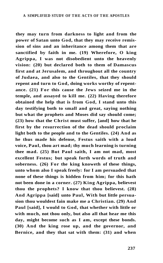**they may turn from darkness to light and from the power of Satan unto God, that they may receive remission of sins and an inheritance among them that are sanctified by faith in me. (19) Wherefore, O king Agrippa, I was not disobedient unto the heavenly vision: (20) but declared both to them of Damascus first and at Jerusalem, and throughout all the country of Judaea, and also to the Gentiles, that they should repent and turn to God, doing works worthy of repentance. (21) For this cause the Jews seized me in the temple, and assayed to kill me. (22) Having therefore obtained the help that is from God, I stand unto this day testifying both to small and great, saying nothing but what the prophets and Moses did say should come; (23) how that the Christ must suffer, [and] how that he first by the resurrection of the dead should proclaim light both to the people and to the Gentiles. (24) And as he thus made his defense, Festus saith with a loud voice, Paul, thou art mad; thy much learning is turning thee mad. (25) But Paul saith, I am not mad, most excellent Festus; but speak forth words of truth and soberness. (26) For the king knoweth of these things, unto whom also I speak freely: for I am persuaded that none of these things is hidden from him; for this hath not been done in a corner. (27) King Agrippa, believest thou the prophets? I know that thou believest. (28) And Agrippa [said] unto Paul, With but little persuasion thou wouldest fain make me a Christian. (29) And Paul [said], I would to God, that whether with little or with much, not thou only, but also all that hear me this day, might become such as I am, except these bonds. (30) And the king rose up, and the governor, and Bernice, and they that sat with them: (31) and when**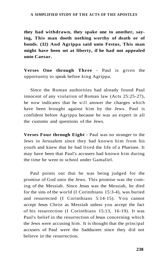**they had withdrawn, they spake one to another, saying, This man doeth nothing worthy of death or of bonds. (32) And Agrippa said unto Festus, This man might have been set at liberty, if he had not appealed unto Caesar.** 

**Verses One through Three** - Paul is given the opportunity to speak before king Agrippa.

Since the Roman authorities had already found Paul innocent of any violation of Roman law (Acts 25:25-27), he now indicates that he will answer the charges which have been brought against him by the Jews. Paul is confident before Agrippa because he was an expert in all the customs and questions of the Jews.

**Verses Four through Eight** - Paul was no stranger to the Jews in Jerusalem since they had known him from his youth and knew that he had lived the life of a Pharisee. It may have been that Paul's accusers had known him during the time he went to school under Gamaliel.

Paul points out that he was being judged for the promise of God unto the Jews. This promise was the coming of the Messiah. Since Jesus was the Messiah, he died for the sins of the world (I Corinthians 15:3-4), was buried and resurrected (I Corinthians 5:14-15). You cannot accept Jesus Christ as Messiah unless you accept the fact of his resurrection (I Corinthians 15:13, 16-19). It was Paul's belief in the resurrection of Jesus concerning which the Jews were accusing him. It is thought that the principal accusers of Paul were the Sadducees since they did not believe in the resurrection.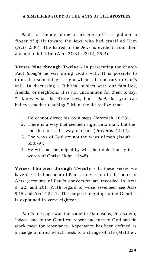Paul's testimony of the resurrection of Jesus pointed a finger of guilt toward the Jews who had crucified Him (Acts 2:36). The hatred of the Jews is evident from their attempt to kill him (Acts 21:31, 23:12, 25:3).

**Verses Nine through Twelve** - In persecuting the church Paul *thought* he was doing God's will. It is possible to think that something is right when it is contrary to God's will. In discussing a Biblical subject with our families. friends, or neighbors, it is not uncommon for them to say, "I know what the Bible says, but I *think* that you can believe another teaching." Man should realize that:

- 1. He cannot direct his own steps (Jeremiah 10:23).
- 2. There is a way that seemeth right unto man, but the end thereof is the way of death (Proverbs 14:12).
- 3. The ways of God are not the ways of man (Isaiah 55:8-9).
- 4. He will not be judged by what he thinks but by the words of Christ (John 12:48).

**Verses Thirteen through Twenty** - In these verses we have the third account of Paul's conversion in the book of Acts (accounts of Paul's conversion are recorded in Acts 9, 22, and 26). With regard to verse seventeen see Acts 9:15 and Acts 22:21. The purpose of going to the Gentiles is explained in verse eighteen.

Paul's message was the same in Damascus, Jerusalem, Judaea, and to the Gentiles: repent and turn to God and do work meet for repentance. Repentance has been defined as a change of mind which leads to a change of life (Matthew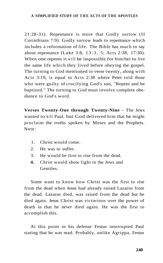21:28-31). Repentance is more that Godly sorrow (II Corinthians 7:9). Godly sorrow leads to repentance which includes a reformation of life. The Bible has much to say about repentance (Luke 3:8, 13:3 , 5; Acts 2:38, 17:30). When one repents it will be impossible for him/her to live the same life which they lived before obeying the gospel. The turning to God mentioned in verse twenty, along with Acts 3:19, is equal to Acts 2:38 where Peter told those who were guilty of crucifying God's son, "Repent and be baptized." The turning to God must involve complete obedience to God's word.

**Verses Twenty-One through Twenty-Nine** - The Jews wanted to kill Paul, but God delivered him that he might proclaim the truths spoken by Moses and the Prophets. Note:

- 1. Christ would come.
- 2. He was to suffer.
- 3. He would be first to rise from the dead.
- **4.** Christ would show light to the Jews and Gentiles.

Some want to know how Christ was the first to rise from the dead when Jesus had already raised Lazarus from the dead. Lazarus died, was raised from the dead *but* he died again. Jesus Christ was victorious over the power of death in that he *never* died again. He was the first to accomplish this.

At this point in his defense Festus interrupted Paul stating that he was mad. Probably, unlike Agrippa, Festus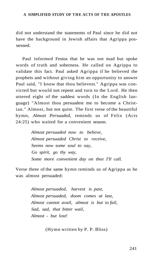did not understand the statements of Paul since he did not have the background in Jewish affairs that Agrippa possessed.

Paul informed Festus that he was not mad but spoke words of truth and soberness. He called on Agrippa to validate this fact. Paul asked Agrippa if he believed the prophets and without giving him an opportunity to answer Paul said, "I know that thou believest." Agrippa was convicted but would not repent and turn to the Lord. He then uttered eight of the saddest words (In the English language) "Almost thou persuadest me to become a Christian." Almost, but not quite. The first verse of the beautiful hymn, *Almost Persuaded,* reminds us of Felix (Acts 24:25) who waited for a convenient season.

> *Almost persuaded now to believe, Almost persuaded Christ to receive, Seems now some soul to say, Go spirit, go thy way, Some more convenient day on thee I'll call.*

Verse three of the same hymn reminds us of Agrippa as he was almost persuaded:

> *Almost persuaded, harvest is past, Almost persuaded, doom comes at last, Almost cannot avail, almost is but to fail, Sad, sad, that bitter wail, Almost - but lost!*

> > (Hymn written by P. P. Bliss)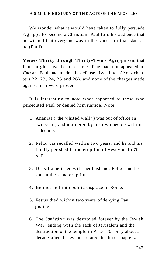We wonder what it would have taken to fully persuade Agrippa to become a Christian. Paul told his audience that he wished that everyone was in the same spiritual state as he (Paul).

**Verses Thirty through Thirty-Two** - Agrippa said that Paul might have been set free if he had not appealed to Caesar. Paul had made his defense five times (Acts chapters 22, 23, 24, 25 and 26), and none of the charges made against him were proven.

It is interesting to note what happened to those who persecuted Paul or denied him justice. Note:

- 1. Ananias ("the whited wall") was out of office in two years, and murdered by his own people within a decade.
- 2. Felix was recalled within two years, and he and his family perished in the eruption of Vesuvius in 79 A.D.
- 3. Drusilla perished with her husband, Felix, and her son in the same eruption.
- 4. Bernice fell into public disgrace in Rome.
- 5. Festus died within two years of denying Paul justice.
- 6. The *Sanhedrin* was destroyed forever by the Jewish War, ending with the sack of Jerusalem and the destruction of the temple in A.D. 70; only about a decade after the events related in these chapters.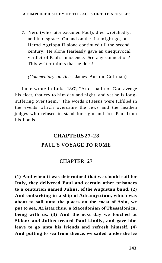**7.** Nero (who later executed Paul), died wretchedly, and in disgrace. On and on the list might go, but Herod Agrippa **II** alone continued till the second century. He alone fearlessly gave an unequivocal verdict of Paul's innocence. See any connection? This writer thinks that he does!

*(Commentary on Acts,* James Burton Coffman)

Luke wrote in Luke 18**:7,** "And shall not God avenge his elect, that cry to him day and night, and yet he is longsuffering over them." The words of Jesus were fulfilled in the events which overcame the Jews and the heathen judges who refused to stand for right and free Paul from his bonds.

# **CHAPTERS 27-28 PAUL'S VOYAGE TO ROME**

## **CHAPTER 27**

**(1) And when it was determined that we should sail for Italy, they delivered Paul and certain other prisoners to a centurion named Julius, of the Augustan band. (2) And embarking in a ship of Adramyttium, which was about to sail unto the places on the coast of Asia, we put to sea, Aristarchus, a Macedonian of Thessalonica, being with us. (3) And the next day we touched at Sidon: and Julius treated Paul kindly, and gave him leave to go unto his friends and refresh himself. (4) And putting to sea from thence, we sailed under the lee**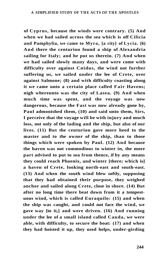**of Cyprus, because the winds were contrary. (5) And when we had sailed across the sea which is off Cilicia and Pamphylia, we came to Myra, [a city] of Lycia. (6) And there the centurion found a ship of Alexandria sailing for Italy; and he put us therein. (7) And when we had sailed slowly many days, and were come with difficulty over against Cnidus, the wind not further suffering us, we sailed under the lee of Crete, over against Salmone; (8) and with difficulty coasting along**  it we came unto a certain place called Fair Havens; **nigh whereunto was the city of Lasea. (9) And when much time was spent, and the voyage was now dangerous, because the Fast was now already gone by, Paul admonished them, (10) and said unto them, Sirs, I perceive that the voyage will be with injury and much loss, not only of the lading and the ship, but also of our lives. (11) But the centurion gave more heed to the master and to the owner of the ship, than to those things which were spoken by Paul. (12) And because the haven was not commodious to winter in, the more part advised to put to sea from thence, if by any means they could reach Phoenix, and winter [there; which is] a haven of Crete, looking north-east and south-east. (13) And when the south wind blew softly, supposing that they had obtained their purpose, they weighed anchor and sailed along Crete, close in shore. (14) But after no long time there beat down from it a tempestuous wind, which is called Euraquilo: (15) and when the ship was caught, and could not face the wind, we gave way [to it,] and were driven. (16) And running under the lee of a small island called Cauda, we were able, with difficulty, to secure the boat: (17) and when they had hoisted it up, they used helps, under-girding**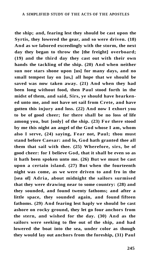**the ship; and, fearing lest they should be cast upon the Syrtis, they lowered the gear, and so were driven. (18) And as we labored exceedingly with the storm, the next day they began to throw the [the freight] overboard; (19) and the third day they cast out with their own hands the tackling of the ship. (20) And when neither sun nor stars shone upon [us] for many days, and no small tempest lay on [us,] all hope that we should be saved was now taken away. (21) And when they had been long without food, then Paul stood forth in the midst of them, and said, Sirs, ye should have hearkened unto me, and not have set sail from Crete, and have gotten this injury and loss. (22) And now I exhort you to be of good cheer; for there shall be no loss of life among you, but [only] of the ship. (23) For there stood by me this night an angel of the God whose I am, whom also I serve, (24) saying, Fear not, Paul; thou must stand before Caesar: and lo, God hath granted thee all them that sail with thee. (25) Wherefore, sirs, be of good cheer: for I believe God, that it shall be even so as it hath been spoken unto me. (26) But we must be cast upon a certain island. (27) But when the fourteenth night was come, as we were driven to and fro in the [sea of] Adria, about midnight the sailors surmised that they were drawing near to some country: (28) and they sounded, and found twenty fathoms; and after a little space, they sounded again, and found fifteen fathoms. (29) And fearing lest haply we should be cast ashore on rocky ground, they let go four anchors from the stern, and wished for the day. (30) And as the sailors were seeking to flee out of the ship, and had lowered the boat into the sea, under color as though they would lay out anchors from the foreship, (31) Paul**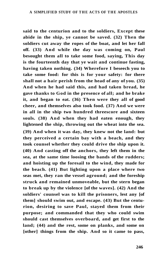**said to the centurion and to the soldiers, Except these abide in the ship, ye cannot be saved. (32) Then the soldiers cut away the ropes of the boat, and let her fall off. (33) And while the day was coming on, Paul besought them all to take some food, saying, This day is the fourteenth day that ye wait and continue fasting, having taken nothing. (34) Wherefore I beseech you to take some food: for this is for your safety: for there shall not a hair perish from the head of any of you. (35) And when he had said this, and had taken bread, he gave thanks to God in the presence of all; and he brake it, and began to eat. (36) Then were they all of good cheer, and themselves also took food. (37) And we were in all in the ship two hundred threescore and sixteen souls. (38) And when they had eaten enough, they lightened the ship, throwing out the wheat into the sea. (39) And when it was day, they knew not the land: but they perceived a certain bay with a beach, and they took counsel whether they could drive the ship upon it. (40) And casting off the anchors, they left them in the sea, at the same time loosing the bands of the rudders; and hoisting up the foresail to the wind, they made for the beach. (41) But lighting upon a place where two seas met, they ran the vessel aground; and the foreship struck and remained unmoveable, but the stern began to break up by the violence [of the waves]. (42) And the soldiers' counsel was to kill the prisoners, lest any [of them] should swim out, and escape. (43) But the centurion, desiring to save Paul, stayed them from their purpose; and commanded that they who could swim should cast themselves overboard, and get first to the land; (44) and the rest, some on planks, and some on [other] things from the ship. And so it came to pass,**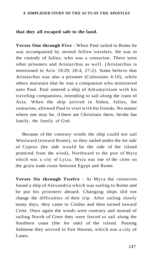#### **that they all escaped safe to the land.**

**Verses One through Five** - When Paul sailed to Rome he was accompanied by several fellow travelers. He was in the custody of Julius, who was a centurion. There were other prisoners and Aristarchus as well. (Aristarchus is mentioned in Acts 19:29, 20:4, 27:2). Some believe that Aristarchus was also a prisoner (Colossians 4:10), while others maintain that he was a companion who ministered unto Paul. Paul entered a ship of Adramyttium with his traveling companions, intending to sail along the coast of Asia. When the ship arrived in Sidon, Julius, the centurion, allowed Paul to visit with his friends. No matter where one may be, if there are Christians there, he/she has family, the family of God.

Because of the contrary winds the ship could not sail Westward (toward Rome), so they sailed under the *lee side*  of Cyprus *(lee side* would be the side of the island protected from the wind), Northward to the port of Myra which was a city of Lycia. Myra was one of the cities on the grain trade route between Egypt and Rome.

**Verses Six through Twelve** - At Myra the centurion found a ship of Alexandria which was sailing to Rome and he put his prisoners aboard. Changing ships did not change the difficulties of their trip. After sailing slowly many days, they came to Cnidus and then turned toward Crete. Once again the winds were contrary and instead of sailing North of Crete they were forced to sail along the Southern coast (the *lee side)* of the island. Passing Salmone they arrived in Fair Havens, which was a city of Lasea.

247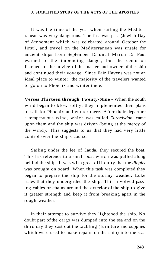It was the time of the year when sailing the Mediterranean was very dangerous. The fast was past (Jewish Day of Atonement which was celebrated around October the first), and travel on the Mediterranean was unsafe for ancient ships from September 15 until March 15. Paul warned of the impending danger, but the centurion listened to the advice of the master and owner of the ship and continued their voyage. Since Fair Havens was not an ideal place to winter, the majority of the travelers wanted to go on to Phoenix and winter there.

**Verses Thirteen through Twenty-Nine** - When the south wind began to blow softly, they implemented their plans to sail for Phoenix and winter there. After their departure a tempestuous wind, which was called *Euroclydon,* came upon them and the ship was driven (being at the mercy of the wind). This suggests to us that they had very little control over the ship's course.

Sailing under the lee of Cauda, they secured the boat. This has reference to a small boat which was pulled along behind the ship. It was with great difficulty that the *dinghy*  was brought on board. When this task was completed they began to prepare the ship for the stormy weather. Luke states that they undergirded the ship. This involved passing cables or chains around the exterior of the ship to give it greater strength and keep it from breaking apart in the rough weather.

In their attempt to survive they lightened the ship. No doubt part of the cargo was dumped into the sea and on the third day they cast out the tackling (furniture and supplies which were used to make repairs on the ship) into the sea.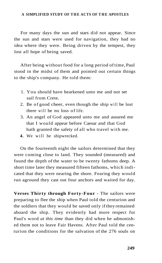For many days the sun and stars did not appear. Since the sun and stars were used for navigation, they had no idea where they were. Being driven by the tempest, they lost all hope of being saved.

After being without food for a long period of time, Paul stood in the midst of them and pointed out certain things to the ship's company. He told them:

- 1. You should have hearkened unto me and not set sail from Crete.
- 2. Be of good cheer, even though the ship will be lost there will be no loss of life.
- 3. An angel of God appeared unto me and assured me that I would appear before Caesar and that God hath granted the safety of all who travel with me.
- **4.** We will be shipwrecked.

On the fourteenth night the sailors determined that they were coming close to land. They sounded (measured) and found the depth of the water to be twenty fathoms deep. A short time later they measured fifteen fathoms, which indicated that they were nearing the shore. Fearing they would run aground they cast out four anchors and waited for day.

**Verses Thirty through Forty-Four** - The sailors were preparing to flee the ship when Paul told the centurion and the soldiers that they would be saved only if they remained aboard the ship. They evidently had more respect for Paul's word *at this time* than they did when he admonished them not to leave Fair Havens. After Paul told the centurion the conditions for the salvation of the 276 souls on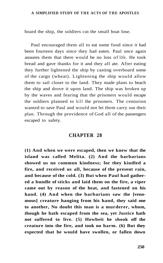board the ship, the soldiers cut the small boat lose.

Paul encouraged them all to eat some food since it had been fourteen days since they had eaten. Paul once again assures them that there would be no loss of life. He took bread and gave thanks for it and they all ate. After eating they further lightened the ship by casting overboard some of the cargo (wheat). Lightening the ship would allow them to sail closer to the land. They made plans to beach the ship and drove it upon land. The ship was broken up by the waves and fearing that the prisoners would escape the soldiers planned to kill the prisoners. The centurion wanted to save Paul and would not let them carry out their plan. Through the providence of God all of the passengers escaped to safety.

## **CHAPTER 28**

**(1) And when we were escaped, then we knew that the island was called Melita. (2) And the barbarians showed us no common kindness; for they kindled a fire, and received us all, because of the present rain, and because of the cold. (3) But when Paul had gathered a bundle of sticks and laid them on the fire, a viper came out by reason of the heat, and fastened on his hand. (4) And when the barbarians saw the [venomous] creature hanging from his hand, they said one to another, No doubt this man is a murderer, whom, though he hath escaped from the sea, yet Justice hath not suffered to live. (5) Howbeit he shook off the creature into the fire, and took no harm. (6) But they expected that he would have swollen, or fallen down**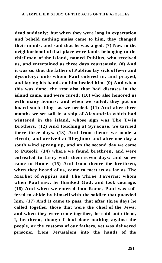**dead suddenly: but when they were long in expectation and beheld nothing amiss came to him, they changed their minds, and said that he was a god. (7) Now in the neighborhood of that place were lands belonging to the chief man of the island, named Publius, who received us, and entertained us three days courteously. (8) And it was so, that the father of Publius lay sick of fever and dysentery: unto whom Paul entered in, and prayed, and laying his hands on him healed him. (9) And when this was done, the rest also that had diseases in the island came, and were cured: (10) who also honored us with many honors; and when we sailed, they put on board such things as we needed. (11) And after three months we set sail in a ship of Alexandria which had wintered in the island, whose sign was The Twin Brothers. (12) And touching at Syracuse, we tarried there three days. (13) And from thence we made a circuit, and arrived at Rhegium: and after one day a south wind sprang up, and on the second day we came to Puteoli; (14) where we found brethren, and were entreated to tarry with them seven days: and so we came to Rome. (15) And from thence the brethren, when they heard of us, came to meet us as far as The Market of Appius and The Three Taverns; whom when Paul saw, he thanked God, and took courage. (16) And when we entered into Rome, Paul was suffered to abide by himself with the soldier that guarded him. (17) And it came to pass, that after three days he called together those that were the chief of the Jews: and when they were come together, he said unto them, I, brethren, though I had done nothing against the people, or the customs of our fathers, yet was delivered prisoner from Jerusalem into the hands of the**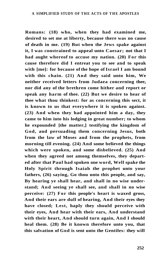**Romans: (18) who, when they had examined me, desired to set me at liberty, because there was no cause of death in me. (19) But when the Jews spake against it, I was constrained to appeal unto Caesar; not that I had aught whereof to accuse my nation. (20) For this cause therefore did I entreat you to see and to speak with [me]: for because of the hope of Israel I am bound with this chain. (21) And they said unto him, We neither received letters from Judaea concerning thee, nor did any of the brethren come hither and report or speak any harm of thee. (22) But we desire to hear of thee what thou thinkest: for as concerning this sect, it is known to us that everywhere it is spoken against. (23) And when they had appointed him a day, they came to him into his lodging in great number; to whom he expounded [the matter,] testifying the kingdom of God, and persuading them concerning Jesus, both from the law of Moses and from the prophets, from morning till evening. (24) And some believed the things which were spoken, and some disbelieved. (25) And when they agreed not among themselves, they departed after that Paul had spoken one word, Well spake the Holy Spirit through Isaiah the prophet unto your fathers, (26) saying, Go thou unto this people, and say, By hearing ye shall hear, and shall in no wise understand; And seeing ye shall see, and shall in no wise perceive: (27) For this people's heart is waxed gross, And their ears are dull of hearing, And their eyes they have closed; Lest, haply they should perceive with their eyes, And hear with their ears, And understand with their heart, And should turn again, And I should heal them. (28) Be it known therefore unto you, that this salvation of God is sent unto the Gentiles: they will**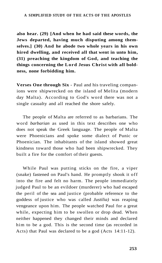**also hear. (29) [And when he had said these words, the Jews departed, having much disputing among themselves.] (30) And he abode two whole years in his own hired dwelling, and received all that went in unto him, (31) preaching the kingdom of God, and teaching the things concerning the Lord Jesus Christ with all boldness, none forbidding him.** 

**Verses One through Six** - Paul and his traveling companions were shipwrecked on the island of Melita (modern day Malta). According to God's word there was not a single casualty and all reached the shore safely.

The people of Malta are referred to as barbarians. The word *barbarian* as used in this text describes one who does not speak the Greek language. The people of Malta were Phoenicians and spoke some dialect of Punic or Phoenician. The inhabitants of the island showed great kindness toward those who had been shipwrecked. They built a fire for the comfort of their guests.

While Paul was putting sticks on the fire, a viper (snake) fastened on Paul's hand. He promptly shook it off into the fire and felt no harm. The people immediately judged Paul to be an evildoer (murderer) who had escaped the peril of the sea and justice (probable reference to the goddess of justice who was called *Justilia)* was reaping vengeance upon him. The people watched Paul for a great while, expecting him to be swollen or drop dead. When neither happened they changed their minds and declared him to be a god. This is the second time (as recorded in Acts) that Paul was declared to be a god (Acts 14:11-12).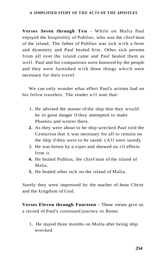## A SIMPLIFIED STUDY OF THE ACTS OF THE APOSTLES

**Verses Seven through Ten** - While on Malta Paul enjoyed the hospitality of Publius, who was the chief man of the island. The father of Publius was sick with a fever and dysentery and Paul healed him. Other sick persons from all over the island came and Paul healed them as well. Paul and his companions were honored by the people and they were furnished with those things which were necessary for their travel.

We can only wonder what effect Paul's actions had on his fellow travelers. The reader will note that:

- 1. He advised the master of the ship that they would be in great danger if they attempted to make Phoenix and winter there.
- **2.** As they were about to be ship wrecked Paul told the Centurion that it was necessary for all to remain on the ship if they were to be saved. (All were saved),
- 3. He was bitten by a viper and showed no ill effects from it.
- **4.** He healed Publius, the chief man of the island of Malta.
- **5.** He healed other sick on the island of Malta.

Surely they were impressed by the teacher of Jesus Christ and the kingdom of God.

**Verses Eleven through Fourteen** - These verses give us a record of Paul's continued journey to Rome.

1. He stayed three months on Malta after being ship wrecked.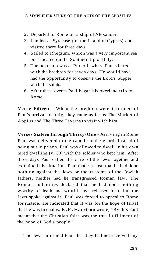- 2. Departed to Rome on a ship of Alexander.
- 3. Landed at Syracuse (on the island of Cyprus) and visited there for three days.
- **4.** Sailed to Rhegium, which was a very important sea port located on the Southern tip of Italy.
- 5. The next stop was at Puteoli, where Paul visited with the brethren for seven days. He would have had the opportunity to observe the Lord's Supper with the saints.
- 6. After these events Paul began his overland trip to Rome.

**Verse Fifteen** - When the brethren were informed of Paul's arrival to Italy, they came as far as The Market of Appius and The Three Taverns to visit with him.

**Verses Sixteen through Thirty-One** - Arriving in Rome Paul was delivered to the captain of the guard. Instead of being put in prison, Paul was allowed to dwell in his own hired dwelling (v. 30) with the soldier who kept him. After three days Paul called the chief of the Jews together and explained his situation. Paul made it clear that he had done nothing against the Jews or the customs of the Jewish fathers, neither had he transgressed Roman law. The Roman authorities declared that he had done nothing worthy of death and would have released him, but the Jews spoke against it. Paul was forced to appeal to Rome for justice. He indicated that it was for the hope of Israel that he was in chains. **E.F . Harrison** wrote, "By this Paul meant that the Christian faith was the true fulfillment of the hope of God's people."

The Jews informed Paul that they had not received any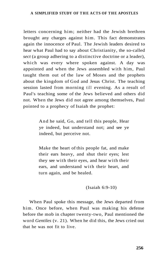## A SIMPLIFIED STUDY OF THE ACTS OF THE APOSTLES

letters concerning him; neither had the Jewish brethren brought any charges against him. This fact demonstrates again the innocence of Paul. The Jewish leaders desired to hear what Paul had to say about Christianity, the so-called *sect* (a group adhering to a distinctive doctrine or a leader), which was every where spoken against. A day was appointed and when the Jews assembled with him, Paul taught them out of the law of Moses and the prophets about the kingdom of God and Jesus Christ. The teaching session lasted from morning till evening. As a result of Paul's teaching some of the Jews believed and others did not. When the Jews did not agree among themselves, Paul pointed to a prophecy of Isaiah the prophet:

> And he said, Go, and tell this people, Hear ye indeed, but understand not; and see ye indeed, but perceive not.

> Make the heart of this people fat, and make their ears heavy, and shut their eyes; lest they see with their eyes, and hear with their ears, and understand with their heart, and turn again, and be healed.

## (Isaiah 6:9-10)

When Paul spoke this message, the Jews departed from him. Once before, when Paul was making his defense before the mob in chapter twenty-two, Paul mentioned the word *Gentiles* (v. 21). When he did this, the Jews cried out that he was not fit to live.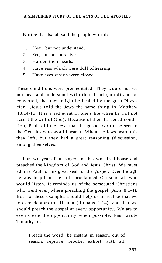Notice that Isaiah said the people would:

- 1. Hear, but not understand.
- 2. See, but not perceive.
- 3. Harden their hearts.
- 4. Have ears which were dull of hearing.
- 5. Have eyes which were closed.

These conditions were premeditated. They would not see nor hear and understand with their heart (mind) and be converted, that they might be healed by the great Physician. (Jesus told the Jews the same thing in Matthew 13:14-15. It is a sad event in one's life when he will not accept the will of God). Because of their hardened condition, Paul told the Jews that the gospel would be sent to the Gentiles who would hear it. When the Jews heard this they left, but they had a great reasoning (discussion) among themselves.

For two years Paul stayed in his own hired house and preached the kingdom of God and Jesus Christ. We must admire Paul for his great zeal for the gospel. Even though he was in prison, he still proclaimed Christ to all who would listen. It reminds us of the persecuted Christians who went everywhere preaching the gospel (Acts 8:1-4). Both of these examples should help us to realize that we too are debtors to all men (Romans 1:14), and that we should preach the gospel at every opportunity. We are to even create the opportunity when possible. Paul wrote Timothy to:

> Preach the word, be instant in season, out of season; reprove, rebuke, exhort with all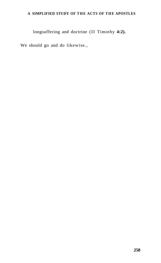## A SIMPLIFIED STUDY OF THE ACTS OF THE APOSTLES

longsuffering and doctrine (II Timothy **4:2).** 

We should go and do likewise.,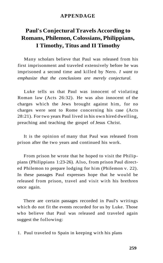## **APPENDAGE**

# **Paul's Conjectural Travels According to Romans, Philemon, Colossians, Philippians, I Timothy, Titus and II Timothy**

Many scholars believe that Paul was released from his first imprisonment and traveled extensively before he was imprisoned a second time and killed by Nero. *I want to emphasize that the conclusions are merely conjectural.* 

Luke tells us that Paul was innocent of violating Roman law (Acts 26:32). He was also innocent of the charges which the Jews brought against him, for no charges were sent to Rome concerning his case (Acts 28:21). For two years Paul lived in his own hired dwelling, preaching and teaching the gospel of Jesus Christ.

It is the opinion of many that Paul was released from prison after the two years and continued his work.

From prison he wrote that he hoped to visit the Philippians (Philippians 1:23-26). Also, from prison Paul directed Philemon to prepare lodging for him (Philemon v. 22). In these passages Paul expresses hope that he would be released from prison, travel and visit with his brethren once again.

There are certain passages recorded in Paul's writings which do not fit the events recorded for us by Luke. Those who believe that Paul was released and traveled again suggest the following:

1. Paul traveled to Spain in keeping with his plans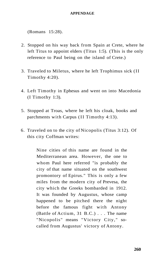## **APPENDAGE**

(Romans 15:28).

- 2. Stopped on his way back from Spain at Crete, where he left Titus to appoint elders (Titus 1:5). (This is the only reference to Paul being on the island of Crete.)
- 3. Traveled to Miletus, where he left Trophimus sick (II Timothy 4:20).
- 4. Left Timothy in Ephesus and went on into Macedonia (I Timothy 1:3).
- 5. Stopped at Troas, where he left his cloak, books and parchments with Carpus (II Timothy 4:13).
- 6. Traveled on to the city of Nicopolis (Titus 3:12). Of this city Coffman writes:

Nine cities of this name are found in the Mediterranean area. However, the one to whom Paul here referred "is probably the city of that name situated on the southwest promontory of Epirus." This is only a few miles from the modern city of Prevesa, the city which the Greeks bombarded in 1912. It was founded by Augustus, whose camp happened to be pitched there the night before the famous fight with Antony (Battle of Actium, 31 B.C.) . . . The name "Nicopolis" means "Victory City," socalled from Augustus' victory of Antony.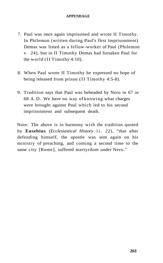## **APPENDAGE**

- 7. Paul was once again imprisoned and wrote II Timothy. In Philemon (written during Paul's first imprisonment) Demas was listed as a fellow-worker of Paul (Philemon v. 24), but in II Timothy Demas had forsaken Paul for the world (II Timothy 4:10).
- 8. When Paul wrote II Timothy he expressed no hope of being released from prison (II Timothy 4:5-8).
- 9. Tradition says that Paul was beheaded by Nero in 67 or 68 A.D. We have no way of knowing what charges were brought against Paul which led to his second imprisonment and subsequent death.

Note: The above is in harmony with the tradition quoted by **Eusebius** *(Ecclesiastical History* ii. 22), "that after defending himself, the apostle was sent again on his ministry of preaching, and coming a second time to the same city [Rome], suffered martyrdom under Nero."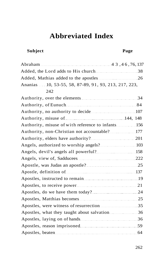## **Subject Page**

| Ananias 10, 53-55, 58, 87-89, 91, 93, 213, 217, 223, |  |
|------------------------------------------------------|--|
| 242                                                  |  |
|                                                      |  |
|                                                      |  |
|                                                      |  |
|                                                      |  |
| Authority, misuse of with reference to infants 156   |  |
|                                                      |  |
|                                                      |  |
|                                                      |  |
|                                                      |  |
|                                                      |  |
|                                                      |  |
|                                                      |  |
|                                                      |  |
|                                                      |  |
|                                                      |  |
|                                                      |  |
|                                                      |  |
|                                                      |  |
|                                                      |  |
|                                                      |  |
|                                                      |  |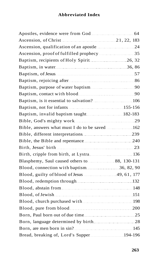| Baptism, recipients of Holy Spirit 26, 32   |  |
|---------------------------------------------|--|
|                                             |  |
|                                             |  |
|                                             |  |
|                                             |  |
|                                             |  |
|                                             |  |
|                                             |  |
|                                             |  |
|                                             |  |
|                                             |  |
|                                             |  |
|                                             |  |
|                                             |  |
| Birth, cripple from birth, at Lystra136     |  |
|                                             |  |
|                                             |  |
| Blood, guilty of blood of Jesus 29, 61, 177 |  |
| Blood, redemption through [132] [132]       |  |
|                                             |  |
|                                             |  |
|                                             |  |
|                                             |  |
|                                             |  |
|                                             |  |
|                                             |  |
|                                             |  |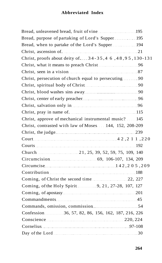| Bread, purpose of partaking of Lord's Supper195        |  |
|--------------------------------------------------------|--|
| Bread, when to partake of the Lord's Supper  194       |  |
|                                                        |  |
| Christ, proofs about deity of  34-35,4 6,48,95,130-131 |  |
|                                                        |  |
|                                                        |  |
| Christ, persecution of church equal to persecuting  90 |  |
|                                                        |  |
|                                                        |  |
|                                                        |  |
|                                                        |  |
|                                                        |  |
| Christ, approve of mechanical instrumental music? 145  |  |
| Christ, contrasted with law of Moses 144, 152, 208-209 |  |
|                                                        |  |
|                                                        |  |
|                                                        |  |
|                                                        |  |
|                                                        |  |
|                                                        |  |
|                                                        |  |
|                                                        |  |
| Coming, of the Holy Spirit 2010, 21, 27-28, 107, 127   |  |
|                                                        |  |
| Commandments 45                                        |  |
|                                                        |  |
| Confession 36, 57, 82, 86, 156, 162, 187, 216, 226     |  |
|                                                        |  |
| Cornelius 97-108                                       |  |
|                                                        |  |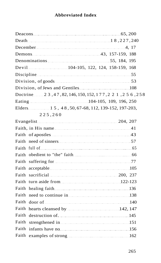| December 4, 17                                                                                                                                             |  |
|------------------------------------------------------------------------------------------------------------------------------------------------------------|--|
|                                                                                                                                                            |  |
|                                                                                                                                                            |  |
| Devil 2008 104-105, 122, 124, 158-159, 168                                                                                                                 |  |
|                                                                                                                                                            |  |
| Division, of goods $\ldots$ 53                                                                                                                             |  |
|                                                                                                                                                            |  |
| Doctrine 23, 47, 82, 146, 150, 152, 177, 221, 256, 258                                                                                                     |  |
|                                                                                                                                                            |  |
|                                                                                                                                                            |  |
| 225,260                                                                                                                                                    |  |
|                                                                                                                                                            |  |
|                                                                                                                                                            |  |
|                                                                                                                                                            |  |
|                                                                                                                                                            |  |
|                                                                                                                                                            |  |
|                                                                                                                                                            |  |
| Faith                                                                                                                                                      |  |
|                                                                                                                                                            |  |
|                                                                                                                                                            |  |
| Faith                                                                                                                                                      |  |
|                                                                                                                                                            |  |
| Faith                                                                                                                                                      |  |
| Faith door of manufactured and 140                                                                                                                         |  |
| Faith<br>hearts cleansed by 142, 147                                                                                                                       |  |
| Faith                                                                                                                                                      |  |
| Faith                                                                                                                                                      |  |
| Faith<br>infants have no $\ldots$ , $\ldots$ , $\ldots$ , $\ldots$ , $\ldots$ , $\ldots$ , $\ldots$ , $\ldots$ , $\ldots$ , $\ldots$ , $\ldots$ , $\ldots$ |  |
| Faith                                                                                                                                                      |  |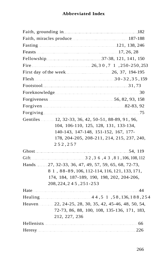| Fellowship 2010 37-38, 121, 141, 150                          |                                               |
|---------------------------------------------------------------|-----------------------------------------------|
| Fire $\ldots$ 250-250, 253 $\ldots$ 26, 30, 7 1, 250-250, 253 |                                               |
|                                                               |                                               |
| Flesh $\frac{30-32,35,159}{2}$                                |                                               |
|                                                               |                                               |
|                                                               |                                               |
|                                                               |                                               |
| Forgiven 22-83, 92                                            |                                               |
|                                                               |                                               |
| Gentiles  12, 32-33, 36, 42, 50-51, 88-89, 91, 96,            |                                               |
|                                                               | 104, 106-110, 125, 128, 131, 133-134,         |
|                                                               | 140-143, 147-148, 151-152, 167, 177-          |
|                                                               | 178, 204-205, 208-211, 214, 215, 237, 240,    |
| 252,257                                                       |                                               |
|                                                               |                                               |
|                                                               |                                               |
| Hands 27, 32-33, 36, 47, 49, 57, 59, 65, 68, 72-73,           |                                               |
|                                                               | 8 1, 88-89, 106, 112-114, 116, 121, 133, 171, |
|                                                               | 174, 184, 187-189, 190, 198, 202, 204-206,    |
| 208, 224, 245, 251-253                                        |                                               |
|                                                               |                                               |
|                                                               |                                               |
| Heaven 22, 24-25, 28, 30, 35, 42, 45-46, 48, 50, 54,          |                                               |
|                                                               | 72-73, 86, 88, 100, 108, 135-136, 171, 183,   |
| 212, 227, 236                                                 |                                               |
|                                                               |                                               |
|                                                               |                                               |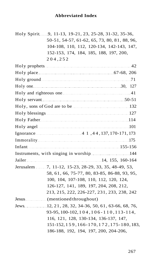Holy Spirit 9, 11-13, 19-21, 23, 25-28, 31-32, 35-36, 50-51, 54-57, 61-62, 65, 73, 80, 81, 88, 96, 104-108, 110, 112, 120-134, 142-143, 147, 152-153, 174, 184, 185, 188, 197, 200, 204 , 25 2

| Holy place 67-68, 206                                |
|------------------------------------------------------|
| Holy ground 21                                       |
|                                                      |
|                                                      |
| Holy servant 50-51                                   |
|                                                      |
|                                                      |
|                                                      |
|                                                      |
|                                                      |
|                                                      |
|                                                      |
|                                                      |
|                                                      |
| Jerusalem 7, 11-12, 15-23, 28-29, 33, 35, 48-49, 53, |
| 58, 61, 66, 75-77, 80, 83-85, 86-88, 93, 95,         |
| 100, 104, 107-108, 110, 112, 120, 124,               |
| 126-127, 141, 189, 197, 204, 208, 212,               |
| 213, 215, 222, 226-227, 231, 233, 238, 242           |
| Jesus (mentioned throughout)                         |
| Jews 12, 21, 28, 32, 34-36, 50, 61, 63-66, 68, 76,   |
| 93-95, 100-102, 104, 106-110, 113-114,               |
| 116, 121, 128, 130-134, 136-137, 147,                |
| 151-152, 159, 166-170, 172, 175-180, 183,            |
| 186-188, 192, 194, 197, 200, 204-206,                |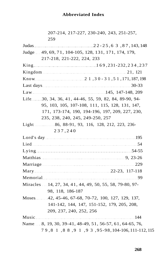| 207-214, 217-227, 230-240, 243, 251-257,                |  |
|---------------------------------------------------------|--|
| 259                                                     |  |
|                                                         |  |
| Judge 49, 69, 71, 104-105, 128, 131, 171, 174, 179,     |  |
| 217-218, 221-222, 224, 233                              |  |
|                                                         |  |
|                                                         |  |
|                                                         |  |
| Last days 30-33                                         |  |
|                                                         |  |
| Life 30, 34, 36, 41, 44-46, 55, 59, 82, 84, 89-90, 94-  |  |
| 95, 103, 105, 107-108, 111, 115, 128, 131, 147,         |  |
| 171, 173-174, 190, 194-196, 197, 209, 227, 230,         |  |
| 235, 238, 240, 245, 249-250, 257                        |  |
| Light 86, 88-91, 93, 116, 128, 212, 223, 236-           |  |
| 237,240                                                 |  |
|                                                         |  |
|                                                         |  |
|                                                         |  |
|                                                         |  |
|                                                         |  |
|                                                         |  |
| Memorial 99                                             |  |
| Miracles 14, 27, 34, 41, 44, 49, 50, 55, 58, 79-80, 97- |  |
| 98, 118, 186-187                                        |  |
| Moses 42, 45-46, 67-68, 70-72, 100, 127, 129, 137,      |  |
| 141-142, 144, 147, 151-152, 179, 205, 208,              |  |
| 209, 237, 240, 252, 256                                 |  |
| Music 144                                               |  |
| Name 8, 19, 30, 39-41, 48-49, 51, 56-57, 61, 64-65, 76, |  |
| 79,8 1,8 8,9 1,9 3,95-98,104-106,111-112,115            |  |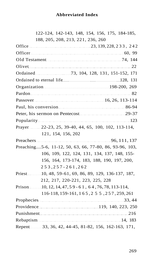122-124, 142-143, 148, 154, 156, 175, 184-185, 188, 205, 208, 213, 221, 236, 260 Office 23, 139, 228, 2 3 3, 242 Officer 60, 99 Old Testament 74, 144 Olivet 22 Ordained 2010 123, 104, 128, 131, 151-152, 171

Ordained to eternal life 128, 131 Organization 198-200, 269 Pardon 82 Passover 2010 16, 26, 113-114 Paul, his conversion 86-94 Peter, his sermon on Pentecost 29-37 Popularity 123 Prayer 22-23, 25, 39-40, 44, 65, 100, 102, 113-114, 121, 154, 156, 202

Preachers 26, 111, 137 Preaching....5-6, 11-12, 50, 63, 66, 77-80, 86, 93-96, 103, 106, 109, 122, 124, 131, 134, 137, 148, 155- 156, 164, 173-174, 183, 188, 190, 197, 200, 253 , 257-261 , 26 2

Priest 10, 48, 59-61, 69, 86, 89, 129, 136-137, 187, 212, 217, 220-221, 223, 225, 228

Prison 10, 12, 14, 47, 59 - 61, 64, 76, 78, 113-114, 116-118, 159-161, 165 , 255 , 257 , 259, 261 Prophecies 33, 44 Providence 200 minutes and 119, 140, 223, 250 Punishment 216 Rebaptism 14, 183 Repent 33, 36, 42, 44-45, 81-82, 156, 162-163, 171,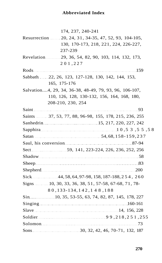| 174, 237, 240-241                                                |
|------------------------------------------------------------------|
| Resurrection 20, 24, 31, 34-35, 47, 52, 93, 104-105,             |
| 130, 170-173, 218, 221, 224, 226-227,                            |
| 237-239                                                          |
| Revelation 29, 36, 54, 82, 90, 103, 114, 132, 173,               |
| 201,227                                                          |
| Rods 159                                                         |
| Sabbath 22, 26, 123, 127-128, 130, 142, 144, 153,                |
| 165, 175-176                                                     |
| Salvation4, 29, 34, 36-38, 48-49, 79, 93, 96, 106-107,           |
| 110, 126, 128, 130-132, 156, 164, 168, 180,                      |
| 208-210, 230, 254                                                |
|                                                                  |
| Saints 37, 53, 77, 88, 96-98, 155, 178, 215, 236, 255            |
|                                                                  |
| Sapphira 2003, 5 5 5 5 5 5 6 8 10 10, 5 3 , 5 5 7 5 8            |
|                                                                  |
|                                                                  |
| Sect _______________________59, 141, 223-224, 226, 236, 252, 256 |
|                                                                  |
|                                                                  |
| Shepherd $200$                                                   |
| Sick 44, 58, 64, 97-98, 158, 187-188, 254, 260                   |
| Signs 10, 30, 33, 36, 38, 51, 57-58, 67-68, 71, 78-              |
| 80, 133-134, 142, 148, 188                                       |
| Sin 227 [10, 35, 53-55, 63, 74, 82, 87, 145, 178, 227            |
|                                                                  |
| Slave 14, 156, 228                                               |
|                                                                  |
|                                                                  |
|                                                                  |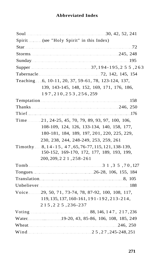| Soul 30, 42, 52, 241                                                                                                                                                                                                           |
|--------------------------------------------------------------------------------------------------------------------------------------------------------------------------------------------------------------------------------|
| Spirit (see "Holy Spirit" in this Index)                                                                                                                                                                                       |
| Star 72                                                                                                                                                                                                                        |
|                                                                                                                                                                                                                                |
|                                                                                                                                                                                                                                |
|                                                                                                                                                                                                                                |
|                                                                                                                                                                                                                                |
| Teaching 6, 10-11, 20, 37, 59-61, 78, 123-124, 137,                                                                                                                                                                            |
| 139, 143-145, 148, 152, 169, 171, 176, 186,                                                                                                                                                                                    |
| 197, 210, 253, 256, 259                                                                                                                                                                                                        |
| Temptation 2008 and 2008 and 2008 and 2008 and 2008 and 2008 and 2008 and 2008 and 2008 and 2008 and 2008 and 2008 and 2008 and 2008 and 2008 and 2008 and 2008 and 2008 and 2008 and 2008 and 2008 and 2008 and 2008 and 2008 |
|                                                                                                                                                                                                                                |
|                                                                                                                                                                                                                                |
| Time 21, 24-25, 45, 70, 79, 89, 93, 97, 100, 106,                                                                                                                                                                              |
| 108-109, 124, 126, 133-134, 140, 158, 177,                                                                                                                                                                                     |
| 180-181, 184, 189, 197, 201, 220, 225, 229,                                                                                                                                                                                    |
| 230, 238, 244, 248-249, 253, 259, 261                                                                                                                                                                                          |
| Timothy 8, 14-15, 47, 65, 76-77, 115, 121, 138-139,                                                                                                                                                                            |
| 150-152, 169-170, 172, 177, 189, 193, 199,                                                                                                                                                                                     |
| 200, 209, 221, 258-261                                                                                                                                                                                                         |
| Tomb 3 1, 3 5, 70, 127                                                                                                                                                                                                         |
|                                                                                                                                                                                                                                |
|                                                                                                                                                                                                                                |
| Unbeliever 188                                                                                                                                                                                                                 |
| Voice 29, 50, 71, 73-74, 78, 87-92, 100, 108, 117,                                                                                                                                                                             |
| 119, 135, 137, 160-161, 191-192, 213-214,                                                                                                                                                                                      |
| 215, 225, 236-237                                                                                                                                                                                                              |
|                                                                                                                                                                                                                                |
| Water Mater 19-20, 43, 85-86, 106, 108, 185, 249                                                                                                                                                                               |
|                                                                                                                                                                                                                                |
| Wind Wind 25, 27, 245-248, 251                                                                                                                                                                                                 |